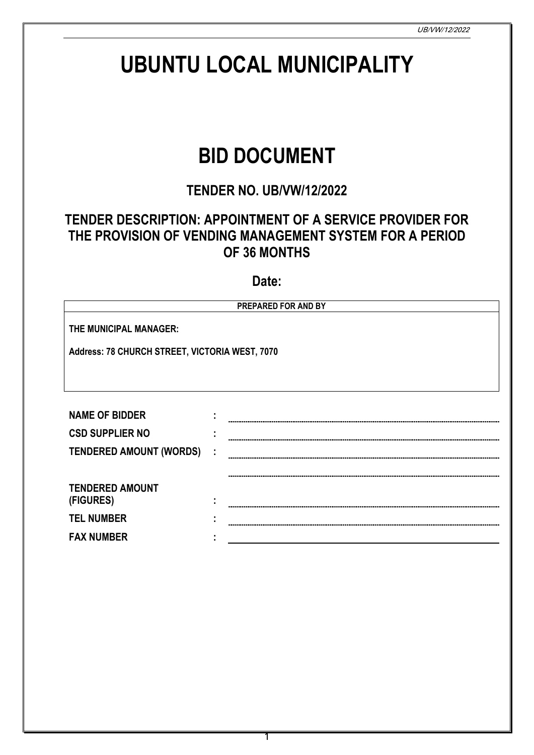# **UBUNTU LOCAL MUNICIPALITY**

# **BID DOCUMENT**

**TENDER NO. UB/VW/12/2022**

# **TENDER DESCRIPTION: APPOINTMENT OF A SERVICE PROVIDER FOR THE PROVISION OF VENDING MANAGEMENT SYSTEM FOR A PERIOD OF 36 MONTHS**

# **Date:**

|                                                | PREPARED FOR AND BY              |  |
|------------------------------------------------|----------------------------------|--|
| THE MUNICIPAL MANAGER:                         |                                  |  |
| Address: 78 CHURCH STREET, VICTORIA WEST, 7070 |                                  |  |
|                                                |                                  |  |
|                                                |                                  |  |
| <b>NAME OF BIDDER</b>                          |                                  |  |
| <b>CSD SUPPLIER NO</b>                         | $\blacksquare$<br>$\blacksquare$ |  |
| <b>TENDERED AMOUNT (WORDS)</b>                 | ÷                                |  |
|                                                |                                  |  |
| <b>TENDERED AMOUNT</b>                         |                                  |  |
| (FIGURES)                                      | ٠                                |  |
| <b>TEL NUMBER</b>                              |                                  |  |
| <b>FAX NUMBER</b>                              |                                  |  |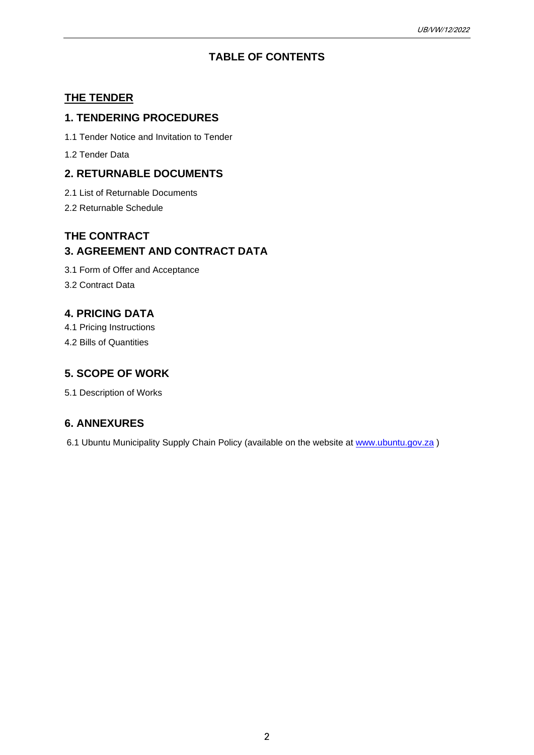# **TABLE OF CONTENTS**

# **THE TENDER**

# **1. TENDERING PROCEDURES**

1.1 Tender Notice and Invitation to Tender

1.2 Tender Data

# **2. RETURNABLE DOCUMENTS**

- 2.1 List of Returnable Documents
- 2.2 Returnable Schedule

# **THE CONTRACT 3. AGREEMENT AND CONTRACT DATA**

3.1 Form of Offer and Acceptance 3.2 Contract Data

# **4. PRICING DATA**

4.1 Pricing Instructions

4.2 Bills of Quantities

# **5. SCOPE OF WORK**

5.1 Description of Works

# **6. ANNEXURES**

6.1 Ubuntu Municipality Supply Chain Policy (available on the website at [www.ubuntu.gov.za](http://www.ubuntu.gov.za/))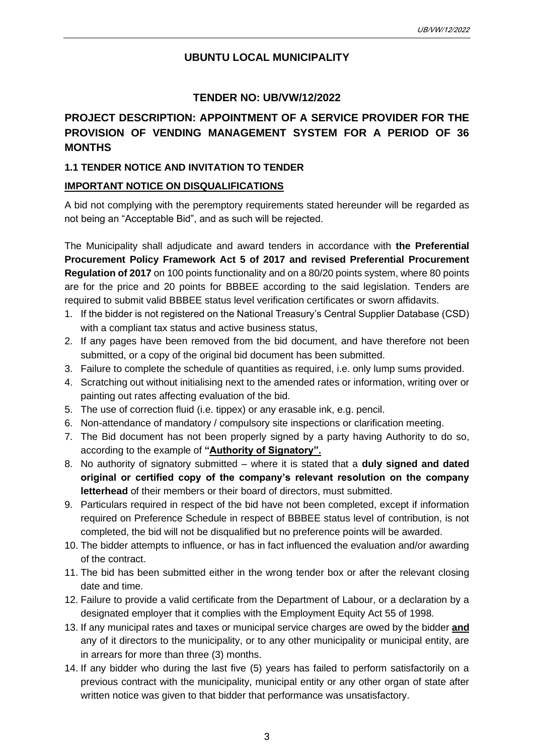# **UBUNTU LOCAL MUNICIPALITY**

# **TENDER NO: UB/VW/12/2022**

# **PROJECT DESCRIPTION: APPOINTMENT OF A SERVICE PROVIDER FOR THE PROVISION OF VENDING MANAGEMENT SYSTEM FOR A PERIOD OF 36 MONTHS**

# **1.1 TENDER NOTICE AND INVITATION TO TENDER**

# **IMPORTANT NOTICE ON DISQUALIFICATIONS**

A bid not complying with the peremptory requirements stated hereunder will be regarded as not being an "Acceptable Bid", and as such will be rejected.

The Municipality shall adjudicate and award tenders in accordance with **the Preferential Procurement Policy Framework Act 5 of 2017 and revised Preferential Procurement Regulation of 2017** on 100 points functionality and on a 80/20 points system, where 80 points are for the price and 20 points for BBBEE according to the said legislation. Tenders are required to submit valid BBBEE status level verification certificates or sworn affidavits.

- 1. If the bidder is not registered on the National Treasury's Central Supplier Database (CSD) with a compliant tax status and active business status,
- 2. If any pages have been removed from the bid document, and have therefore not been submitted, or a copy of the original bid document has been submitted.
- 3. Failure to complete the schedule of quantities as required, i.e. only lump sums provided.
- 4. Scratching out without initialising next to the amended rates or information, writing over or painting out rates affecting evaluation of the bid.
- 5. The use of correction fluid (i.e. tippex) or any erasable ink, e.g. pencil.
- 6. Non-attendance of mandatory / compulsory site inspections or clarification meeting.
- 7. The Bid document has not been properly signed by a party having Authority to do so, according to the example of **"Authority of Signatory".**
- 8. No authority of signatory submitted where it is stated that a **duly signed and dated original or certified copy of the company's relevant resolution on the company letterhead** of their members or their board of directors, must submitted.
- 9. Particulars required in respect of the bid have not been completed, except if information required on Preference Schedule in respect of BBBEE status level of contribution, is not completed, the bid will not be disqualified but no preference points will be awarded.
- 10. The bidder attempts to influence, or has in fact influenced the evaluation and/or awarding of the contract.
- 11. The bid has been submitted either in the wrong tender box or after the relevant closing date and time.
- 12. Failure to provide a valid certificate from the Department of Labour, or a declaration by a designated employer that it complies with the Employment Equity Act 55 of 1998.
- 13. If any municipal rates and taxes or municipal service charges are owed by the bidder **and** any of it directors to the municipality, or to any other municipality or municipal entity, are in arrears for more than three (3) months.
- 14. If any bidder who during the last five (5) years has failed to perform satisfactorily on a previous contract with the municipality, municipal entity or any other organ of state after written notice was given to that bidder that performance was unsatisfactory.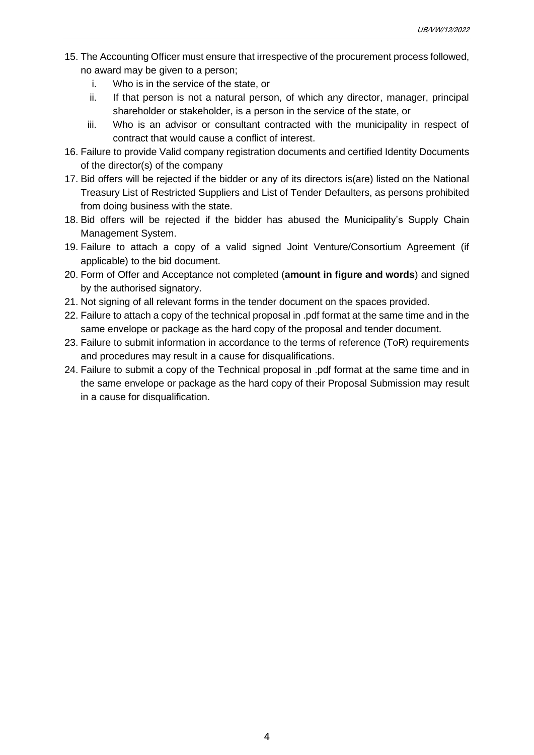- 15. The Accounting Officer must ensure that irrespective of the procurement process followed, no award may be given to a person;
	- i. Who is in the service of the state, or
	- ii. If that person is not a natural person, of which any director, manager, principal shareholder or stakeholder, is a person in the service of the state, or
	- iii. Who is an advisor or consultant contracted with the municipality in respect of contract that would cause a conflict of interest.
- 16. Failure to provide Valid company registration documents and certified Identity Documents of the director(s) of the company
- 17. Bid offers will be rejected if the bidder or any of its directors is(are) listed on the National Treasury List of Restricted Suppliers and List of Tender Defaulters, as persons prohibited from doing business with the state.
- 18. Bid offers will be rejected if the bidder has abused the Municipality's Supply Chain Management System.
- 19. Failure to attach a copy of a valid signed Joint Venture/Consortium Agreement (if applicable) to the bid document.
- 20. Form of Offer and Acceptance not completed (**amount in figure and words**) and signed by the authorised signatory.
- 21. Not signing of all relevant forms in the tender document on the spaces provided.
- 22. Failure to attach a copy of the technical proposal in .pdf format at the same time and in the same envelope or package as the hard copy of the proposal and tender document.
- 23. Failure to submit information in accordance to the terms of reference (ToR) requirements and procedures may result in a cause for disqualifications.
- 24. Failure to submit a copy of the Technical proposal in .pdf format at the same time and in the same envelope or package as the hard copy of their Proposal Submission may result in a cause for disqualification.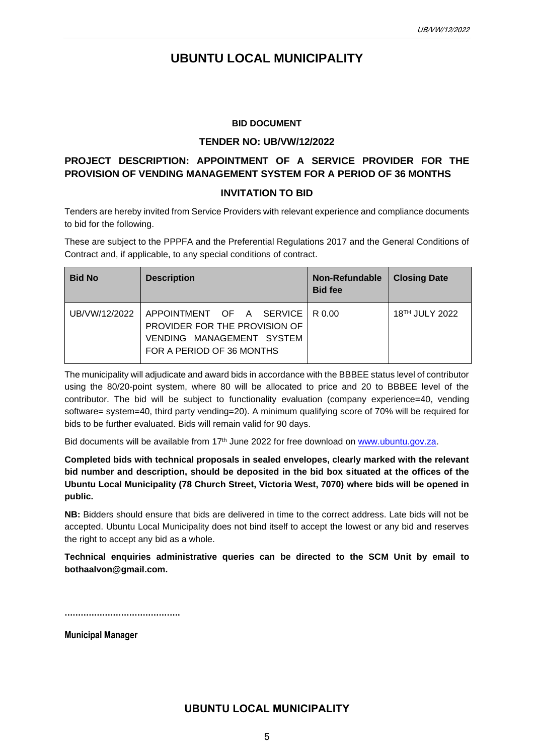# **UBUNTU LOCAL MUNICIPALITY**

#### **BID DOCUMENT**

#### **TENDER NO: UB/VW/12/2022**

# **PROJECT DESCRIPTION: APPOINTMENT OF A SERVICE PROVIDER FOR THE PROVISION OF VENDING MANAGEMENT SYSTEM FOR A PERIOD OF 36 MONTHS**

#### **INVITATION TO BID**

Tenders are hereby invited from Service Providers with relevant experience and compliance documents to bid for the following.

These are subject to the PPPFA and the Preferential Regulations 2017 and the General Conditions of Contract and, if applicable, to any special conditions of contract.

| <b>Bid No</b> | <b>Description</b>                                                                                                          | Non-Refundable<br><b>Bid fee</b> | <b>Closing Date</b>        |
|---------------|-----------------------------------------------------------------------------------------------------------------------------|----------------------------------|----------------------------|
| UB/VW/12/2022 | APPOINTMENT OF A SERVICE IR 0.00<br>PROVIDER FOR THE PROVISION OF<br>VENDING MANAGEMENT SYSTEM<br>FOR A PERIOD OF 36 MONTHS |                                  | 18 <sup>TH</sup> JULY 2022 |

The municipality will adjudicate and award bids in accordance with the BBBEE status level of contributor using the 80/20-point system, where 80 will be allocated to price and 20 to BBBEE level of the contributor. The bid will be subject to functionality evaluation (company experience=40, vending software= system=40, third party vending=20). A minimum qualifying score of 70% will be required for bids to be further evaluated. Bids will remain valid for 90 days.

Bid documents will be available from 17<sup>th</sup> June 2022 for free download on [www.ubuntu.gov.za.](http://www.ubuntu.gov.za/)

**Completed bids with technical proposals in sealed envelopes, clearly marked with the relevant bid number and description, should be deposited in the bid box situated at the offices of the Ubuntu Local Municipality (78 Church Street, Victoria West, 7070) where bids will be opened in public.**

**NB:** Bidders should ensure that bids are delivered in time to the correct address. Late bids will not be accepted. Ubuntu Local Municipality does not bind itself to accept the lowest or any bid and reserves the right to accept any bid as a whole.

**Technical enquiries administrative queries can be directed to the SCM Unit by email to bothaalvon@gmail.com.**

**…………………………………….**

**Municipal Manager**

**UBUNTU LOCAL MUNICIPALITY**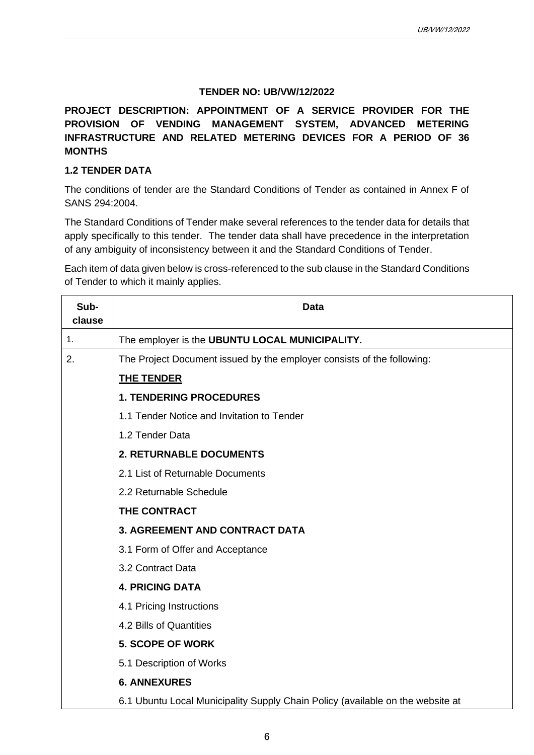#### **TENDER NO: UB/VW/12/2022**

**PROJECT DESCRIPTION: APPOINTMENT OF A SERVICE PROVIDER FOR THE PROVISION OF VENDING MANAGEMENT SYSTEM, ADVANCED METERING INFRASTRUCTURE AND RELATED METERING DEVICES FOR A PERIOD OF 36 MONTHS**

# **1.2 TENDER DATA**

The conditions of tender are the Standard Conditions of Tender as contained in Annex F of SANS 294:2004.

The Standard Conditions of Tender make several references to the tender data for details that apply specifically to this tender. The tender data shall have precedence in the interpretation of any ambiguity of inconsistency between it and the Standard Conditions of Tender.

Each item of data given below is cross-referenced to the sub clause in the Standard Conditions of Tender to which it mainly applies.

| Sub-<br>clause | <b>Data</b>                                                                    |
|----------------|--------------------------------------------------------------------------------|
| $\mathbf{1}$ . | The employer is the UBUNTU LOCAL MUNICIPALITY.                                 |
| 2.             | The Project Document issued by the employer consists of the following:         |
|                | <b>THE TENDER</b>                                                              |
|                | <b>1. TENDERING PROCEDURES</b>                                                 |
|                | 1.1 Tender Notice and Invitation to Tender                                     |
|                | 1.2 Tender Data                                                                |
|                | <b>2. RETURNABLE DOCUMENTS</b>                                                 |
|                | 2.1 List of Returnable Documents                                               |
|                | 2.2 Returnable Schedule                                                        |
|                | THE CONTRACT                                                                   |
|                | <b>3. AGREEMENT AND CONTRACT DATA</b>                                          |
|                | 3.1 Form of Offer and Acceptance                                               |
|                | 3.2 Contract Data                                                              |
|                | <b>4. PRICING DATA</b>                                                         |
|                | 4.1 Pricing Instructions                                                       |
|                | 4.2 Bills of Quantities                                                        |
|                | <b>5. SCOPE OF WORK</b>                                                        |
|                | 5.1 Description of Works                                                       |
|                | <b>6. ANNEXURES</b>                                                            |
|                | 6.1 Ubuntu Local Municipality Supply Chain Policy (available on the website at |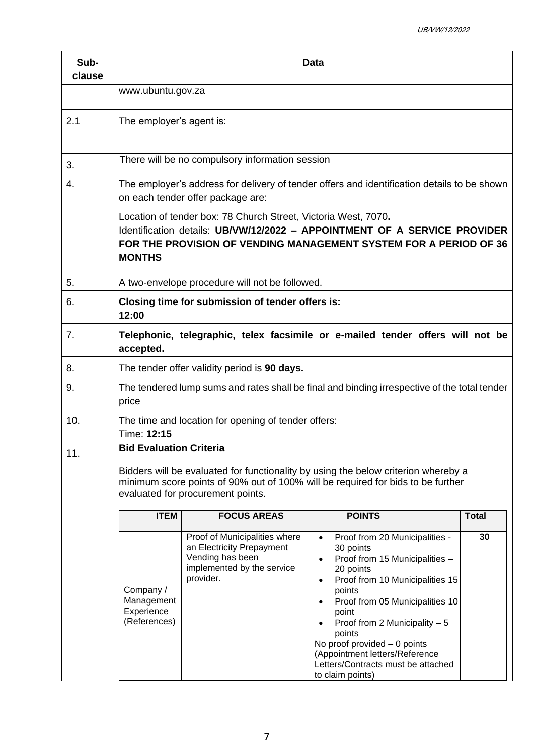| Sub-<br>clause |                                                                                                       |                                                                                                                           | <b>Data</b>                                                                                                                                                                                                                                                                                                                                                                                                     |              |  |  |
|----------------|-------------------------------------------------------------------------------------------------------|---------------------------------------------------------------------------------------------------------------------------|-----------------------------------------------------------------------------------------------------------------------------------------------------------------------------------------------------------------------------------------------------------------------------------------------------------------------------------------------------------------------------------------------------------------|--------------|--|--|
|                | www.ubuntu.gov.za                                                                                     |                                                                                                                           |                                                                                                                                                                                                                                                                                                                                                                                                                 |              |  |  |
| 2.1            | The employer's agent is:                                                                              |                                                                                                                           |                                                                                                                                                                                                                                                                                                                                                                                                                 |              |  |  |
| 3.             |                                                                                                       | There will be no compulsory information session                                                                           |                                                                                                                                                                                                                                                                                                                                                                                                                 |              |  |  |
| 4.             |                                                                                                       | on each tender offer package are:                                                                                         | The employer's address for delivery of tender offers and identification details to be shown                                                                                                                                                                                                                                                                                                                     |              |  |  |
|                | <b>MONTHS</b>                                                                                         | Location of tender box: 78 Church Street, Victoria West, 7070.                                                            | Identification details: UB/VW/12/2022 - APPOINTMENT OF A SERVICE PROVIDER<br>FOR THE PROVISION OF VENDING MANAGEMENT SYSTEM FOR A PERIOD OF 36                                                                                                                                                                                                                                                                  |              |  |  |
| 5.             |                                                                                                       | A two-envelope procedure will not be followed.                                                                            |                                                                                                                                                                                                                                                                                                                                                                                                                 |              |  |  |
| 6.             | 12:00                                                                                                 | Closing time for submission of tender offers is:                                                                          |                                                                                                                                                                                                                                                                                                                                                                                                                 |              |  |  |
| 7.             | accepted.                                                                                             |                                                                                                                           | Telephonic, telegraphic, telex facsimile or e-mailed tender offers will not be                                                                                                                                                                                                                                                                                                                                  |              |  |  |
| 8.             | The tender offer validity period is 90 days.                                                          |                                                                                                                           |                                                                                                                                                                                                                                                                                                                                                                                                                 |              |  |  |
| 9.             | The tendered lump sums and rates shall be final and binding irrespective of the total tender<br>price |                                                                                                                           |                                                                                                                                                                                                                                                                                                                                                                                                                 |              |  |  |
| 10.            | The time and location for opening of tender offers:<br>Time: 12:15                                    |                                                                                                                           |                                                                                                                                                                                                                                                                                                                                                                                                                 |              |  |  |
| 11.            | <b>Bid Evaluation Criteria</b>                                                                        | evaluated for procurement points.                                                                                         | Bidders will be evaluated for functionality by using the below criterion whereby a<br>minimum score points of 90% out of 100% will be required for bids to be further                                                                                                                                                                                                                                           |              |  |  |
|                | <b>ITEM</b>                                                                                           | <b>FOCUS AREAS</b>                                                                                                        | <b>POINTS</b>                                                                                                                                                                                                                                                                                                                                                                                                   | <b>Total</b> |  |  |
|                | Company /<br>Management<br>Experience<br>(References)                                                 | Proof of Municipalities where<br>an Electricity Prepayment<br>Vending has been<br>implemented by the service<br>provider. | Proof from 20 Municipalities -<br>$\bullet$<br>30 points<br>Proof from 15 Municipalities -<br>$\bullet$<br>20 points<br>Proof from 10 Municipalities 15<br>$\bullet$<br>points<br>Proof from 05 Municipalities 10<br>$\bullet$<br>point<br>Proof from 2 Municipality - 5<br>points<br>No proof provided $-0$ points<br>(Appointment letters/Reference<br>Letters/Contracts must be attached<br>to claim points) | 30           |  |  |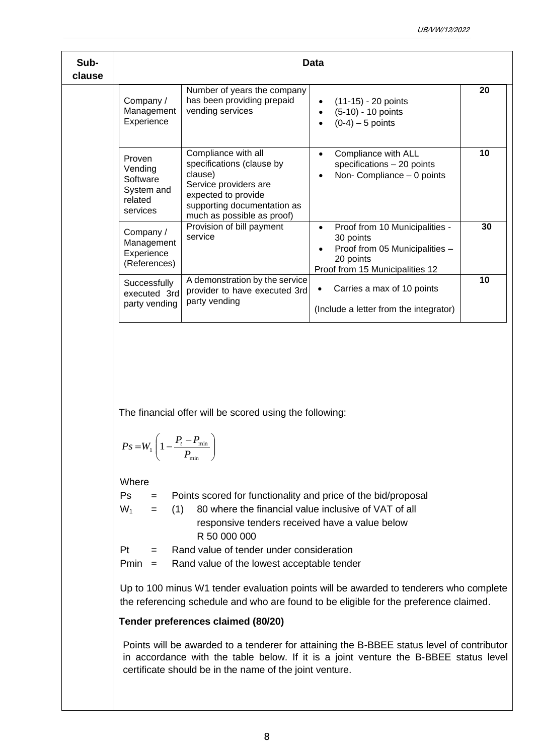| Sub-<br>clause | <b>Data</b>                                                                                                                                                                                                                                                                                                                                                       |  |
|----------------|-------------------------------------------------------------------------------------------------------------------------------------------------------------------------------------------------------------------------------------------------------------------------------------------------------------------------------------------------------------------|--|
|                | Number of years the company<br>20<br>has been providing prepaid<br>Company /<br>(11-15) - 20 points<br>$\bullet$<br>vending services<br>Management<br>(5-10) - 10 points<br>$\bullet$<br>Experience<br>$(0-4) - 5$ points<br>$\bullet$                                                                                                                            |  |
|                | Compliance with all<br>10<br>Compliance with ALL<br>$\bullet$<br>Proven<br>specifications (clause by<br>specifications - 20 points<br>Vending<br>clause)<br>Non- Compliance - 0 points<br>$\bullet$<br>Software<br>Service providers are<br>System and<br>expected to provide<br>related<br>supporting documentation as<br>services<br>much as possible as proof) |  |
|                | Provision of bill payment<br>30<br>Proof from 10 Municipalities -<br>$\bullet$<br>Company /<br>service<br>30 points<br>Management<br>Proof from 05 Municipalities -<br>Experience<br>20 points<br>(References)<br>Proof from 15 Municipalities 12                                                                                                                 |  |
|                | 10<br>A demonstration by the service<br>Successfully<br>Carries a max of 10 points<br>provider to have executed 3rd<br>executed 3rd<br>party vending<br>party vending<br>(Include a letter from the integrator)                                                                                                                                                   |  |
|                | The financial offer will be scored using the following:<br>$P_S = W_1 \left( 1 - \frac{P_t - P_{\min}}{\sigma} \right)$<br>$P_{\rm min}$                                                                                                                                                                                                                          |  |
|                | Where<br>Ps<br>Points scored for functionality and price of the bid/proposal<br>$=$<br>80 where the financial value inclusive of VAT of all<br>$W_1$<br>(1)<br>$=$<br>responsive tenders received have a value below<br>R 50 000 000<br>Rand value of tender under consideration<br>Pt<br>$=$<br>Pmin<br>Rand value of the lowest acceptable tender<br>$=$        |  |
|                | Up to 100 minus W1 tender evaluation points will be awarded to tenderers who complete<br>the referencing schedule and who are found to be eligible for the preference claimed.                                                                                                                                                                                    |  |
|                | Tender preferences claimed (80/20)                                                                                                                                                                                                                                                                                                                                |  |
|                | Points will be awarded to a tenderer for attaining the B-BBEE status level of contributor<br>in accordance with the table below. If it is a joint venture the B-BBEE status level<br>certificate should be in the name of the joint venture.                                                                                                                      |  |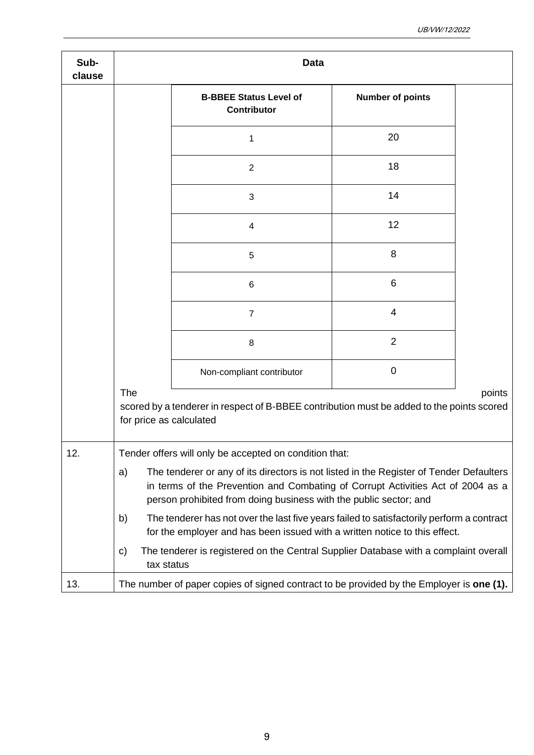| Sub-<br>clause | <b>Data</b>                    |                                                                                                                                                                                                                                                 |                         |        |  |
|----------------|--------------------------------|-------------------------------------------------------------------------------------------------------------------------------------------------------------------------------------------------------------------------------------------------|-------------------------|--------|--|
|                |                                | <b>B-BBEE Status Level of</b><br><b>Contributor</b>                                                                                                                                                                                             | <b>Number of points</b> |        |  |
|                |                                | 1                                                                                                                                                                                                                                               | 20                      |        |  |
|                |                                | $\overline{2}$                                                                                                                                                                                                                                  | 18                      |        |  |
|                |                                | 3                                                                                                                                                                                                                                               | 14                      |        |  |
|                |                                | 4                                                                                                                                                                                                                                               | 12                      |        |  |
|                |                                | 5                                                                                                                                                                                                                                               | 8                       |        |  |
|                |                                | $6\phantom{1}6$                                                                                                                                                                                                                                 | 6                       |        |  |
|                |                                | $\overline{7}$                                                                                                                                                                                                                                  | 4                       |        |  |
|                |                                | 8                                                                                                                                                                                                                                               | $\overline{2}$          |        |  |
|                |                                | Non-compliant contributor                                                                                                                                                                                                                       | $\mathbf 0$             |        |  |
|                | The<br>for price as calculated | scored by a tenderer in respect of B-BBEE contribution must be added to the points scored                                                                                                                                                       |                         | points |  |
| 12.            |                                | Tender offers will only be accepted on condition that:                                                                                                                                                                                          |                         |        |  |
|                | a)                             | The tenderer or any of its directors is not listed in the Register of Tender Defaulters<br>in terms of the Prevention and Combating of Corrupt Activities Act of 2004 as a<br>person prohibited from doing business with the public sector; and |                         |        |  |
|                | b)                             | The tenderer has not over the last five years failed to satisfactorily perform a contract<br>for the employer and has been issued with a written notice to this effect.                                                                         |                         |        |  |
|                | C)<br>tax status               | The tenderer is registered on the Central Supplier Database with a complaint overall                                                                                                                                                            |                         |        |  |
| 13.            |                                | The number of paper copies of signed contract to be provided by the Employer is one (1).                                                                                                                                                        |                         |        |  |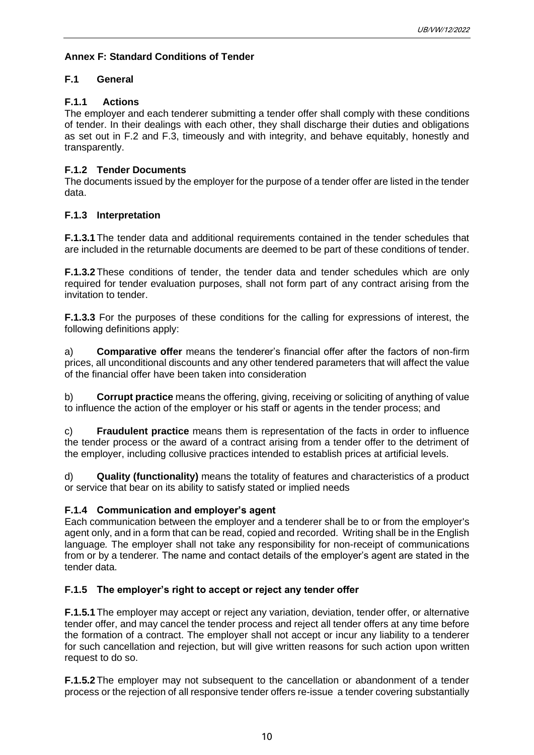# **Annex F: Standard Conditions of Tender**

#### **F.1 General**

# **F.1.1 Actions**

The employer and each tenderer submitting a tender offer shall comply with these conditions of tender. In their dealings with each other, they shall discharge their duties and obligations as set out in F.2 and F.3, timeously and with integrity, and behave equitably, honestly and transparently.

### **F.1.2 Tender Documents**

The documents issued by the employer for the purpose of a tender offer are listed in the tender data.

# **F.1.3 Interpretation**

**F.1.3.1**The tender data and additional requirements contained in the tender schedules that are included in the returnable documents are deemed to be part of these conditions of tender.

**F.1.3.2**These conditions of tender, the tender data and tender schedules which are only required for tender evaluation purposes, shall not form part of any contract arising from the invitation to tender.

**F.1.3.3** For the purposes of these conditions for the calling for expressions of interest, the following definitions apply:

a) **Comparative offer** means the tenderer's financial offer after the factors of non-firm prices, all unconditional discounts and any other tendered parameters that will affect the value of the financial offer have been taken into consideration

b) **Corrupt practice** means the offering, giving, receiving or soliciting of anything of value to influence the action of the employer or his staff or agents in the tender process; and

c) **Fraudulent practice** means them is representation of the facts in order to influence the tender process or the award of a contract arising from a tender offer to the detriment of the employer, including collusive practices intended to establish prices at artificial levels.

d) **Quality (functionality)** means the totality of features and characteristics of a product or service that bear on its ability to satisfy stated or implied needs

# **F.1.4 Communication and employer's agent**

Each communication between the employer and a tenderer shall be to or from the employer's agent only, and in a form that can be read, copied and recorded. Writing shall be in the English language*.* The employer shall not take any responsibility for non-receipt of communications from or by a tenderer*.* The name and contact details of the employer's agent are stated in the tender data.

# **F.1.5 The employer's right to accept or reject any tender offer**

**F.1.5.1**The employer may accept or reject any variation, deviation, tender offer, or alternative tender offer, and may cancel the tender process and reject all tender offers at any time before the formation of a contract. The employer shall not accept or incur any liability to a tenderer for such cancellation and rejection, but will give written reasons for such action upon written request to do so.

**F.1.5.2** The employer may not subsequent to the cancellation or abandonment of a tender process or the rejection of all responsive tender offers re-issue a tender covering substantially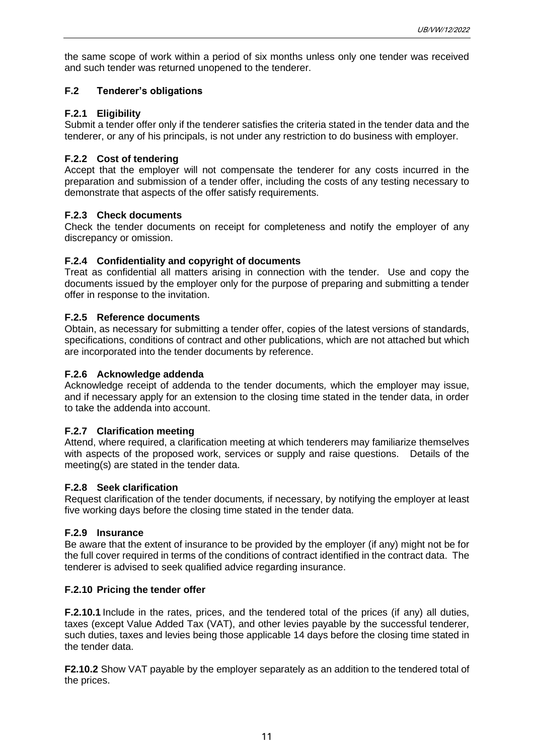the same scope of work within a period of six months unless only one tender was received and such tender was returned unopened to the tenderer.

#### **F.2 Tenderer's obligations**

### **F.2.1 Eligibility**

Submit a tender offer only if the tenderer satisfies the criteria stated in the tender data and the tenderer, or any of his principals, is not under any restriction to do business with employer.

### **F.2.2 Cost of tendering**

Accept that the employer will not compensate the tenderer for any costs incurred in the preparation and submission of a tender offer, including the costs of any testing necessary to demonstrate that aspects of the offer satisfy requirements.

#### **F.2.3 Check documents**

Check the tender documents on receipt for completeness and notify the employer of any discrepancy or omission.

#### **F.2.4 Confidentiality and copyright of documents**

Treat as confidential all matters arising in connection with the tender. Use and copy the documents issued by the employer only for the purpose of preparing and submitting a tender offer in response to the invitation.

#### **F.2.5 Reference documents**

Obtain, as necessary for submitting a tender offer, copies of the latest versions of standards, specifications, conditions of contract and other publications, which are not attached but which are incorporated into the tender documents by reference.

#### **F.2.6 Acknowledge addenda**

Acknowledge receipt of addenda to the tender documents*,* which the employer may issue, and if necessary apply for an extension to the closing time stated in the tender data, in order to take the addenda into account.

#### **F.2.7 Clarification meeting**

Attend, where required, a clarification meeting at which tenderers may familiarize themselves with aspects of the proposed work, services or supply and raise questions. Details of the meeting(s) are stated in the tender data.

#### **F.2.8 Seek clarification**

Request clarification of the tender documents*,* if necessary, by notifying the employer at least five working days before the closing time stated in the tender data.

#### **F.2.9 Insurance**

Be aware that the extent of insurance to be provided by the employer (if any) might not be for the full cover required in terms of the conditions of contract identified in the contract data. The tenderer is advised to seek qualified advice regarding insurance.

#### **F.2.10 Pricing the tender offer**

**F.2.10.1** Include in the rates, prices, and the tendered total of the prices (if any) all duties, taxes (except Value Added Tax (VAT), and other levies payable by the successful tenderer*,* such duties, taxes and levies being those applicable 14 days before the closing time stated in the tender data.

**F2.10.2** Show VAT payable by the employer separately as an addition to the tendered total of the prices.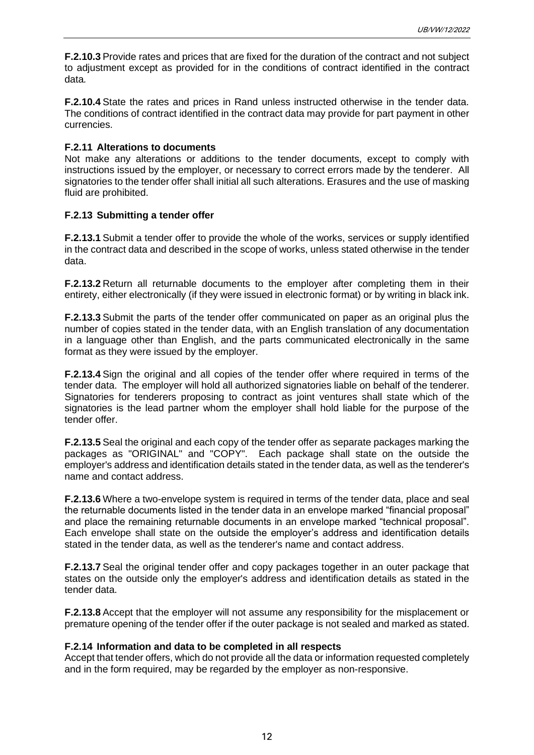**F.2.10.3** Provide rates and prices that are fixed for the duration of the contract and not subject to adjustment except as provided for in the conditions of contract identified in the contract data*.*

**F.2.10.4** State the rates and prices in Rand unless instructed otherwise in the tender data. The conditions of contract identified in the contract data may provide for part payment in other currencies.

#### **F.2.11 Alterations to documents**

Not make any alterations or additions to the tender documents, except to comply with instructions issued by the employer, or necessary to correct errors made by the tenderer. All signatories to the tender offer shall initial all such alterations. Erasures and the use of masking fluid are prohibited.

# **F.2.13 Submitting a tender offer**

**F.2.13.1** Submit a tender offer to provide the whole of the works, services or supply identified in the contract data and described in the scope of works, unless stated otherwise in the tender data.

**F.2.13.2** Return all returnable documents to the employer after completing them in their entirety, either electronically (if they were issued in electronic format) or by writing in black ink.

**F.2.13.3** Submit the parts of the tender offer communicated on paper as an original plus the number of copies stated in the tender data, with an English translation of any documentation in a language other than English, and the parts communicated electronically in the same format as they were issued by the employer.

**F.2.13.4** Sign the original and all copies of the tender offer where required in terms of the tender data. The employer will hold all authorized signatories liable on behalf of the tenderer. Signatories for tenderers proposing to contract as joint ventures shall state which of the signatories is the lead partner whom the employer shall hold liable for the purpose of the tender offer.

**F.2.13.5** Seal the original and each copy of the tender offer as separate packages marking the packages as "ORIGINAL" and "COPY". Each package shall state on the outside the employer's address and identification details stated in the tender data, as well as the tenderer's name and contact address.

**F.2.13.6** Where a two-envelope system is required in terms of the tender data, place and seal the returnable documents listed in the tender data in an envelope marked "financial proposal" and place the remaining returnable documents in an envelope marked "technical proposal". Each envelope shall state on the outside the employer's address and identification details stated in the tender data, as well as the tenderer's name and contact address.

**F.2.13.7** Seal the original tender offer and copy packages together in an outer package that states on the outside only the employer's address and identification details as stated in the tender data.

**F.2.13.8** Accept that the employer will not assume any responsibility for the misplacement or premature opening of the tender offer if the outer package is not sealed and marked as stated.

#### **F.2.14 Information and data to be completed in all respects**

Accept that tender offers, which do not provide all the data or information requested completely and in the form required, may be regarded by the employer as non-responsive.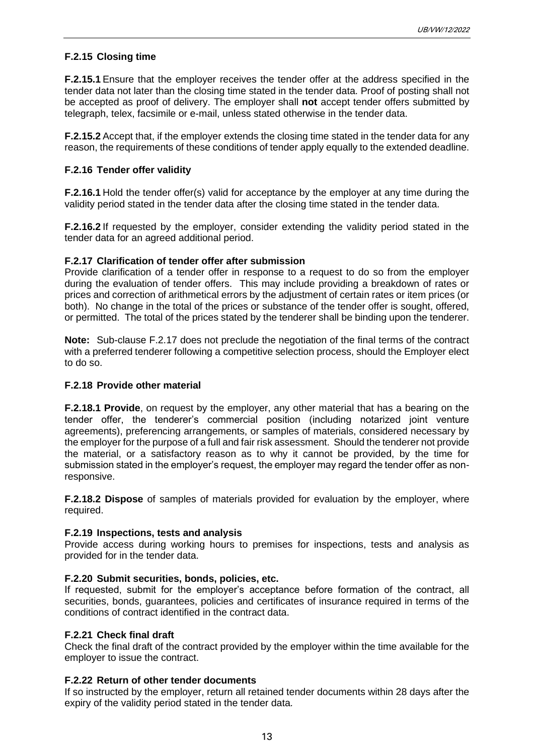# **F.2.15 Closing time**

**F.2.15.1** Ensure that the employer receives the tender offer at the address specified in the tender data not later than the closing time stated in the tender data. Proof of posting shall not be accepted as proof of delivery. The employer shall **not** accept tender offers submitted by telegraph, telex, facsimile or e-mail, unless stated otherwise in the tender data.

**F.2.15.2** Accept that, if the employer extends the closing time stated in the tender data for any reason, the requirements of these conditions of tender apply equally to the extended deadline.

#### **F.2.16 Tender offer validity**

**F.2.16.1** Hold the tender offer(s) valid for acceptance by the employer at any time during the validity period stated in the tender data after the closing time stated in the tender data.

**F.2.16.2** If requested by the employer, consider extending the validity period stated in the tender data for an agreed additional period.

#### **F.2.17 Clarification of tender offer after submission**

Provide clarification of a tender offer in response to a request to do so from the employer during the evaluation of tender offers. This may include providing a breakdown of rates or prices and correction of arithmetical errors by the adjustment of certain rates or item prices (or both). No change in the total of the prices or substance of the tender offer is sought, offered, or permitted. The total of the prices stated by the tenderer shall be binding upon the tenderer.

**Note:** Sub-clause F.2.17 does not preclude the negotiation of the final terms of the contract with a preferred tenderer following a competitive selection process, should the Employer elect to do so.

#### **F.2.18 Provide other material**

**F.2.18.1 Provide**, on request by the employer, any other material that has a bearing on the tender offer, the tenderer's commercial position (including notarized joint venture agreements), preferencing arrangements, or samples of materials, considered necessary by the employer for the purpose of a full and fair risk assessment. Should the tenderer not provide the material, or a satisfactory reason as to why it cannot be provided, by the time for submission stated in the employer's request, the employer may regard the tender offer as nonresponsive.

**F.2.18.2 Dispose** of samples of materials provided for evaluation by the employer, where required.

#### **F.2.19 Inspections, tests and analysis**

Provide access during working hours to premises for inspections, tests and analysis as provided for in the tender data.

#### **F.2.20 Submit securities, bonds, policies, etc.**

If requested, submit for the employer's acceptance before formation of the contract, all securities, bonds, guarantees, policies and certificates of insurance required in terms of the conditions of contract identified in the contract data.

#### **F.2.21 Check final draft**

Check the final draft of the contract provided by the employer within the time available for the employer to issue the contract.

#### **F.2.22 Return of other tender documents**

If so instructed by the employer, return all retained tender documents within 28 days after the expiry of the validity period stated in the tender data*.*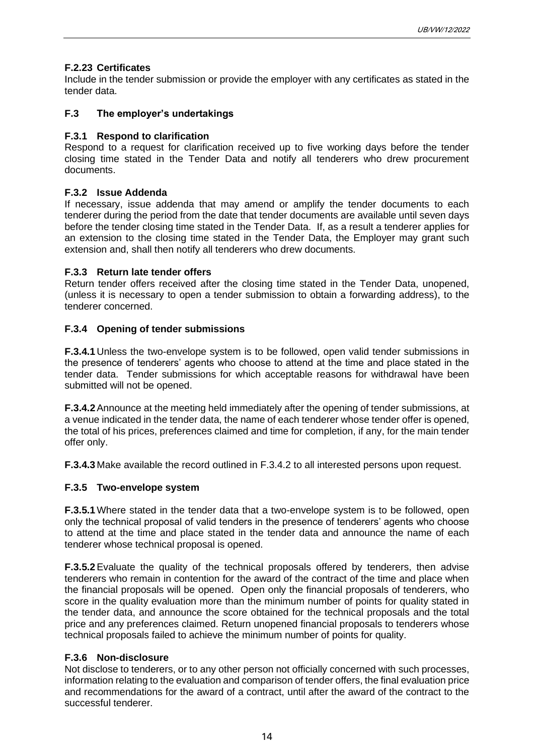# **F.2.23 Certificates**

Include in the tender submission or provide the employer with any certificates as stated in the tender data.

# **F.3 The employer's undertakings**

# **F.3.1 Respond to clarification**

Respond to a request for clarification received up to five working days before the tender closing time stated in the Tender Data and notify all tenderers who drew procurement documents.

#### **F.3.2 Issue Addenda**

If necessary, issue addenda that may amend or amplify the tender documents to each tenderer during the period from the date that tender documents are available until seven days before the tender closing time stated in the Tender Data. If, as a result a tenderer applies for an extension to the closing time stated in the Tender Data, the Employer may grant such extension and, shall then notify all tenderers who drew documents.

#### **F.3.3 Return late tender offers**

Return tender offers received after the closing time stated in the Tender Data, unopened, (unless it is necessary to open a tender submission to obtain a forwarding address), to the tenderer concerned.

# **F.3.4 Opening of tender submissions**

**F.3.4.1** Unless the two-envelope system is to be followed, open valid tender submissions in the presence of tenderers' agents who choose to attend at the time and place stated in the tender data. Tender submissions for which acceptable reasons for withdrawal have been submitted will not be opened.

**F.3.4.2**Announce at the meeting held immediately after the opening of tender submissions, at a venue indicated in the tender data, the name of each tenderer whose tender offer is opened, the total of his prices, preferences claimed and time for completion, if any, for the main tender offer only.

**F.3.4.3** Make available the record outlined in F.3.4.2 to all interested persons upon request.

# **F.3.5 Two-envelope system**

**F.3.5.1**Where stated in the tender data that a two-envelope system is to be followed, open only the technical proposal of valid tenders in the presence of tenderers' agents who choose to attend at the time and place stated in the tender data and announce the name of each tenderer whose technical proposal is opened.

**F.3.5.2**Evaluate the quality of the technical proposals offered by tenderers, then advise tenderers who remain in contention for the award of the contract of the time and place when the financial proposals will be opened. Open only the financial proposals of tenderers, who score in the quality evaluation more than the minimum number of points for quality stated in the tender data, and announce the score obtained for the technical proposals and the total price and any preferences claimed. Return unopened financial proposals to tenderers whose technical proposals failed to achieve the minimum number of points for quality.

# **F.3.6 Non-disclosure**

Not disclose to tenderers, or to any other person not officially concerned with such processes, information relating to the evaluation and comparison of tender offers, the final evaluation price and recommendations for the award of a contract, until after the award of the contract to the successful tenderer.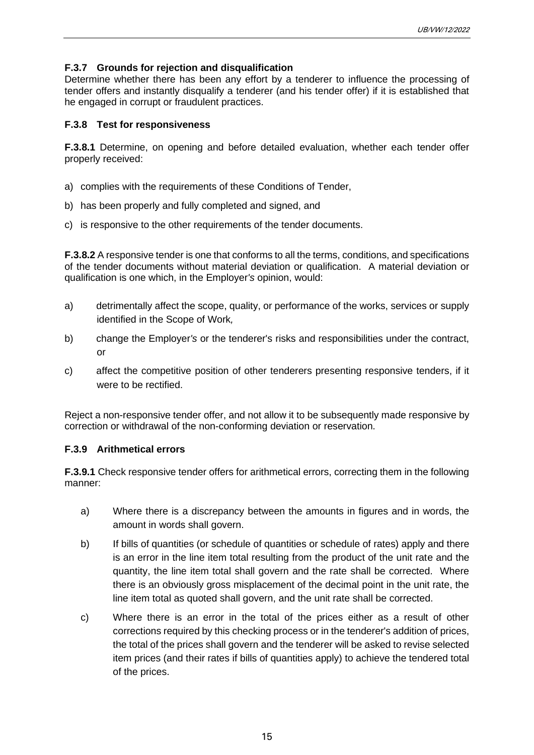# **F.3.7 Grounds for rejection and disqualification**

Determine whether there has been any effort by a tenderer to influence the processing of tender offers and instantly disqualify a tenderer (and his tender offer) if it is established that he engaged in corrupt or fraudulent practices.

#### **F.3.8 Test for responsiveness**

**F.3.8.1** Determine, on opening and before detailed evaluation, whether each tender offer properly received:

- a) complies with the requirements of these Conditions of Tender,
- b) has been properly and fully completed and signed, and
- c) is responsive to the other requirements of the tender documents.

**F.3.8.2** A responsive tender is one that conforms to all the terms, conditions, and specifications of the tender documents without material deviation or qualification. A material deviation or qualification is one which, in the Employer*'s* opinion, would:

- a) detrimentally affect the scope, quality, or performance of the works, services or supply identified in the Scope of Work*,*
- b) change the Employer*'s* or the tenderer's risks and responsibilities under the contract, or
- c) affect the competitive position of other tenderers presenting responsive tenders, if it were to be rectified.

Reject a non-responsive tender offer, and not allow it to be subsequently made responsive by correction or withdrawal of the non-conforming deviation or reservation.

#### **F.3.9 Arithmetical errors**

**F.3.9.1** Check responsive tender offers for arithmetical errors, correcting them in the following manner:

- a) Where there is a discrepancy between the amounts in figures and in words, the amount in words shall govern.
- b) If bills of quantities (or schedule of quantities or schedule of rates) apply and there is an error in the line item total resulting from the product of the unit rate and the quantity, the line item total shall govern and the rate shall be corrected. Where there is an obviously gross misplacement of the decimal point in the unit rate, the line item total as quoted shall govern, and the unit rate shall be corrected.
- c) Where there is an error in the total of the prices either as a result of other corrections required by this checking process or in the tenderer's addition of prices, the total of the prices shall govern and the tenderer will be asked to revise selected item prices (and their rates if bills of quantities apply) to achieve the tendered total of the prices.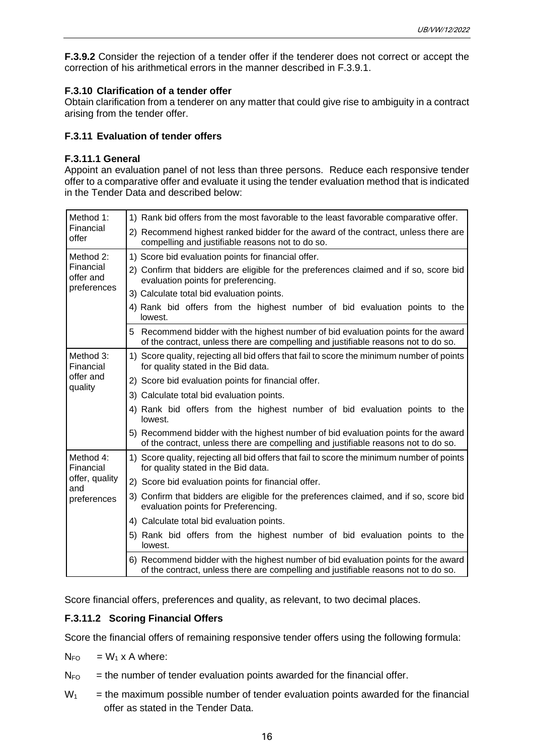**F.3.9.2** Consider the rejection of a tender offer if the tenderer does not correct or accept the correction of his arithmetical errors in the manner described in F.3.9.1.

# **F.3.10 Clarification of a tender offer**

Obtain clarification from a tenderer on any matter that could give rise to ambiguity in a contract arising from the tender offer.

# **F.3.11 Evaluation of tender offers**

#### **F.3.11.1 General**

Appoint an evaluation panel of not less than three persons. Reduce each responsive tender offer to a comparative offer and evaluate it using the tender evaluation method that is indicated in the Tender Data and described below:

| Method 1:                             | 1) Rank bid offers from the most favorable to the least favorable comparative offer.                                                                                     |
|---------------------------------------|--------------------------------------------------------------------------------------------------------------------------------------------------------------------------|
| Financial<br>offer                    | 2) Recommend highest ranked bidder for the award of the contract, unless there are<br>compelling and justifiable reasons not to do so.                                   |
| Method 2:                             | 1) Score bid evaluation points for financial offer.                                                                                                                      |
| Financial<br>offer and<br>preferences | 2) Confirm that bidders are eligible for the preferences claimed and if so, score bid<br>evaluation points for preferencing.                                             |
|                                       | 3) Calculate total bid evaluation points.                                                                                                                                |
|                                       | 4) Rank bid offers from the highest number of bid evaluation points to the<br>lowest.                                                                                    |
|                                       | 5 Recommend bidder with the highest number of bid evaluation points for the award<br>of the contract, unless there are compelling and justifiable reasons not to do so.  |
| Method 3:<br>Financial                | 1) Score quality, rejecting all bid offers that fail to score the minimum number of points<br>for quality stated in the Bid data.                                        |
| offer and<br>quality                  | 2) Score bid evaluation points for financial offer.                                                                                                                      |
|                                       | 3) Calculate total bid evaluation points.                                                                                                                                |
|                                       | 4) Rank bid offers from the highest number of bid evaluation points to the<br>lowest.                                                                                    |
|                                       | 5) Recommend bidder with the highest number of bid evaluation points for the award<br>of the contract, unless there are compelling and justifiable reasons not to do so. |
| Method 4:<br>Financial                | 1) Score quality, rejecting all bid offers that fail to score the minimum number of points<br>for quality stated in the Bid data.                                        |
| offer, quality<br>and<br>preferences  | 2) Score bid evaluation points for financial offer.                                                                                                                      |
|                                       | 3) Confirm that bidders are eligible for the preferences claimed, and if so, score bid<br>evaluation points for Preferencing.                                            |
|                                       | 4) Calculate total bid evaluation points.                                                                                                                                |
|                                       | 5) Rank bid offers from the highest number of bid evaluation points to the<br>lowest.                                                                                    |
|                                       | 6) Recommend bidder with the highest number of bid evaluation points for the award<br>of the contract, unless there are compelling and justifiable reasons not to do so. |

Score financial offers, preferences and quality, as relevant, to two decimal places.

# **F.3.11.2 Scoring Financial Offers**

Score the financial offers of remaining responsive tender offers using the following formula:

- $N_{FO}$  =  $W_1$  x A where:
- $N_{FO}$  = the number of tender evaluation points awarded for the financial offer.
- $W_1$  = the maximum possible number of tender evaluation points awarded for the financial offer as stated in the Tender Data.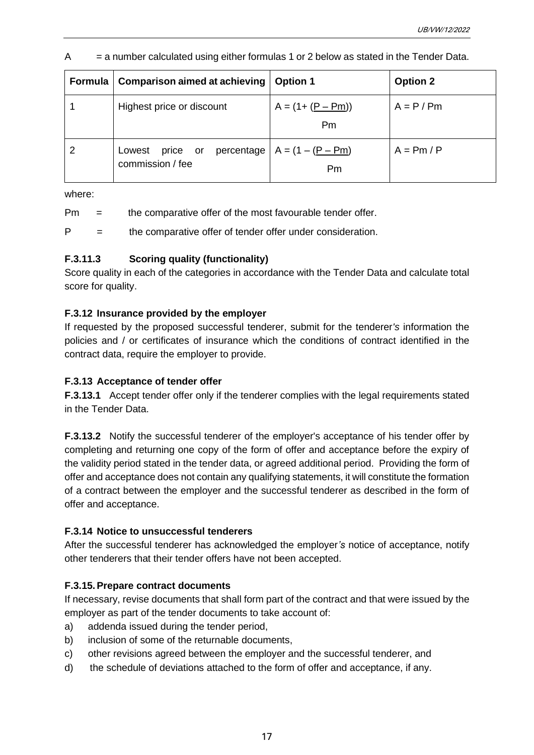| $=$ a number calculated using either formulas 1 or 2 below as stated in the Tender Data. |  |
|------------------------------------------------------------------------------------------|--|
|                                                                                          |  |

| Formula | Comparison aimed at achieving                                          | <b>Option 1</b>                        | <b>Option 2</b> |
|---------|------------------------------------------------------------------------|----------------------------------------|-----------------|
|         | Highest price or discount                                              | $A = (1 + (P - Pm))$<br>P <sub>m</sub> | $A = P / Pm$    |
| 2       | price or percentage $A = (1 - (P - Pm))$<br>Lowest<br>commission / fee | Pm                                     | $A = Pm / P$    |

where:

Pm = the comparative offer of the most favourable tender offer.

 $P =$  the comparative offer of tender offer under consideration.

# **F.3.11.3 Scoring quality (functionality)**

Score quality in each of the categories in accordance with the Tender Data and calculate total score for quality.

# **F.3.12 Insurance provided by the employer**

If requested by the proposed successful tenderer, submit for the tenderer*'s* information the policies and / or certificates of insurance which the conditions of contract identified in the contract data, require the employer to provide.

# **F.3.13 Acceptance of tender offer**

**F.3.13.1** Accept tender offer only if the tenderer complies with the legal requirements stated in the Tender Data.

**F.3.13.2** Notify the successful tenderer of the employer's acceptance of his tender offer by completing and returning one copy of the form of offer and acceptance before the expiry of the validity period stated in the tender data, or agreed additional period. Providing the form of offer and acceptance does not contain any qualifying statements, it will constitute the formation of a contract between the employer and the successful tenderer as described in the form of offer and acceptance.

# **F.3.14 Notice to unsuccessful tenderers**

After the successful tenderer has acknowledged the employer*'s* notice of acceptance, notify other tenderers that their tender offers have not been accepted.

# **F.3.15.Prepare contract documents**

If necessary, revise documents that shall form part of the contract and that were issued by the employer as part of the tender documents to take account of:

- a) addenda issued during the tender period,
- b) inclusion of some of the returnable documents,
- c) other revisions agreed between the employer and the successful tenderer, and
- d) the schedule of deviations attached to the form of offer and acceptance, if any.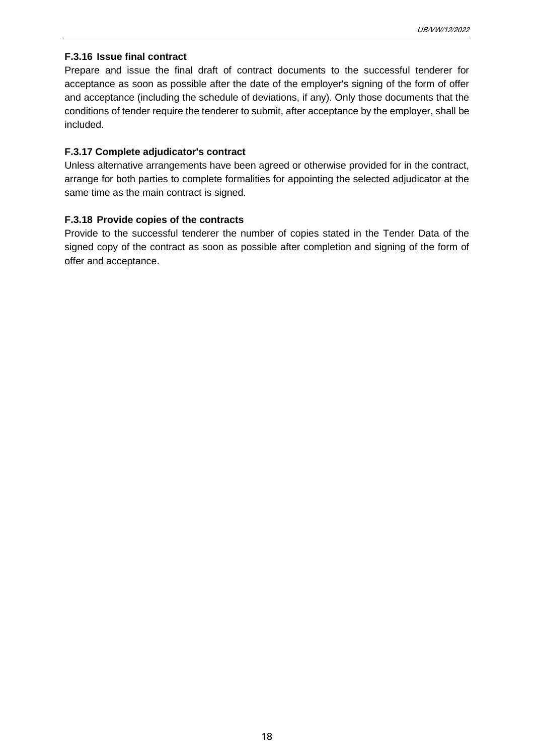#### **F.3.16 Issue final contract**

Prepare and issue the final draft of contract documents to the successful tenderer for acceptance as soon as possible after the date of the employer's signing of the form of offer and acceptance (including the schedule of deviations, if any). Only those documents that the conditions of tender require the tenderer to submit, after acceptance by the employer, shall be included.

# **F.3.17 Complete adjudicator's contract**

Unless alternative arrangements have been agreed or otherwise provided for in the contract, arrange for both parties to complete formalities for appointing the selected adjudicator at the same time as the main contract is signed.

#### **F.3.18 Provide copies of the contracts**

Provide to the successful tenderer the number of copies stated in the Tender Data of the signed copy of the contract as soon as possible after completion and signing of the form of offer and acceptance.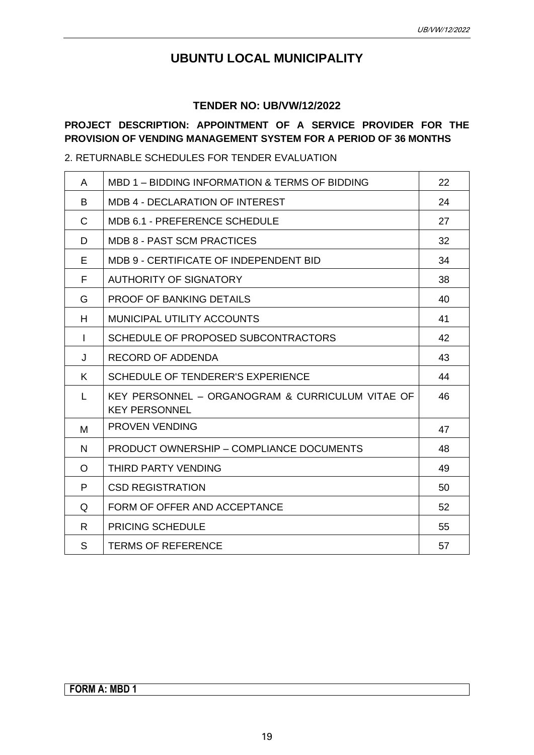# **UBUNTU LOCAL MUNICIPALITY**

# **TENDER NO: UB/VW/12/2022**

# **PROJECT DESCRIPTION: APPOINTMENT OF A SERVICE PROVIDER FOR THE PROVISION OF VENDING MANAGEMENT SYSTEM FOR A PERIOD OF 36 MONTHS**

2. RETURNABLE SCHEDULES FOR TENDER EVALUATION

| A            | MBD 1 - BIDDING INFORMATION & TERMS OF BIDDING                           | 22 |
|--------------|--------------------------------------------------------------------------|----|
| B            | MDB 4 - DECLARATION OF INTEREST                                          | 24 |
| C            | MDB 6.1 - PREFERENCE SCHEDULE                                            | 27 |
| D            | <b>MDB 8 - PAST SCM PRACTICES</b>                                        | 32 |
| E            | MDB 9 - CERTIFICATE OF INDEPENDENT BID                                   | 34 |
| F            | <b>AUTHORITY OF SIGNATORY</b>                                            | 38 |
| G            | <b>PROOF OF BANKING DETAILS</b>                                          | 40 |
| H            | <b>MUNICIPAL UTILITY ACCOUNTS</b>                                        | 41 |
| $\mathbf{I}$ | SCHEDULE OF PROPOSED SUBCONTRACTORS                                      | 42 |
| J            | <b>RECORD OF ADDENDA</b>                                                 | 43 |
| K            | SCHEDULE OF TENDERER'S EXPERIENCE                                        | 44 |
| L            | KEY PERSONNEL - ORGANOGRAM & CURRICULUM VITAE OF<br><b>KEY PERSONNEL</b> | 46 |
| М            | <b>PROVEN VENDING</b>                                                    | 47 |
| N            | <b>PRODUCT OWNERSHIP - COMPLIANCE DOCUMENTS</b>                          | 48 |
| $\Omega$     | THIRD PARTY VENDING                                                      | 49 |
| P            | <b>CSD REGISTRATION</b>                                                  | 50 |
| Q            | FORM OF OFFER AND ACCEPTANCE                                             | 52 |
| R            | <b>PRICING SCHEDULE</b>                                                  | 55 |
| S            | <b>TERMS OF REFERENCE</b>                                                | 57 |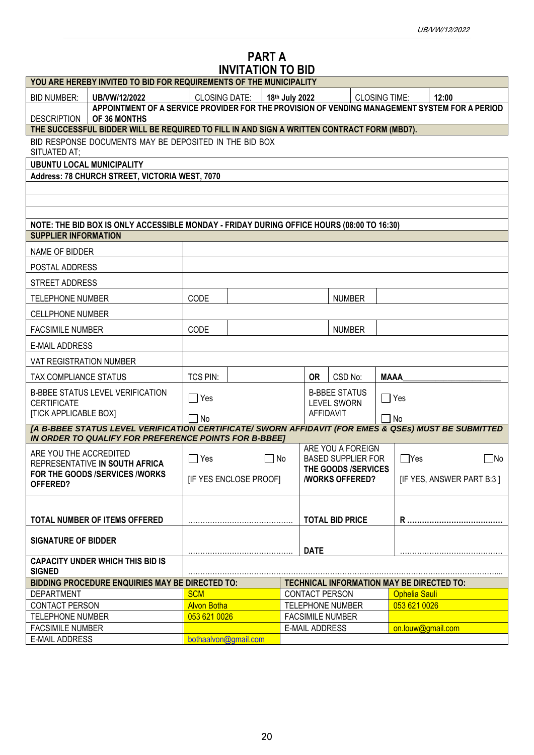# **PART A INVITATION TO BID**

| YOU ARE HEREBY INVITED TO BID FOR REQUIREMENTS OF THE MUNICIPALITY                                                              |                                         |                        |                |                       |                                                  |             |                      |                   |                           |
|---------------------------------------------------------------------------------------------------------------------------------|-----------------------------------------|------------------------|----------------|-----------------------|--------------------------------------------------|-------------|----------------------|-------------------|---------------------------|
| <b>BID NUMBER:</b><br>UB/VW/12/2022                                                                                             | <b>CLOSING DATE:</b>                    |                        | 18th July 2022 |                       | <b>CLOSING TIME:</b>                             |             |                      | 12:00             |                           |
| APPOINTMENT OF A SERVICE PROVIDER FOR THE PROVISION OF VENDING MANAGEMENT SYSTEM FOR A PERIOD                                   |                                         |                        |                |                       |                                                  |             |                      |                   |                           |
| OF 36 MONTHS<br><b>DESCRIPTION</b>                                                                                              |                                         |                        |                |                       |                                                  |             |                      |                   |                           |
| THE SUCCESSFUL BIDDER WILL BE REQUIRED TO FILL IN AND SIGN A WRITTEN CONTRACT FORM (MBD7).                                      |                                         |                        |                |                       |                                                  |             |                      |                   |                           |
| BID RESPONSE DOCUMENTS MAY BE DEPOSITED IN THE BID BOX<br>SITUATED AT;                                                          |                                         |                        |                |                       |                                                  |             |                      |                   |                           |
| <b>UBUNTU LOCAL MUNICIPALITY</b>                                                                                                |                                         |                        |                |                       |                                                  |             |                      |                   |                           |
| Address: 78 CHURCH STREET, VICTORIA WEST, 7070                                                                                  |                                         |                        |                |                       |                                                  |             |                      |                   |                           |
|                                                                                                                                 |                                         |                        |                |                       |                                                  |             |                      |                   |                           |
|                                                                                                                                 |                                         |                        |                |                       |                                                  |             |                      |                   |                           |
|                                                                                                                                 |                                         |                        |                |                       |                                                  |             |                      |                   |                           |
| <b>NOTE: THE BID BOX IS ONLY ACCESSIBLE MONDAY - FRIDAY DURING OFFICE HOURS (08:00 TO 16:30)</b><br><b>SUPPLIER INFORMATION</b> |                                         |                        |                |                       |                                                  |             |                      |                   |                           |
| NAME OF BIDDER                                                                                                                  |                                         |                        |                |                       |                                                  |             |                      |                   |                           |
| POSTAL ADDRESS                                                                                                                  |                                         |                        |                |                       |                                                  |             |                      |                   |                           |
| STREET ADDRESS                                                                                                                  |                                         |                        |                |                       |                                                  |             |                      |                   |                           |
| <b>TELEPHONE NUMBER</b>                                                                                                         | CODE                                    |                        |                |                       | <b>NUMBER</b>                                    |             |                      |                   |                           |
| <b>CELLPHONE NUMBER</b>                                                                                                         |                                         |                        |                |                       |                                                  |             |                      |                   |                           |
| <b>FACSIMILE NUMBER</b>                                                                                                         | CODE                                    |                        |                |                       | <b>NUMBER</b>                                    |             |                      |                   |                           |
| <b>E-MAIL ADDRESS</b>                                                                                                           |                                         |                        |                |                       |                                                  |             |                      |                   |                           |
| <b>VAT REGISTRATION NUMBER</b>                                                                                                  |                                         |                        |                |                       |                                                  |             |                      |                   |                           |
| TAX COMPLIANCE STATUS                                                                                                           | <b>TCS PIN:</b>                         |                        |                | <b>OR</b>             | CSD No:                                          | <b>MAAA</b> |                      |                   |                           |
| <b>B-BBEE STATUS LEVEL VERIFICATION</b>                                                                                         | $\Box$ Yes                              |                        |                |                       | <b>B-BBEE STATUS</b>                             | $\Box$ Yes  |                      |                   |                           |
| <b>CERTIFICATE</b><br><b>[TICK APPLICABLE BOX]</b>                                                                              |                                         |                        |                |                       | <b>LEVEL SWORN</b><br>AFFIDAVIT                  |             |                      |                   |                           |
| [A B-BBEE STATUS LEVEL VERIFICATION CERTIFICATE/ SWORN AFFIDAVIT (FOR EMES & QSEs) MUST BE SUBMITTED                            | 1 No                                    |                        |                |                       |                                                  | $\Box$ No   |                      |                   |                           |
| IN ORDER TO QUALIFY FOR PREFERENCE POINTS FOR B-BBEE]                                                                           |                                         |                        |                |                       |                                                  |             |                      |                   |                           |
| ARE YOU THE ACCREDITED                                                                                                          |                                         |                        |                |                       | ARE YOU A FOREIGN                                |             |                      |                   |                           |
| REPRESENTATIVE IN SOUTH AFRICA                                                                                                  | $\sqsupset$ Yes                         | ∐ No                   |                |                       | <b>BASED SUPPLIER FOR</b><br>THE GOODS /SERVICES |             | $\Box$ Yes           |                   | $\Box$ No                 |
| FOR THE GOODS /SERVICES /WORKS                                                                                                  |                                         | [IF YES ENCLOSE PROOF] |                |                       | <b>/WORKS OFFERED?</b>                           |             |                      |                   | [IF YES, ANSWER PART B:3] |
| OFFERED?                                                                                                                        |                                         |                        |                |                       |                                                  |             |                      |                   |                           |
|                                                                                                                                 |                                         |                        |                |                       |                                                  |             |                      |                   |                           |
| <b>TOTAL NUMBER OF ITEMS OFFERED</b>                                                                                            |                                         |                        |                |                       | <b>TOTAL BID PRICE</b>                           |             |                      |                   |                           |
|                                                                                                                                 |                                         |                        |                |                       |                                                  |             |                      |                   |                           |
| <b>SIGNATURE OF BIDDER</b>                                                                                                      |                                         |                        |                | <b>DATE</b>           |                                                  |             |                      |                   |                           |
| <b>CAPACITY UNDER WHICH THIS BID IS</b><br><b>SIGNED</b>                                                                        |                                         |                        |                |                       |                                                  |             |                      |                   |                           |
| <b>BIDDING PROCEDURE ENQUIRIES MAY BE DIRECTED TO:</b>                                                                          |                                         |                        |                |                       | TECHNICAL INFORMATION MAY BE DIRECTED TO:        |             |                      |                   |                           |
| <b>DEPARTMENT</b>                                                                                                               | <b>SCM</b>                              |                        |                | <b>CONTACT PERSON</b> |                                                  |             | <b>Ophelia Sauli</b> |                   |                           |
| CONTACT PERSON                                                                                                                  | <b>Alvon Botha</b>                      |                        |                |                       | <b>TELEPHONE NUMBER</b>                          |             | 053 621 0026         |                   |                           |
| <b>TELEPHONE NUMBER</b>                                                                                                         | 053 621 0026<br><b>FACSIMILE NUMBER</b> |                        |                |                       |                                                  |             |                      |                   |                           |
| <b>FACSIMILE NUMBER</b>                                                                                                         |                                         |                        |                | <b>E-MAIL ADDRESS</b> |                                                  |             |                      | on.louw@gmail.com |                           |
| <b>E-MAIL ADDRESS</b>                                                                                                           | bothaalvon@gmail.com                    |                        |                |                       |                                                  |             |                      |                   |                           |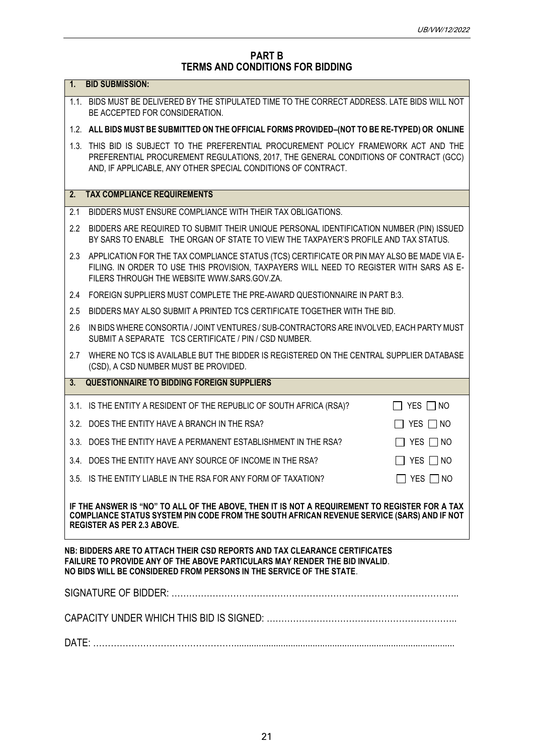# **PART B TERMS AND CONDITIONS FOR BIDDING**

| $\overline{1}$ . | <b>BID SUBMISSION:</b>                                                                                                                                                                                                                         |
|------------------|------------------------------------------------------------------------------------------------------------------------------------------------------------------------------------------------------------------------------------------------|
|                  | 1.1. BIDS MUST BE DELIVERED BY THE STIPULATED TIME TO THE CORRECT ADDRESS. LATE BIDS WILL NOT<br>BE ACCEPTED FOR CONSIDERATION.                                                                                                                |
|                  | 1.2. ALL BIDS MUST BE SUBMITTED ON THE OFFICIAL FORMS PROVIDED-(NOT TO BE RE-TYPED) OR ONLINE                                                                                                                                                  |
|                  | 1.3. THIS BID IS SUBJECT TO THE PREFERENTIAL PROCUREMENT POLICY FRAMEWORK ACT AND THE<br>PREFERENTIAL PROCUREMENT REGULATIONS, 2017, THE GENERAL CONDITIONS OF CONTRACT (GCC)<br>AND, IF APPLICABLE, ANY OTHER SPECIAL CONDITIONS OF CONTRACT. |
| 2.               | <b>TAX COMPLIANCE REQUIREMENTS</b>                                                                                                                                                                                                             |
| 2.1              | BIDDERS MUST ENSURE COMPLIANCE WITH THEIR TAX OBLIGATIONS.                                                                                                                                                                                     |
| 2.2              | BIDDERS ARE REQUIRED TO SUBMIT THEIR UNIQUE PERSONAL IDENTIFICATION NUMBER (PIN) ISSUED<br>BY SARS TO ENABLE THE ORGAN OF STATE TO VIEW THE TAXPAYER'S PROFILE AND TAX STATUS.                                                                 |
| 2.3              | APPLICATION FOR THE TAX COMPLIANCE STATUS (TCS) CERTIFICATE OR PIN MAY ALSO BE MADE VIA E-<br>FILING. IN ORDER TO USE THIS PROVISION, TAXPAYERS WILL NEED TO REGISTER WITH SARS AS E-<br>FILERS THROUGH THE WEBSITE WWW.SARS.GOV.ZA.           |
| 2.4              | FOREIGN SUPPLIERS MUST COMPLETE THE PRE-AWARD QUESTIONNAIRE IN PART B:3.                                                                                                                                                                       |
| 2.5              | BIDDERS MAY ALSO SUBMIT A PRINTED TCS CERTIFICATE TOGETHER WITH THE BID.                                                                                                                                                                       |
| 2.6              | IN BIDS WHERE CONSORTIA / JOINT VENTURES / SUB-CONTRACTORS ARE INVOLVED, EACH PARTY MUST<br>SUBMIT A SEPARATE TCS CERTIFICATE / PIN / CSD NUMBER.                                                                                              |
| 2.7              | WHERE NO TCS IS AVAILABLE BUT THE BIDDER IS REGISTERED ON THE CENTRAL SUPPLIER DATABASE<br>(CSD), A CSD NUMBER MUST BE PROVIDED.                                                                                                               |
| 3.               | <b>QUESTIONNAIRE TO BIDDING FOREIGN SUPPLIERS</b>                                                                                                                                                                                              |
|                  | 3.1. IS THE ENTITY A RESIDENT OF THE REPUBLIC OF SOUTH AFRICA (RSA)?<br>YES $\Box$ NO                                                                                                                                                          |
|                  | 3.2. DOES THE ENTITY HAVE A BRANCH IN THE RSA?<br>$\Box$ yes $\Box$ no                                                                                                                                                                         |
|                  | 3.3. DOES THE ENTITY HAVE A PERMANENT ESTABLISHMENT IN THE RSA?<br>YES $\Box$ NO                                                                                                                                                               |
|                  | 3.4. DOES THE ENTITY HAVE ANY SOURCE OF INCOME IN THE RSA?<br>YES $\Box$ NO                                                                                                                                                                    |
|                  | $\Box$ YES $\Box$ NO<br>3.5. IS THE ENTITY LIABLE IN THE RSA FOR ANY FORM OF TAXATION?                                                                                                                                                         |
|                  | IF THE ANSWER IS "NO" TO ALL OF THE ABOVE, THEN IT IS NOT A REQUIREMENT TO REGISTER FOR A TAX<br>COMPLIANCE STATUS SYSTEM PIN CODE FROM THE SOUTH AFRICAN REVENUE SERVICE (SARS) AND IF NOT<br><b>REGISTER AS PER 2.3 ABOVE.</b>               |
|                  | NB: BIDDERS ARE TO ATTACH THEIR CSD REPORTS AND TAX CLEARANCE CERTIFICATES<br>FAILURE TO PROVIDE ANY OF THE ABOVE PARTICULARS MAY RENDER THE BID INVALID.<br>NO BIDS WILL BE CONSIDERED FROM PERSONS IN THE SERVICE OF THE STATE.              |
|                  |                                                                                                                                                                                                                                                |
|                  |                                                                                                                                                                                                                                                |
|                  |                                                                                                                                                                                                                                                |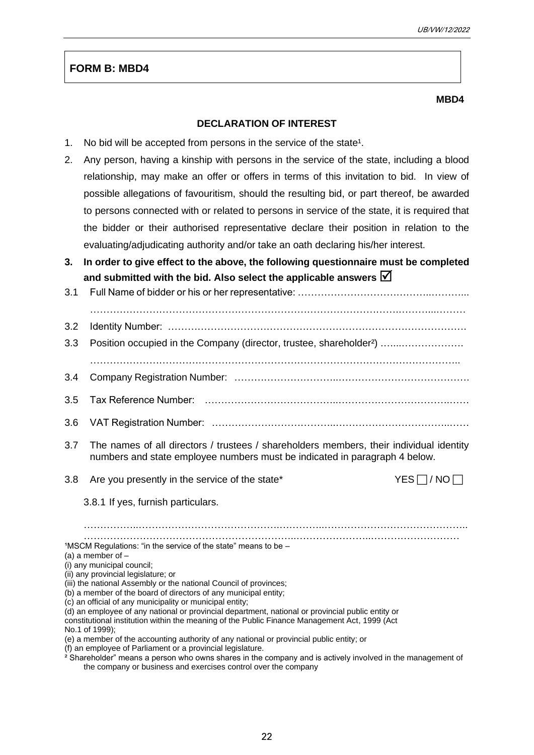# **FORM B: MBD4**

#### **MBD4**

#### **DECLARATION OF INTEREST**

- 1. No bid will be accepted from persons in the service of the state<sup>1</sup>.
- 2. Any person, having a kinship with persons in the service of the state, including a blood relationship, may make an offer or offers in terms of this invitation to bid. In view of possible allegations of favouritism, should the resulting bid, or part thereof, be awarded to persons connected with or related to persons in service of the state, it is required that the bidder or their authorised representative declare their position in relation to the evaluating/adjudicating authority and/or take an oath declaring his/her interest.
- **3. In order to give effect to the above, the following questionnaire must be completed and submitted with the bid. Also select the applicable answers**

# 3.1 Full Name of bidder or his or her representative: …………………………………..………... ………………………………………………………………………………….………...……… 3.2 Identity Number: ………………………………………………………………………………. 3.3 Position occupied in the Company (director, trustee, shareholder²) .…...………………. 3.4 Company Registration Number: …………………………..…………………………………. 3.5 Tax Reference Number: …………………………………..…………………………….…… 3.6 VAT Registration Number: ………………………………..……………………………..…… 3.7 The names of all directors / trustees / shareholders members, their individual identity numbers and state employee numbers must be indicated in paragraph 4 below. 3.8 Are you presently in the service of the state\* YES  $\Box$  / NO  $\Box$ 3.8.1 If yes, furnish particulars. ……………..…………………………………….…………..…………………………………….. ………………………………………………………..…………………..………………………  $1$ MSCM Regulations: "in the service of the state" means to be  $-$ (a) a member of  $-$ (i) any municipal council; (ii) any provincial legislature; or (iii) the national Assembly or the national Council of provinces; (b) a member of the board of directors of any municipal entity; (c) an official of any municipality or municipal entity; (d) an employee of any national or provincial department, national or provincial public entity or constitutional institution within the meaning of the Public Finance Management Act, 1999 (Act No.1 of 1999); (e) a member of the accounting authority of any national or provincial public entity; or (f) an employee of Parliament or a provincial legislature. ² Shareholder" means a person who owns shares in the company and is actively involved in the management of the company or business and exercises control over the company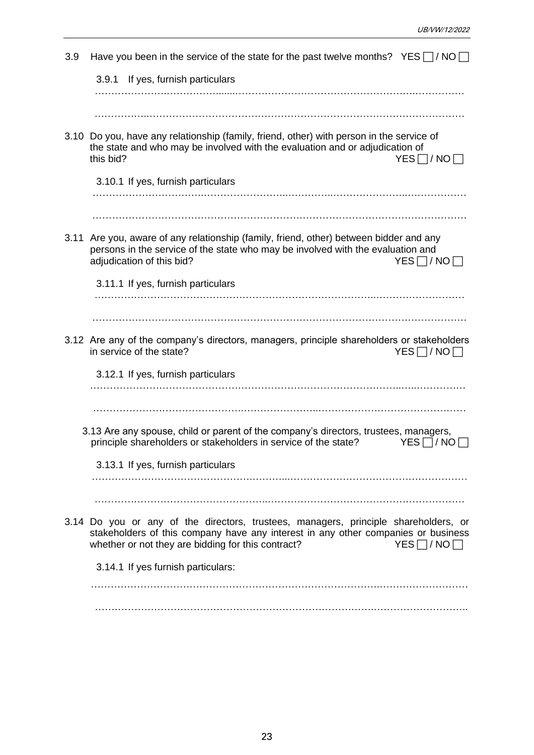| 3.9 | Have you been in the service of the state for the past twelve months? YES $\Box$ / NO $\Box$                                                                                                                                         |
|-----|--------------------------------------------------------------------------------------------------------------------------------------------------------------------------------------------------------------------------------------|
|     | 3.9.1 If yes, furnish particulars                                                                                                                                                                                                    |
|     |                                                                                                                                                                                                                                      |
|     |                                                                                                                                                                                                                                      |
|     | 3.10 Do you, have any relationship (family, friend, other) with person in the service of<br>the state and who may be involved with the evaluation and or adjudication of<br>this bid?<br>$YES$ $\Box$ / $NO$ $\Box$                  |
|     | 3.10.1 If yes, furnish particulars                                                                                                                                                                                                   |
|     |                                                                                                                                                                                                                                      |
|     |                                                                                                                                                                                                                                      |
|     | 3.11 Are you, aware of any relationship (family, friend, other) between bidder and any<br>persons in the service of the state who may be involved with the evaluation and<br>adjudication of this bid?<br>$YES$ $\Box$ / $NO$ $\Box$ |
|     | 3.11.1 If yes, furnish particulars                                                                                                                                                                                                   |
|     |                                                                                                                                                                                                                                      |
|     | 3.12 Are any of the company's directors, managers, principle shareholders or stakeholders                                                                                                                                            |
|     | in service of the state?<br>$YES$ $\Box$ / $NO$ $\Box$                                                                                                                                                                               |
|     | 3.12.1 If yes, furnish particulars                                                                                                                                                                                                   |
|     |                                                                                                                                                                                                                                      |
|     | 3.13 Are any spouse, child or parent of the company's directors, trustees, managers,                                                                                                                                                 |
|     | principle shareholders or stakeholders in service of the state? $YES \Box / NO \Box$                                                                                                                                                 |
|     | 3.13.1 If yes, furnish particulars                                                                                                                                                                                                   |
|     |                                                                                                                                                                                                                                      |
|     | 3.14 Do you or any of the directors, trustees, managers, principle shareholders, or                                                                                                                                                  |
|     | stakeholders of this company have any interest in any other companies or business<br>whether or not they are bidding for this contract?<br>$YES\Box/NO\Box$                                                                          |
|     | 3.14.1 If yes furnish particulars:                                                                                                                                                                                                   |
|     |                                                                                                                                                                                                                                      |
|     |                                                                                                                                                                                                                                      |

………………………………………………………………………….………………………..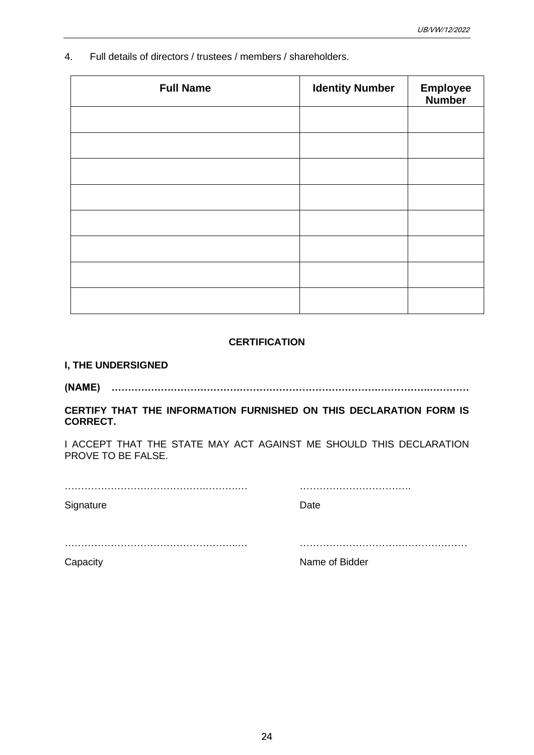4. Full details of directors / trustees / members / shareholders.

| <b>Full Name</b> | <b>Identity Number</b> | Employee<br>Number |
|------------------|------------------------|--------------------|
|                  |                        |                    |
|                  |                        |                    |
|                  |                        |                    |
|                  |                        |                    |
|                  |                        |                    |
|                  |                        |                    |
|                  |                        |                    |
|                  |                        |                    |

# **CERTIFICATION**

#### **I, THE UNDERSIGNED**

**(NAME) …………………………………………………………………………………….…………**

**CERTIFY THAT THE INFORMATION FURNISHED ON THIS DECLARATION FORM IS CORRECT.** 

I ACCEPT THAT THE STATE MAY ACT AGAINST ME SHOULD THIS DECLARATION PROVE TO BE FALSE.

Signature Date

……………………………………………..… ……………………………………………

…………………………………….……….… …………………………….

Capacity **Capacity Name of Bidder** 

24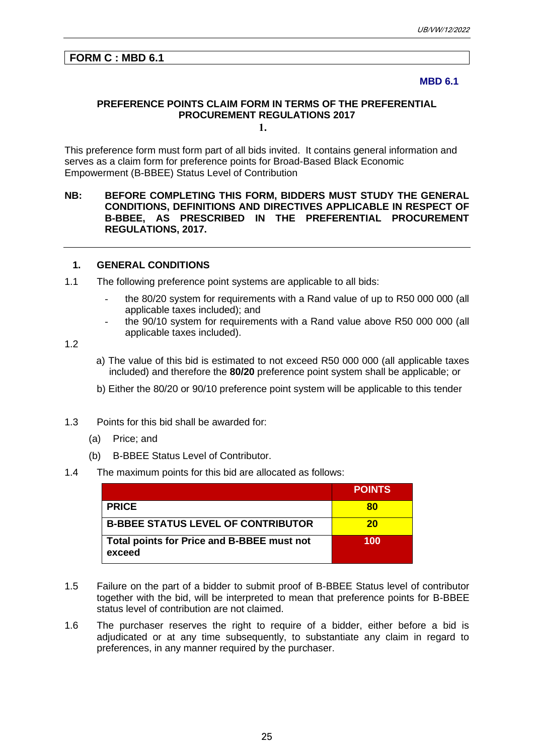#### **FORM C : MBD 6.1**

#### **MBD 6.1**

# **PREFERENCE POINTS CLAIM FORM IN TERMS OF THE PREFERENTIAL PROCUREMENT REGULATIONS 2017**

**1.**

This preference form must form part of all bids invited. It contains general information and serves as a claim form for preference points for Broad-Based Black Economic Empowerment (B-BBEE) Status Level of Contribution

## **NB: BEFORE COMPLETING THIS FORM, BIDDERS MUST STUDY THE GENERAL CONDITIONS, DEFINITIONS AND DIRECTIVES APPLICABLE IN RESPECT OF B-BBEE, AS PRESCRIBED IN THE PREFERENTIAL PROCUREMENT REGULATIONS, 2017.**

#### **1. GENERAL CONDITIONS**

- 1.1 The following preference point systems are applicable to all bids:
	- the 80/20 system for requirements with a Rand value of up to R50 000 000 (all applicable taxes included); and
	- the 90/10 system for requirements with a Rand value above R50 000 000 (all applicable taxes included).

1.2

- a) The value of this bid is estimated to not exceed R50 000 000 (all applicable taxes included) and therefore the **80/20** preference point system shall be applicable; or
- b) Either the 80/20 or 90/10 preference point system will be applicable to this tender
- 1.3 Points for this bid shall be awarded for:
	- (a) Price; and
	- (b) B-BBEE Status Level of Contributor.
- 1.4 The maximum points for this bid are allocated as follows:

|                                                      | <b>POINTS</b> |
|------------------------------------------------------|---------------|
| <b>PRICE</b>                                         | 80            |
| <b>B-BBEE STATUS LEVEL OF CONTRIBUTOR</b>            | <b>20</b>     |
| Total points for Price and B-BBEE must not<br>exceed | 100           |

- 1.5 Failure on the part of a bidder to submit proof of B-BBEE Status level of contributor together with the bid, will be interpreted to mean that preference points for B-BBEE status level of contribution are not claimed.
- 1.6 The purchaser reserves the right to require of a bidder, either before a bid is adjudicated or at any time subsequently, to substantiate any claim in regard to preferences, in any manner required by the purchaser.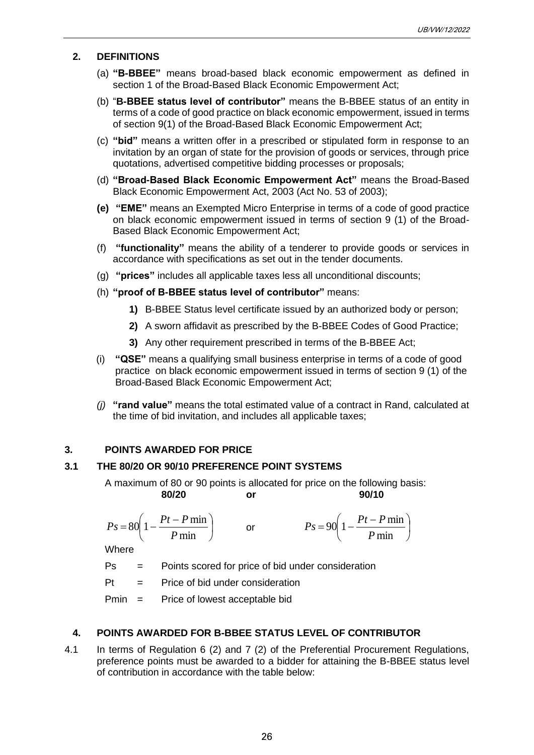#### **2. DEFINITIONS**

- (a) **"B-BBEE"** means broad-based black economic empowerment as defined in section 1 of the Broad-Based Black Economic Empowerment Act;
- (b) "**B-BBEE status level of contributor"** means the B-BBEE status of an entity in terms of a code of good practice on black economic empowerment, issued in terms of section 9(1) of the Broad-Based Black Economic Empowerment Act;
- (c) **"bid"** means a written offer in a prescribed or stipulated form in response to an invitation by an organ of state for the provision of goods or services, through price quotations, advertised competitive bidding processes or proposals;
- (d) **"Broad-Based Black Economic Empowerment Act"** means the Broad-Based Black Economic Empowerment Act, 2003 (Act No. 53 of 2003);
- **(e) "EME"** means an Exempted Micro Enterprise in terms of a code of good practice on black economic empowerment issued in terms of section 9 (1) of the Broad-Based Black Economic Empowerment Act;
- (f) **"functionality"** means the ability of a tenderer to provide goods or services in accordance with specifications as set out in the tender documents.
- (g) **"prices"** includes all applicable taxes less all unconditional discounts;
- (h) **"proof of B-BBEE status level of contributor"** means:
	- **1)** B-BBEE Status level certificate issued by an authorized body or person;
	- **2)** A sworn affidavit as prescribed by the B-BBEE Codes of Good Practice;
	- **3)** Any other requirement prescribed in terms of the B-BBEE Act;
- (i) **"QSE"** means a qualifying small business enterprise in terms of a code of good practice on black economic empowerment issued in terms of section 9 (1) of the Broad-Based Black Economic Empowerment Act;
- *(j)* **"rand value"** means the total estimated value of a contract in Rand, calculated at the time of bid invitation, and includes all applicable taxes;

# **3. POINTS AWARDED FOR PRICE**

#### **3.1 THE 80/20 OR 90/10 PREFERENCE POINT SYSTEMS**

A maximum of 80 or 90 points is allocated for price on the following basis: **80/20 or 90/10**

$$
Ps = 80 \left( 1 - \frac{Pt - P \min P}{ \min} \right) \qquad \text{or} \qquad \qquad Ps = 90 \left( 1 - \frac{Pt - P \min P}{ \min} \right)
$$

**Where** 

Ps = Points scored for price of bid under consideration

 $Pt =$  Price of bid under consideration

Pmin = Price of lowest acceptable bid

#### **4. POINTS AWARDED FOR B-BBEE STATUS LEVEL OF CONTRIBUTOR**

4.1 In terms of Regulation 6 (2) and 7 (2) of the Preferential Procurement Regulations, preference points must be awarded to a bidder for attaining the B-BBEE status level of contribution in accordance with the table below: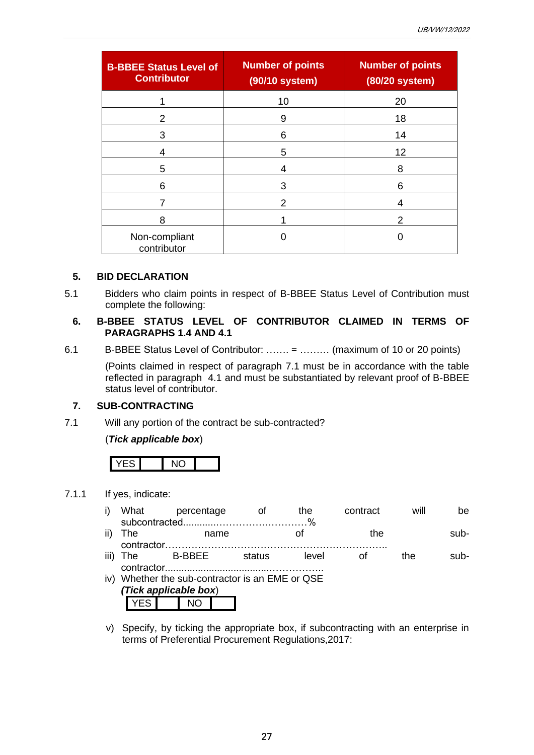| <b>B-BBEE Status Level of</b><br><b>Contributor</b> | <b>Number of points</b><br>(90/10 system) | <b>Number of points</b><br>(80/20 system) |
|-----------------------------------------------------|-------------------------------------------|-------------------------------------------|
| 1                                                   | 10                                        | 20                                        |
| 2                                                   | 9                                         | 18                                        |
| 3                                                   | 6                                         | 14                                        |
| 4                                                   | 5                                         | 12                                        |
| 5                                                   | 4                                         | 8                                         |
| 6                                                   | 3                                         | 6                                         |
|                                                     | 2                                         | 4                                         |
| 8                                                   |                                           | 2                                         |
| Non-compliant<br>contributor                        |                                           |                                           |

#### **5. BID DECLARATION**

5.1 Bidders who claim points in respect of B-BBEE Status Level of Contribution must complete the following:

# **6. B-BBEE STATUS LEVEL OF CONTRIBUTOR CLAIMED IN TERMS OF PARAGRAPHS 1.4 AND 4.1**

6.1 B-BBEE Status Level of Contributor: ……. = ……… (maximum of 10 or 20 points)

(Points claimed in respect of paragraph 7.1 must be in accordance with the table reflected in paragraph 4.1 and must be substantiated by relevant proof of B-BBEE status level of contributor.

#### **7. SUB-CONTRACTING**

7.1 Will any portion of the contract be sub-contracted?

#### (*Tick applicable box*)



7.1.1 If yes, indicate:

|      | What       | percentage            |      |                                             | the   | contract | will | be.  |
|------|------------|-----------------------|------|---------------------------------------------|-------|----------|------|------|
|      |            |                       |      |                                             |       |          |      |      |
| ii)  | The        |                       | name |                                             |       | the      |      | sub- |
|      |            | contractor            |      |                                             |       |          |      |      |
| iii) | The        | B-BBEE                |      | status                                      | level |          | the  | sub- |
|      | contractor |                       |      |                                             |       |          |      |      |
| iv)  |            |                       |      | Whether the sub-contractor is an EME or QSE |       |          |      |      |
|      |            | (Tick applicable box) |      |                                             |       |          |      |      |
|      |            |                       |      |                                             |       |          |      |      |

v) Specify, by ticking the appropriate box, if subcontracting with an enterprise in terms of Preferential Procurement Regulations,2017: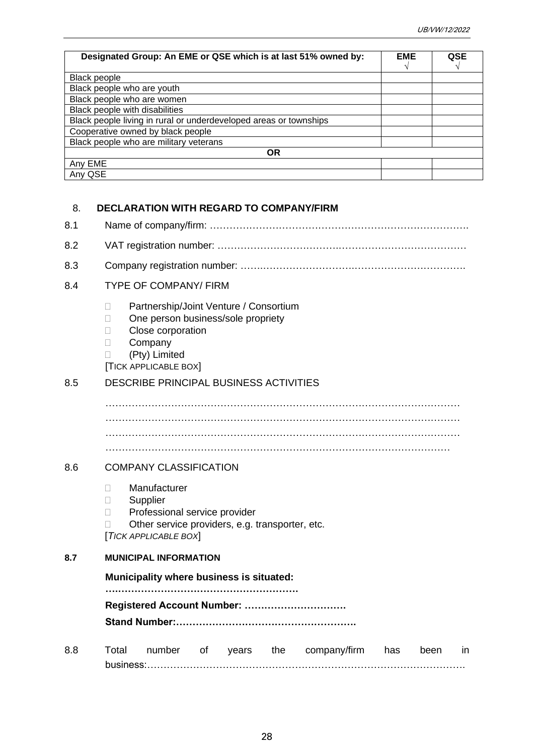| Designated Group: An EME or QSE which is at last 51% owned by:    | <b>EME</b> | <b>QSE</b><br>$\mathcal{N}$ |
|-------------------------------------------------------------------|------------|-----------------------------|
| Black people                                                      |            |                             |
| Black people who are youth                                        |            |                             |
| Black people who are women                                        |            |                             |
| Black people with disabilities                                    |            |                             |
| Black people living in rural or underdeveloped areas or townships |            |                             |
| Cooperative owned by black people                                 |            |                             |
| Black people who are military veterans                            |            |                             |
| <b>OR</b>                                                         |            |                             |
| Any EME                                                           |            |                             |
| Any QSE                                                           |            |                             |

## 8. **DECLARATION WITH REGARD TO COMPANY/FIRM**

| 8.1 |  |
|-----|--|
|-----|--|

| 8.2 |                                                                                                                                                                                      |
|-----|--------------------------------------------------------------------------------------------------------------------------------------------------------------------------------------|
| 8.3 |                                                                                                                                                                                      |
| 8.4 | <b>TYPE OF COMPANY/ FIRM</b>                                                                                                                                                         |
|     | Partnership/Joint Venture / Consortium<br>П<br>One person business/sole propriety<br>П<br>Close corporation<br>П<br>Company<br>П<br>(Pty) Limited<br>П<br><b>TICK APPLICABLE BOX</b> |
| 8.5 | DESCRIBE PRINCIPAL BUSINESS ACTIVITIES                                                                                                                                               |
|     |                                                                                                                                                                                      |
| 8.6 | <b>COMPANY CLASSIFICATION</b>                                                                                                                                                        |
|     | Manufacturer<br>П<br>Supplier<br>П<br>Professional service provider<br>П                                                                                                             |

 $\Box$  Other service providers, e.g. transporter, etc.

[*TICK APPLICABLE BOX*]

# **8.7 MUNICIPAL INFORMATION Municipality where business is situated: ….………………………………………………. Registered Account Number: …………………………. Stand Number:……………………………………………….** 8.8 Total number of years the company/firm has been in business:…………………………………………………………………………………….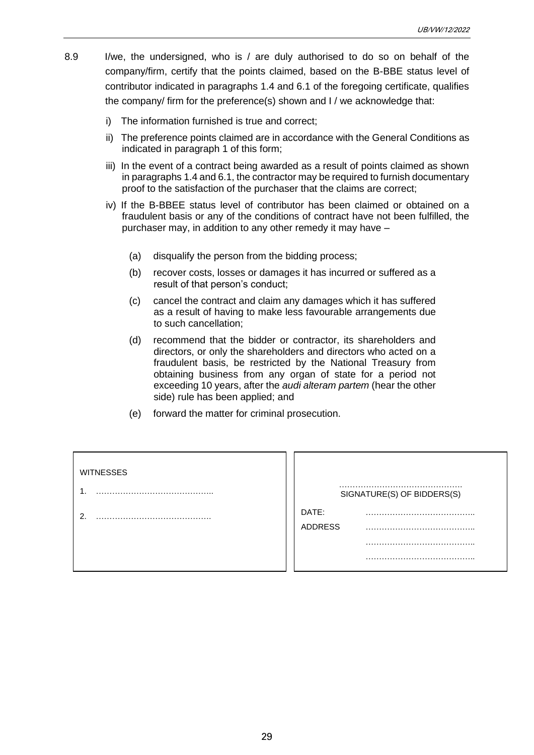- 8.9 I/we, the undersigned, who is / are duly authorised to do so on behalf of the company/firm, certify that the points claimed, based on the B-BBE status level of contributor indicated in paragraphs 1.4 and 6.1 of the foregoing certificate, qualifies the company/ firm for the preference(s) shown and I / we acknowledge that:
	- i) The information furnished is true and correct;
	- ii) The preference points claimed are in accordance with the General Conditions as indicated in paragraph 1 of this form;
	- iii) In the event of a contract being awarded as a result of points claimed as shown in paragraphs 1.4 and 6.1, the contractor may be required to furnish documentary proof to the satisfaction of the purchaser that the claims are correct;
	- iv) If the B-BBEE status level of contributor has been claimed or obtained on a fraudulent basis or any of the conditions of contract have not been fulfilled, the purchaser may, in addition to any other remedy it may have –
		- (a) disqualify the person from the bidding process;
		- (b) recover costs, losses or damages it has incurred or suffered as a result of that person's conduct;
		- (c) cancel the contract and claim any damages which it has suffered as a result of having to make less favourable arrangements due to such cancellation;
		- (d) recommend that the bidder or contractor, its shareholders and directors, or only the shareholders and directors who acted on a fraudulent basis, be restricted by the National Treasury from obtaining business from any organ of state for a period not exceeding 10 years, after the *audi alteram partem* (hear the other side) rule has been applied; and
		- (e) forward the matter for criminal prosecution.

| <b>WITNESSES</b> |                            |
|------------------|----------------------------|
|                  | SIGNATURE(S) OF BIDDERS(S) |
| ◠                | DATE:                      |
|                  | <b>ADDRESS</b>             |
|                  |                            |
|                  |                            |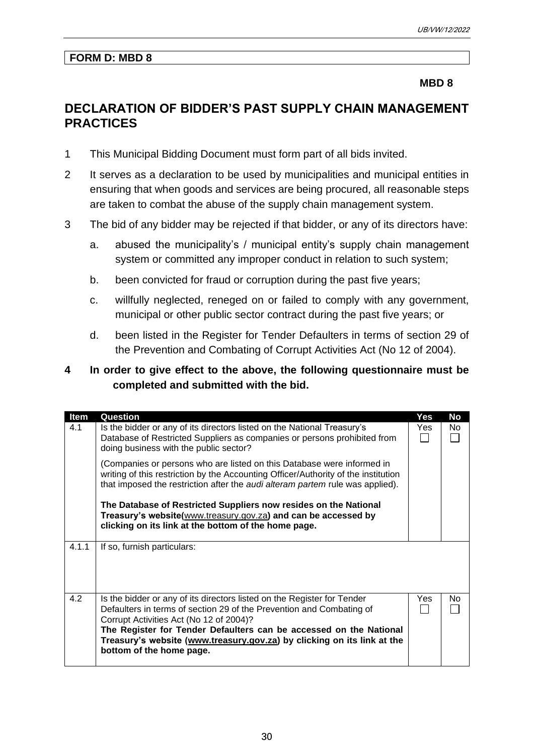# **FORM D: MBD 8**

# **MBD 8**

# **DECLARATION OF BIDDER'S PAST SUPPLY CHAIN MANAGEMENT PRACTICES**

- 1 This Municipal Bidding Document must form part of all bids invited.
- 2 It serves as a declaration to be used by municipalities and municipal entities in ensuring that when goods and services are being procured, all reasonable steps are taken to combat the abuse of the supply chain management system.
- 3 The bid of any bidder may be rejected if that bidder, or any of its directors have:
	- a. abused the municipality's / municipal entity's supply chain management system or committed any improper conduct in relation to such system;
	- b. been convicted for fraud or corruption during the past five years;
	- c. willfully neglected, reneged on or failed to comply with any government, municipal or other public sector contract during the past five years; or
	- d. been listed in the Register for Tender Defaulters in terms of section 29 of the Prevention and Combating of Corrupt Activities Act (No 12 of 2004).

# **4 In order to give effect to the above, the following questionnaire must be completed and submitted with the bid.**

| Item  | Question                                                                                                                                                                                                                                                                                                                                                                | Yes  | No  |
|-------|-------------------------------------------------------------------------------------------------------------------------------------------------------------------------------------------------------------------------------------------------------------------------------------------------------------------------------------------------------------------------|------|-----|
| 4.1   | Is the bidder or any of its directors listed on the National Treasury's<br>Database of Restricted Suppliers as companies or persons prohibited from<br>doing business with the public sector?                                                                                                                                                                           | Yes. | No. |
|       | (Companies or persons who are listed on this Database were informed in<br>writing of this restriction by the Accounting Officer/Authority of the institution<br>that imposed the restriction after the <i>audi alteram partem</i> rule was applied).                                                                                                                    |      |     |
|       | The Database of Restricted Suppliers now resides on the National<br>Treasury's website(www.treasury.gov.za) and can be accessed by<br>clicking on its link at the bottom of the home page.                                                                                                                                                                              |      |     |
| 4.1.1 | If so, furnish particulars:                                                                                                                                                                                                                                                                                                                                             |      |     |
| 4.2   | Is the bidder or any of its directors listed on the Register for Tender<br>Defaulters in terms of section 29 of the Prevention and Combating of<br>Corrupt Activities Act (No 12 of 2004)?<br>The Register for Tender Defaulters can be accessed on the National<br>Treasury's website (www.treasury.gov.za) by clicking on its link at the<br>bottom of the home page. | Yes. | No  |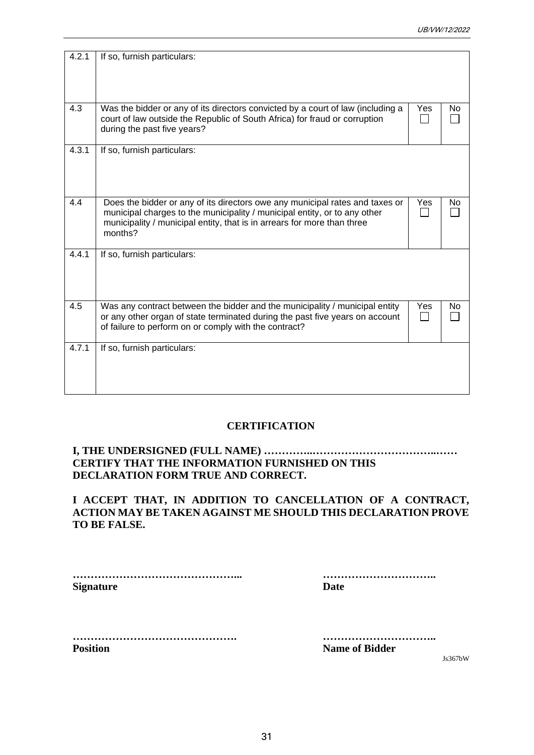| 4.2.1 | If so, furnish particulars:                                                                                                                                                                                                                     |     |    |
|-------|-------------------------------------------------------------------------------------------------------------------------------------------------------------------------------------------------------------------------------------------------|-----|----|
| 4.3   | Was the bidder or any of its directors convicted by a court of law (including a<br>court of law outside the Republic of South Africa) for fraud or corruption<br>during the past five years?                                                    | Yes | No |
| 4.3.1 | If so, furnish particulars:                                                                                                                                                                                                                     |     |    |
| 4.4   | Does the bidder or any of its directors owe any municipal rates and taxes or<br>municipal charges to the municipality / municipal entity, or to any other<br>municipality / municipal entity, that is in arrears for more than three<br>months? | Yes | No |
| 4.4.1 | If so, furnish particulars:                                                                                                                                                                                                                     |     |    |
| 4.5   | Was any contract between the bidder and the municipality / municipal entity<br>or any other organ of state terminated during the past five years on account<br>of failure to perform on or comply with the contract?                            | Yes | No |
| 4.7.1 | If so, furnish particulars:                                                                                                                                                                                                                     |     |    |

# **CERTIFICATION**

# **I, THE UNDERSIGNED (FULL NAME) …………..……………………………..…… CERTIFY THAT THE INFORMATION FURNISHED ON THIS DECLARATION FORM TRUE AND CORRECT.**

# **I ACCEPT THAT, IN ADDITION TO CANCELLATION OF A CONTRACT, ACTION MAY BE TAKEN AGAINST ME SHOULD THIS DECLARATION PROVE TO BE FALSE.**

**………………………………………... ………………………….. Signature Date** 

**………………………………………. …………………………..**

**Position Name of Bidder** 

Js367bW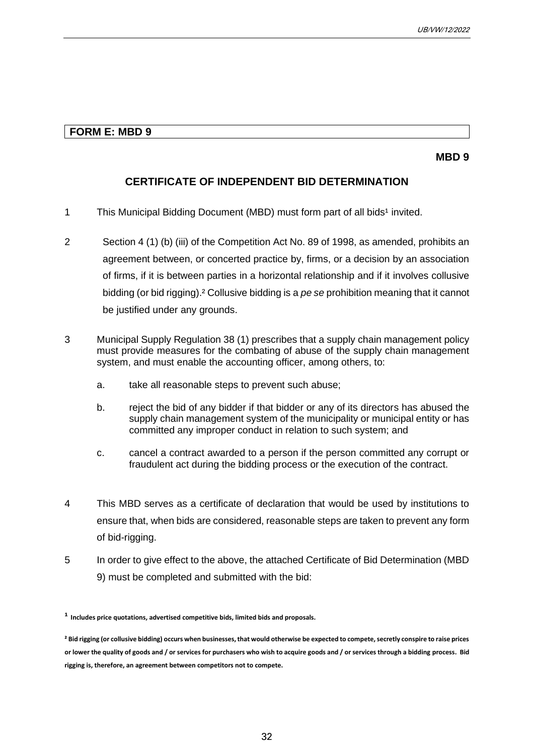#### **FORM E: MBD 9**

#### **MBD 9**

### **CERTIFICATE OF INDEPENDENT BID DETERMINATION**

- 1 This Municipal Bidding Document (MBD) must form part of all bids<sup>1</sup> invited.
- 2 Section 4 (1) (b) (iii) of the Competition Act No. 89 of 1998, as amended, prohibits an agreement between, or concerted practice by, firms, or a decision by an association of firms, if it is between parties in a horizontal relationship and if it involves collusive bidding (or bid rigging).² Collusive bidding is a *pe se* prohibition meaning that it cannot be justified under any grounds.
- 3 Municipal Supply Regulation 38 (1) prescribes that a supply chain management policy must provide measures for the combating of abuse of the supply chain management system, and must enable the accounting officer, among others, to:
	- a. take all reasonable steps to prevent such abuse;
	- b. reject the bid of any bidder if that bidder or any of its directors has abused the supply chain management system of the municipality or municipal entity or has committed any improper conduct in relation to such system; and
	- c. cancel a contract awarded to a person if the person committed any corrupt or fraudulent act during the bidding process or the execution of the contract.
- 4 This MBD serves as a certificate of declaration that would be used by institutions to ensure that, when bids are considered, reasonable steps are taken to prevent any form of bid-rigging.
- 5 In order to give effect to the above, the attached Certificate of Bid Determination (MBD 9) must be completed and submitted with the bid:

**¹ Includes price quotations, advertised competitive bids, limited bids and proposals.**

**² Bid rigging (or collusive bidding) occurs when businesses, that would otherwise be expected to compete, secretly conspire to raise prices or lower the quality of goods and / or services for purchasers who wish to acquire goods and / or services through a bidding process. Bid rigging is, therefore, an agreement between competitors not to compete.**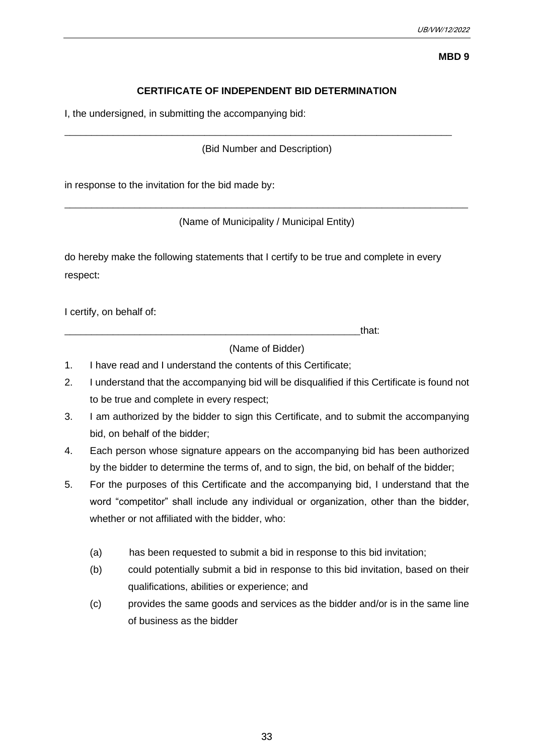#### **MBD 9**

# **CERTIFICATE OF INDEPENDENT BID DETERMINATION**

I, the undersigned, in submitting the accompanying bid:

(Bid Number and Description)

\_\_\_\_\_\_\_\_\_\_\_\_\_\_\_\_\_\_\_\_\_\_\_\_\_\_\_\_\_\_\_\_\_\_\_\_\_\_\_\_\_\_\_\_\_\_\_\_\_\_\_\_\_\_\_\_\_\_\_\_\_\_\_\_\_\_\_\_\_\_\_\_

in response to the invitation for the bid made by:

\_\_\_\_\_\_\_\_\_\_\_\_\_\_\_\_\_\_\_\_\_\_\_\_\_\_\_\_\_\_\_\_\_\_\_\_\_\_\_\_\_\_\_\_\_\_\_\_\_\_\_\_\_\_\_\_\_\_\_\_\_\_\_\_\_\_\_\_\_\_\_\_\_\_\_ (Name of Municipality / Municipal Entity)

do hereby make the following statements that I certify to be true and complete in every respect:

I certify, on behalf of:

\_\_\_\_\_\_\_\_\_\_\_\_\_\_\_\_\_\_\_\_\_\_\_\_\_\_\_\_\_\_\_\_\_\_\_\_\_\_\_\_\_\_\_\_\_\_\_\_\_\_\_\_\_\_\_that:

(Name of Bidder)

- 1. I have read and I understand the contents of this Certificate;
- 2. I understand that the accompanying bid will be disqualified if this Certificate is found not to be true and complete in every respect;
- 3. I am authorized by the bidder to sign this Certificate, and to submit the accompanying bid, on behalf of the bidder;
- 4. Each person whose signature appears on the accompanying bid has been authorized by the bidder to determine the terms of, and to sign, the bid, on behalf of the bidder;
- 5. For the purposes of this Certificate and the accompanying bid, I understand that the word "competitor" shall include any individual or organization, other than the bidder, whether or not affiliated with the bidder, who:
	- (a) has been requested to submit a bid in response to this bid invitation;
	- (b) could potentially submit a bid in response to this bid invitation, based on their qualifications, abilities or experience; and
	- (c) provides the same goods and services as the bidder and/or is in the same line of business as the bidder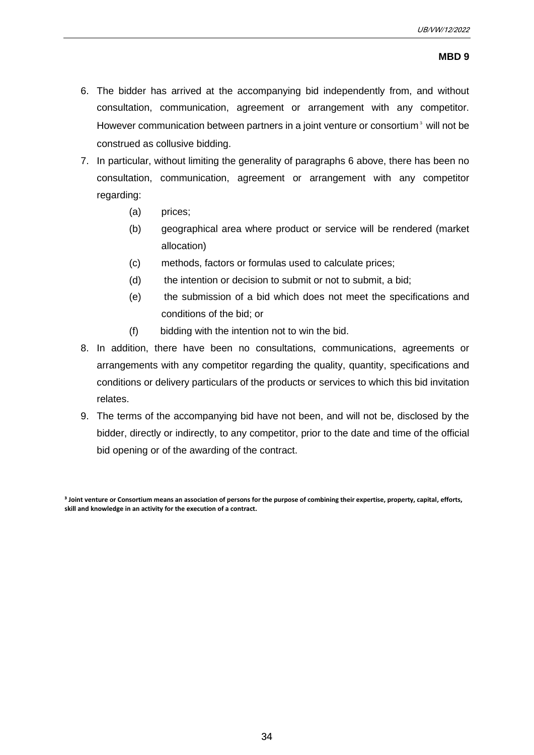#### **MBD 9**

- 6. The bidder has arrived at the accompanying bid independently from, and without consultation, communication, agreement or arrangement with any competitor. However communication between partners in a joint venture or consortium<sup>3</sup> will not be construed as collusive bidding.
- 7. In particular, without limiting the generality of paragraphs 6 above, there has been no consultation, communication, agreement or arrangement with any competitor regarding:
	- (a) prices;
	- (b) geographical area where product or service will be rendered (market allocation)
	- (c) methods, factors or formulas used to calculate prices;
	- (d) the intention or decision to submit or not to submit, a bid;
	- (e) the submission of a bid which does not meet the specifications and conditions of the bid; or
	- (f) bidding with the intention not to win the bid.
- 8. In addition, there have been no consultations, communications, agreements or arrangements with any competitor regarding the quality, quantity, specifications and conditions or delivery particulars of the products or services to which this bid invitation relates.
- 9. The terms of the accompanying bid have not been, and will not be, disclosed by the bidder, directly or indirectly, to any competitor, prior to the date and time of the official bid opening or of the awarding of the contract.

**³ Joint venture or Consortium means an association of persons for the purpose of combining their expertise, property, capital, efforts, skill and knowledge in an activity for the execution of a contract.**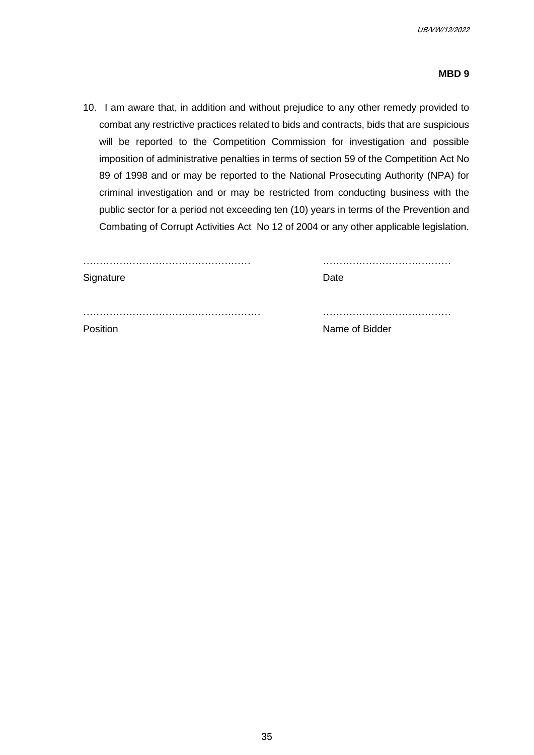#### **MBD 9**

10. I am aware that, in addition and without prejudice to any other remedy provided to combat any restrictive practices related to bids and contracts, bids that are suspicious will be reported to the Competition Commission for investigation and possible imposition of administrative penalties in terms of section 59 of the Competition Act No 89 of 1998 and or may be reported to the National Prosecuting Authority (NPA) for criminal investigation and or may be restricted from conducting business with the public sector for a period not exceeding ten (10) years in terms of the Prevention and Combating of Corrupt Activities Act No 12 of 2004 or any other applicable legislation.

| Signature | Date           |
|-----------|----------------|
|           |                |
| Position  | Name of Bidder |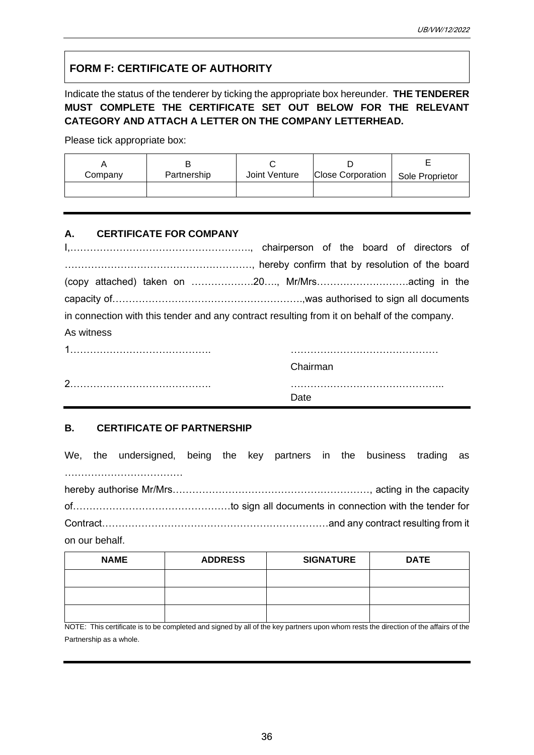# **FORM F: CERTIFICATE OF AUTHORITY**

Indicate the status of the tenderer by ticking the appropriate box hereunder. **THE TENDERER MUST COMPLETE THE CERTIFICATE SET OUT BELOW FOR THE RELEVANT CATEGORY AND ATTACH A LETTER ON THE COMPANY LETTERHEAD.**

Please tick appropriate box:

| Company | Partnership | Joint Venture | <b>Close Corporation</b> | Sole Proprietor |
|---------|-------------|---------------|--------------------------|-----------------|
|         |             |               |                          |                 |

# **A. CERTIFICATE FOR COMPANY**

| in connection with this tender and any contract resulting from it on behalf of the company. |          |  |  |
|---------------------------------------------------------------------------------------------|----------|--|--|
| As witness                                                                                  |          |  |  |
|                                                                                             |          |  |  |
|                                                                                             | Chairman |  |  |
|                                                                                             |          |  |  |
|                                                                                             | Date     |  |  |

# **B. CERTIFICATE OF PARTNERSHIP**

|                    | We, the undersigned, being the key partners in the business trading as |  |  |  |  |  |
|--------------------|------------------------------------------------------------------------|--|--|--|--|--|
|                    |                                                                        |  |  |  |  |  |
|                    |                                                                        |  |  |  |  |  |
|                    |                                                                        |  |  |  |  |  |
|                    |                                                                        |  |  |  |  |  |
| المماميا سريم امرم |                                                                        |  |  |  |  |  |

on our behalf.

| <b>NAME</b> | <b>ADDRESS</b> | <b>SIGNATURE</b> | <b>DATE</b> |
|-------------|----------------|------------------|-------------|
|             |                |                  |             |
|             |                |                  |             |
|             |                |                  |             |

NOTE: This certificate is to be completed and signed by all of the key partners upon whom rests the direction of the affairs of the Partnership as a whole.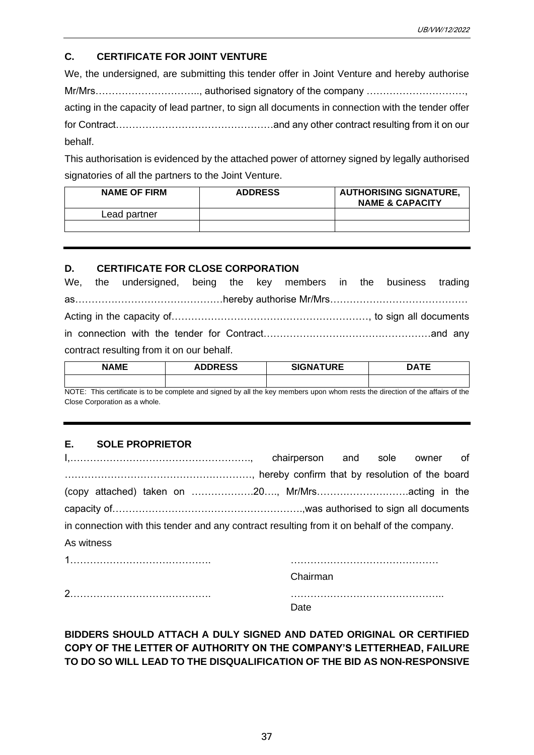## **C. CERTIFICATE FOR JOINT VENTURE**

We, the undersigned, are submitting this tender offer in Joint Venture and hereby authorise Mr/Mrs………………………….., authorised signatory of the company …………………………, acting in the capacity of lead partner, to sign all documents in connection with the tender offer for Contract…………………………………………and any other contract resulting from it on our behalf.

This authorisation is evidenced by the attached power of attorney signed by legally authorised signatories of all the partners to the Joint Venture.

| <b>NAME OF FIRM</b> | <b>ADDRESS</b> | <b>AUTHORISING SIGNATURE,</b><br><b>NAME &amp; CAPACITY</b> |
|---------------------|----------------|-------------------------------------------------------------|
| Lead partner        |                |                                                             |
|                     |                |                                                             |

## **D. CERTIFICATE FOR CLOSE CORPORATION**

|                                           |  | We, the undersigned, being the key members in the business trading |  |  |  |  |  |  |
|-------------------------------------------|--|--------------------------------------------------------------------|--|--|--|--|--|--|
|                                           |  |                                                                    |  |  |  |  |  |  |
|                                           |  |                                                                    |  |  |  |  |  |  |
|                                           |  |                                                                    |  |  |  |  |  |  |
| contract resulting from it on our behalf. |  |                                                                    |  |  |  |  |  |  |

| <b>NAME</b> | <b>ADDRESS</b> | <b>SIGNATURE</b>                                                                                                                 | DATE |
|-------------|----------------|----------------------------------------------------------------------------------------------------------------------------------|------|
|             |                |                                                                                                                                  |      |
|             |                | NIOTE: This conditions is to be consistented alonged by all the beginning of group whom some the discution of the affairs of the |      |

NOTE: This certificate is to be complete and signed by all the key members upon whom rests the direction of the affairs of the Close Corporation as a whole.

## **E. SOLE PROPRIETOR**

| in connection with this tender and any contract resulting from it on behalf of the company. |          |  |  |
|---------------------------------------------------------------------------------------------|----------|--|--|
| As witness                                                                                  |          |  |  |
|                                                                                             |          |  |  |
|                                                                                             | Chairman |  |  |
|                                                                                             |          |  |  |

Date

**BIDDERS SHOULD ATTACH A DULY SIGNED AND DATED ORIGINAL OR CERTIFIED COPY OF THE LETTER OF AUTHORITY ON THE COMPANY'S LETTERHEAD, FAILURE TO DO SO WILL LEAD TO THE DISQUALIFICATION OF THE BID AS NON-RESPONSIVE**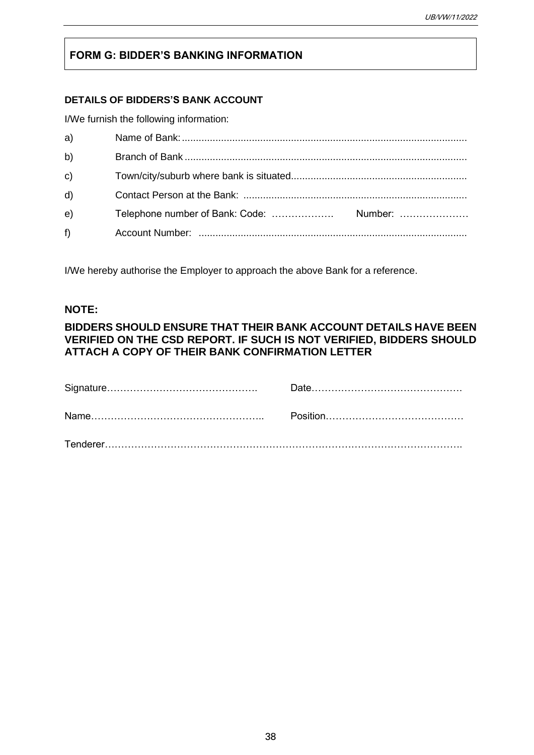## **FORM G: BIDDER'S BANKING INFORMATION**

## **DETAILS OF BIDDERS'S BANK ACCOUNT**

I/We furnish the following information:

| a)           |  |
|--------------|--|
| b)           |  |
| $\mathsf{c}$ |  |
| d)           |  |
| e)           |  |
| f)           |  |

I/We hereby authorise the Employer to approach the above Bank for a reference.

## **NOTE:**

## **BIDDERS SHOULD ENSURE THAT THEIR BANK ACCOUNT DETAILS HAVE BEEN VERIFIED ON THE CSD REPORT. IF SUCH IS NOT VERIFIED, BIDDERS SHOULD ATTACH A COPY OF THEIR BANK CONFIRMATION LETTER**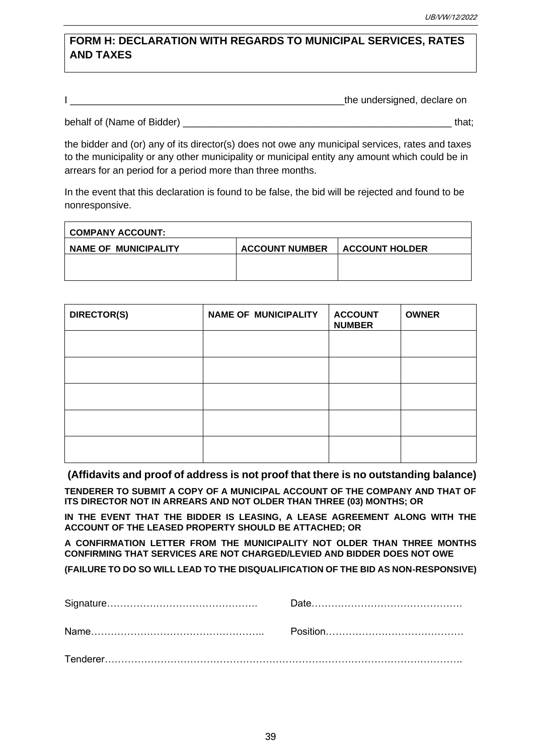## **FORM H: DECLARATION WITH REGARDS TO MUNICIPAL SERVICES, RATES AND TAXES**

| the undersigned, declare on |
|-----------------------------|
|                             |

behalf of (Name of Bidder) \_\_\_\_\_\_\_\_\_\_\_\_\_\_\_\_\_\_\_\_\_\_\_\_\_\_\_\_\_\_\_\_\_\_\_\_\_\_\_\_\_\_\_\_\_\_\_\_\_ that;

the bidder and (or) any of its director(s) does not owe any municipal services, rates and taxes to the municipality or any other municipality or municipal entity any amount which could be in arrears for an period for a period more than three months.

In the event that this declaration is found to be false, the bid will be rejected and found to be nonresponsive.

| COMPANY ACCOUNT:     |                       |                         |
|----------------------|-----------------------|-------------------------|
| NAME OF MUNICIPALITY | <b>ACCOUNT NUMBER</b> | <b>I ACCOUNT HOLDER</b> |
|                      |                       |                         |
|                      |                       |                         |

| DIRECTOR(S) | <b>NAME OF MUNICIPALITY</b> | <b>ACCOUNT</b><br><b>NUMBER</b> | <b>OWNER</b> |
|-------------|-----------------------------|---------------------------------|--------------|
|             |                             |                                 |              |
|             |                             |                                 |              |
|             |                             |                                 |              |
|             |                             |                                 |              |
|             |                             |                                 |              |

**(Affidavits and proof of address is not proof that there is no outstanding balance)**

**TENDERER TO SUBMIT A COPY OF A MUNICIPAL ACCOUNT OF THE COMPANY AND THAT OF ITS DIRECTOR NOT IN ARREARS AND NOT OLDER THAN THREE (03) MONTHS; OR**

**IN THE EVENT THAT THE BIDDER IS LEASING, A LEASE AGREEMENT ALONG WITH THE ACCOUNT OF THE LEASED PROPERTY SHOULD BE ATTACHED; OR**

**A CONFIRMATION LETTER FROM THE MUNICIPALITY NOT OLDER THAN THREE MONTHS CONFIRMING THAT SERVICES ARE NOT CHARGED/LEVIED AND BIDDER DOES NOT OWE**

**(FAILURE TO DO SO WILL LEAD TO THE DISQUALIFICATION OF THE BID AS NON-RESPONSIVE)**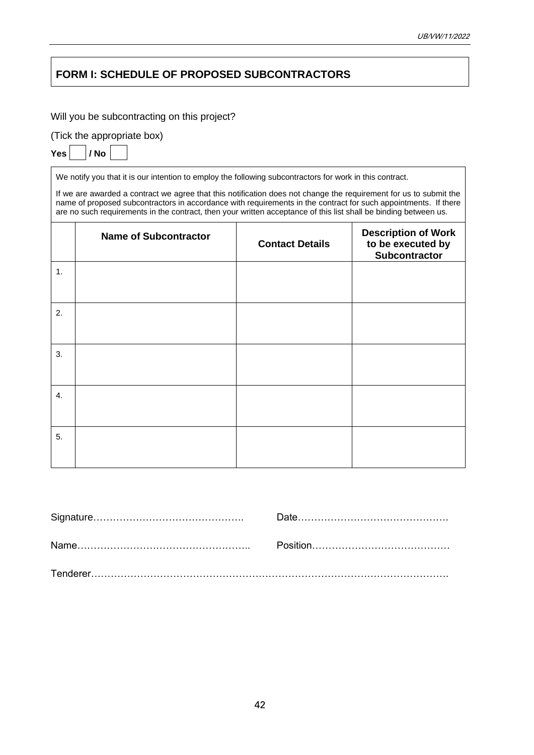## **FORM I: SCHEDULE OF PROPOSED SUBCONTRACTORS**

#### Will you be subcontracting on this project?

#### (Tick the appropriate box)

**Yes / No** 

We notify you that it is our intention to employ the following subcontractors for work in this contract.

If we are awarded a contract we agree that this notification does not change the requirement for us to submit the name of proposed subcontractors in accordance with requirements in the contract for such appointments. If there are no such requirements in the contract, then your written acceptance of this list shall be binding between us.

|                  | <b>Name of Subcontractor</b> | <b>Contact Details</b> | <b>Description of Work</b><br>to be executed by<br><b>Subcontractor</b> |
|------------------|------------------------------|------------------------|-------------------------------------------------------------------------|
| $\mathbf{1}$ .   |                              |                        |                                                                         |
| 2.               |                              |                        |                                                                         |
| 3.               |                              |                        |                                                                         |
| $\overline{4}$ . |                              |                        |                                                                         |
| 5.               |                              |                        |                                                                         |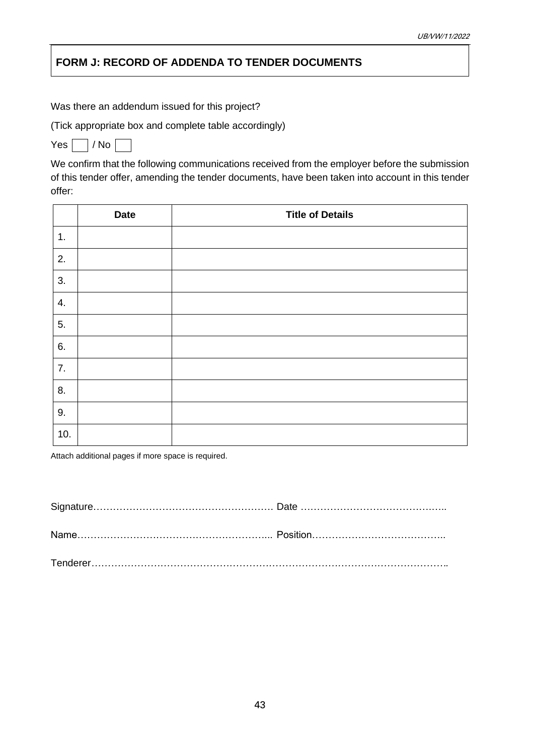## **FORM J: RECORD OF ADDENDA TO TENDER DOCUMENTS**

Was there an addendum issued for this project?

(Tick appropriate box and complete table accordingly)

| Y.<br>`es |  | / No |  |
|-----------|--|------|--|
|-----------|--|------|--|

We confirm that the following communications received from the employer before the submission of this tender offer, amending the tender documents, have been taken into account in this tender offer:

|     | <b>Date</b> | <b>Title of Details</b> |
|-----|-------------|-------------------------|
| 1.  |             |                         |
| 2.  |             |                         |
| 3.  |             |                         |
| 4.  |             |                         |
| 5.  |             |                         |
| 6.  |             |                         |
| 7.  |             |                         |
| 8.  |             |                         |
| 9.  |             |                         |
| 10. |             |                         |

Attach additional pages if more space is required.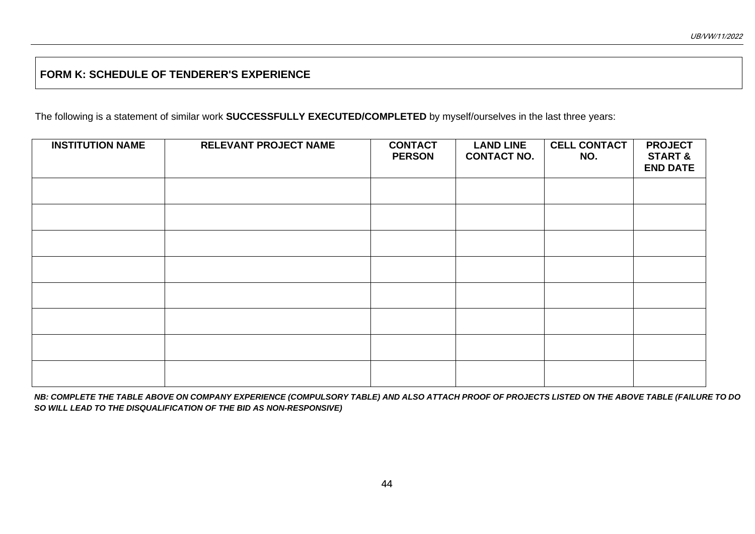## **FORM K: SCHEDULE OF TENDERER'S EXPERIENCE**

The following is a statement of similar work **SUCCESSFULLY EXECUTED/COMPLETED** by myself/ourselves in the last three years:

| <b>INSTITUTION NAME</b> | <b>RELEVANT PROJECT NAME</b> | <b>CONTACT</b><br><b>PERSON</b> | <b>LAND LINE</b><br><b>CONTACT NO.</b> | <b>CELL CONTACT</b><br>NO. | <b>PROJECT</b><br><b>START &amp;</b><br><b>END DATE</b> |
|-------------------------|------------------------------|---------------------------------|----------------------------------------|----------------------------|---------------------------------------------------------|
|                         |                              |                                 |                                        |                            |                                                         |
|                         |                              |                                 |                                        |                            |                                                         |
|                         |                              |                                 |                                        |                            |                                                         |
|                         |                              |                                 |                                        |                            |                                                         |
|                         |                              |                                 |                                        |                            |                                                         |
|                         |                              |                                 |                                        |                            |                                                         |
|                         |                              |                                 |                                        |                            |                                                         |
|                         |                              |                                 |                                        |                            |                                                         |

*NB: COMPLETE THE TABLE ABOVE ON COMPANY EXPERIENCE (COMPULSORY TABLE) AND ALSO ATTACH PROOF OF PROJECTS LISTED ON THE ABOVE TABLE (FAILURE TO DO SO WILL LEAD TO THE DISQUALIFICATION OF THE BID AS NON-RESPONSIVE)*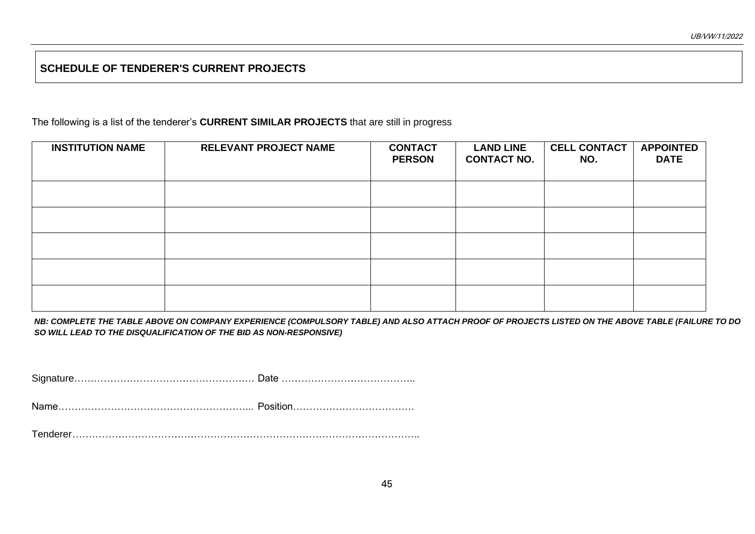## **SCHEDULE OF TENDERER'S CURRENT PROJECTS**

The following is a list of the tenderer's **CURRENT SIMILAR PROJECTS** that are still in progress

| <b>INSTITUTION NAME</b> | <b>RELEVANT PROJECT NAME</b> | <b>CONTACT</b><br><b>PERSON</b> | <b>LAND LINE</b><br><b>CONTACT NO.</b> | <b>CELL CONTACT</b><br>NO. | <b>APPOINTED</b><br><b>DATE</b> |
|-------------------------|------------------------------|---------------------------------|----------------------------------------|----------------------------|---------------------------------|
|                         |                              |                                 |                                        |                            |                                 |
|                         |                              |                                 |                                        |                            |                                 |
|                         |                              |                                 |                                        |                            |                                 |
|                         |                              |                                 |                                        |                            |                                 |
|                         |                              |                                 |                                        |                            |                                 |

*NB: COMPLETE THE TABLE ABOVE ON COMPANY EXPERIENCE (COMPULSORY TABLE) AND ALSO ATTACH PROOF OF PROJECTS LISTED ON THE ABOVE TABLE (FAILURE TO DO SO WILL LEAD TO THE DISQUALIFICATION OF THE BID AS NON-RESPONSIVE)* 

Signature………………………………………………. Date …………………………………..

Name…………………………………………………... Position……………………………….

Tenderer*…………………………………………………………………………………………….*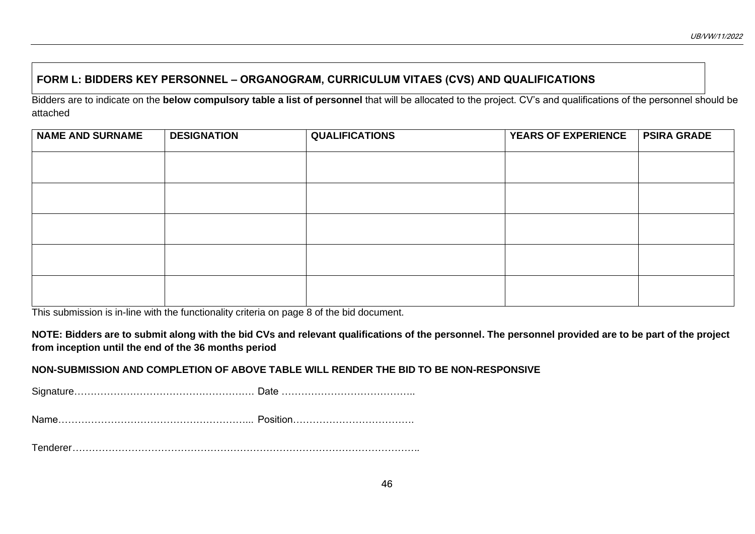# **FORM L: BIDDERS KEY PERSONNEL – ORGANOGRAM, CURRICULUM VITAES (CVS) AND QUALIFICATIONS**

Bidders are to indicate on the **below compulsory table a list of personnel** that will be allocated to the project. CV's and qualifications of the personnel should be attached

| <b>NAME AND SURNAME</b> | <b>DESIGNATION</b> | <b>QUALIFICATIONS</b> | <b>YEARS OF EXPERIENCE</b> | <b>PSIRA GRADE</b> |
|-------------------------|--------------------|-----------------------|----------------------------|--------------------|
|                         |                    |                       |                            |                    |
|                         |                    |                       |                            |                    |
|                         |                    |                       |                            |                    |
|                         |                    |                       |                            |                    |
|                         |                    |                       |                            |                    |
|                         |                    |                       |                            |                    |
|                         |                    |                       |                            |                    |

This submission is in-line with the functionality criteria on page 8 of the bid document.

**NOTE: Bidders are to submit along with the bid CVs and relevant qualifications of the personnel. The personnel provided are to be part of the project from inception until the end of the 36 months period**

## **NON-SUBMISSION AND COMPLETION OF ABOVE TABLE WILL RENDER THE BID TO BE NON-RESPONSIVE**

Signature………………………………………………. Date …………………………………..

Name…………………………………………………... Position……………………………….

Tenderer*…………………………………………………………………………………………….*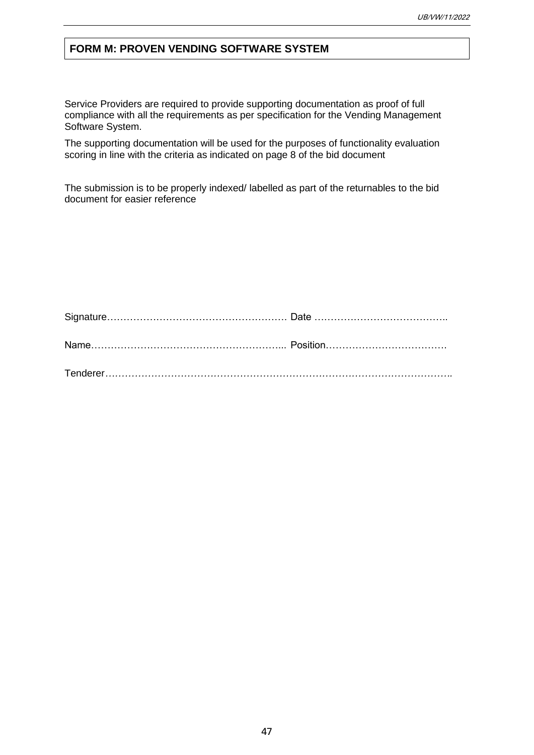## **FORM M: PROVEN VENDING SOFTWARE SYSTEM**

Service Providers are required to provide supporting documentation as proof of full compliance with all the requirements as per specification for the Vending Management Software System.

The supporting documentation will be used for the purposes of functionality evaluation scoring in line with the criteria as indicated on page 8 of the bid document

The submission is to be properly indexed/ labelled as part of the returnables to the bid document for easier reference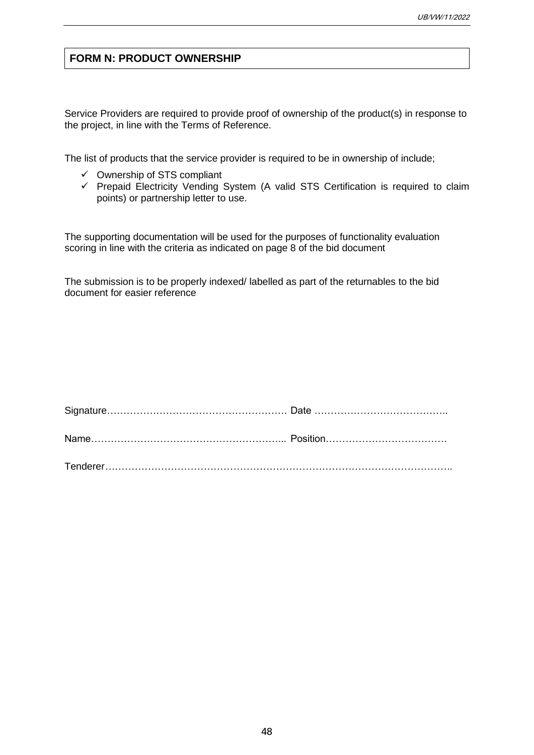## **FORM N: PRODUCT OWNERSHIP**

Service Providers are required to provide proof of ownership of the product(s) in response to the project, in line with the Terms of Reference.

The list of products that the service provider is required to be in ownership of include;

- ✓ Ownership of STS compliant
- ✓ Prepaid Electricity Vending System (A valid STS Certification is required to claim points) or partnership letter to use.

The supporting documentation will be used for the purposes of functionality evaluation scoring in line with the criteria as indicated on page 8 of the bid document

The submission is to be properly indexed/ labelled as part of the returnables to the bid document for easier reference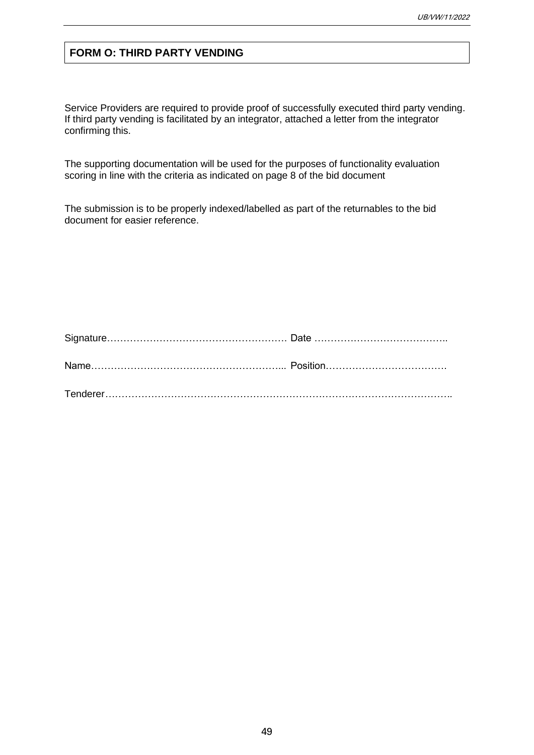## **FORM O: THIRD PARTY VENDING**

Service Providers are required to provide proof of successfully executed third party vending. If third party vending is facilitated by an integrator, attached a letter from the integrator confirming this.

The supporting documentation will be used for the purposes of functionality evaluation scoring in line with the criteria as indicated on page 8 of the bid document

The submission is to be properly indexed/labelled as part of the returnables to the bid document for easier reference.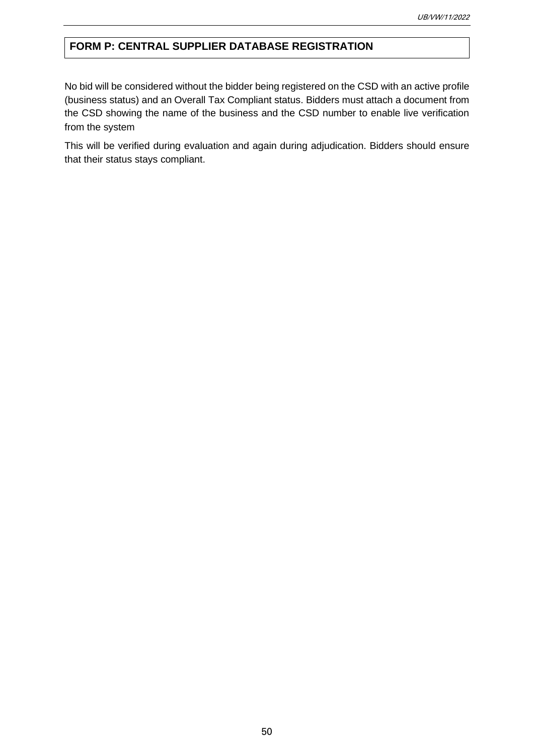## **FORM P: CENTRAL SUPPLIER DATABASE REGISTRATION**

No bid will be considered without the bidder being registered on the CSD with an active profile (business status) and an Overall Tax Compliant status. Bidders must attach a document from the CSD showing the name of the business and the CSD number to enable live verification from the system

This will be verified during evaluation and again during adjudication. Bidders should ensure that their status stays compliant.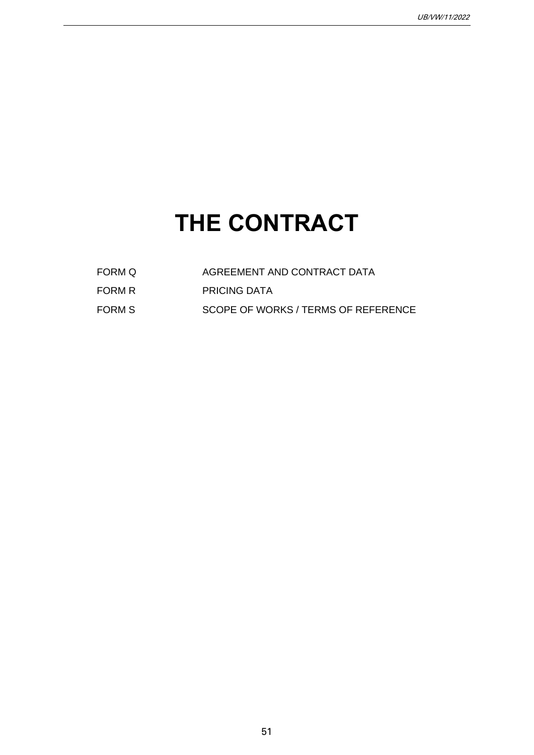# **THE CONTRACT**

- FORM Q AGREEMENT AND CONTRACT DATA
- FORM R PRICING DATA
- FORM S SCOPE OF WORKS / TERMS OF REFERENCE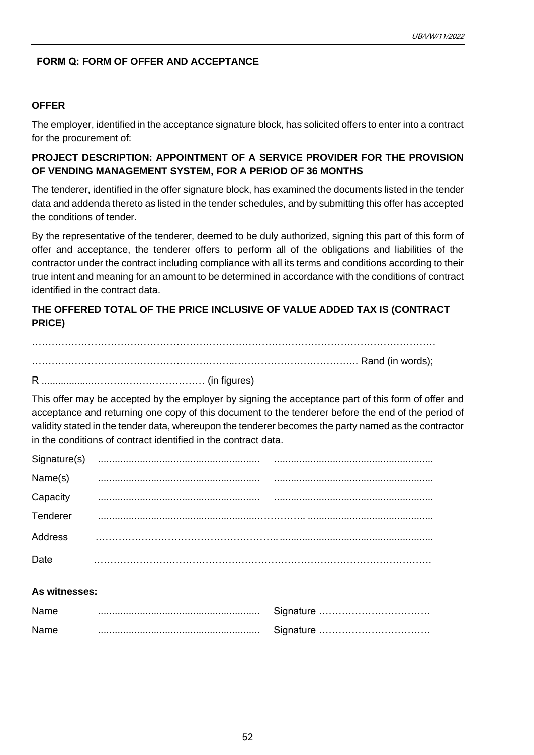## **FORM Q: FORM OF OFFER AND ACCEPTANCE**

## **OFFER**

The employer, identified in the acceptance signature block, has solicited offers to enter into a contract for the procurement of:

## **PROJECT DESCRIPTION: APPOINTMENT OF A SERVICE PROVIDER FOR THE PROVISION OF VENDING MANAGEMENT SYSTEM, FOR A PERIOD OF 36 MONTHS**

The tenderer, identified in the offer signature block, has examined the documents listed in the tender data and addenda thereto as listed in the tender schedules, and by submitting this offer has accepted the conditions of tender.

By the representative of the tenderer, deemed to be duly authorized, signing this part of this form of offer and acceptance, the tenderer offers to perform all of the obligations and liabilities of the contractor under the contract including compliance with all its terms and conditions according to their true intent and meaning for an amount to be determined in accordance with the conditions of contract identified in the contract data.

## **THE OFFERED TOTAL OF THE PRICE INCLUSIVE OF VALUE ADDED TAX IS (CONTRACT PRICE)**

. The contract of the contract of the contract of the contract of the contract of the contract of the contract of the contract of the contract of the contract of the contract of the contract of the contract of the contrac ……………………………………………………..……………………………….. Rand (in words); R ...................……….…………………… (in figures)

This offer may be accepted by the employer by signing the acceptance part of this form of offer and acceptance and returning one copy of this document to the tenderer before the end of the period of validity stated in the tender data, whereupon the tenderer becomes the party named as the contractor in the conditions of contract identified in the contract data.

| Signature(s)   |  |
|----------------|--|
| Name(s)        |  |
| Capacity       |  |
| Tenderer       |  |
| <b>Address</b> |  |
| Date           |  |

## **As witnesses:**

| Name |  |
|------|--|
| Name |  |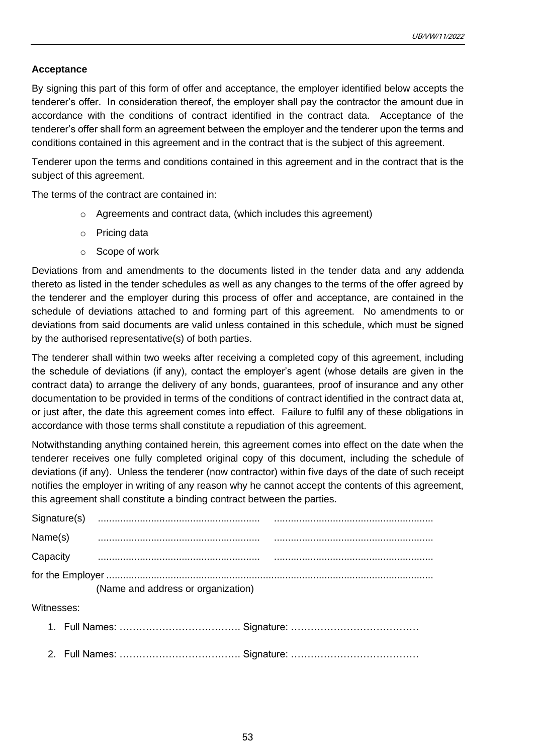## **Acceptance**

By signing this part of this form of offer and acceptance, the employer identified below accepts the tenderer's offer. In consideration thereof, the employer shall pay the contractor the amount due in accordance with the conditions of contract identified in the contract data. Acceptance of the tenderer's offer shall form an agreement between the employer and the tenderer upon the terms and conditions contained in this agreement and in the contract that is the subject of this agreement.

Tenderer upon the terms and conditions contained in this agreement and in the contract that is the subject of this agreement.

The terms of the contract are contained in:

- o Agreements and contract data, (which includes this agreement)
- o Pricing data
- o Scope of work

Deviations from and amendments to the documents listed in the tender data and any addenda thereto as listed in the tender schedules as well as any changes to the terms of the offer agreed by the tenderer and the employer during this process of offer and acceptance, are contained in the schedule of deviations attached to and forming part of this agreement. No amendments to or deviations from said documents are valid unless contained in this schedule, which must be signed by the authorised representative(s) of both parties.

The tenderer shall within two weeks after receiving a completed copy of this agreement, including the schedule of deviations (if any), contact the employer's agent (whose details are given in the contract data) to arrange the delivery of any bonds, guarantees, proof of insurance and any other documentation to be provided in terms of the conditions of contract identified in the contract data at, or just after, the date this agreement comes into effect. Failure to fulfil any of these obligations in accordance with those terms shall constitute a repudiation of this agreement.

Notwithstanding anything contained herein, this agreement comes into effect on the date when the tenderer receives one fully completed original copy of this document, including the schedule of deviations (if any). Unless the tenderer (now contractor) within five days of the date of such receipt notifies the employer in writing of any reason why he cannot accept the contents of this agreement, this agreement shall constitute a binding contract between the parties.

| Capacity   |                                    |  |
|------------|------------------------------------|--|
|            |                                    |  |
|            | (Name and address or organization) |  |
| Witnesses: |                                    |  |
|            |                                    |  |
|            |                                    |  |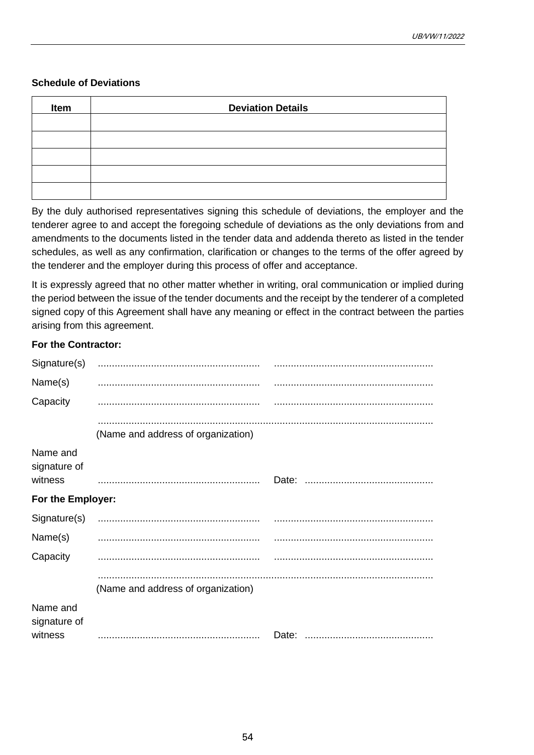## **Schedule of Deviations**

| Item | <b>Deviation Details</b> |
|------|--------------------------|
|      |                          |
|      |                          |
|      |                          |
|      |                          |
|      |                          |

By the duly authorised representatives signing this schedule of deviations, the employer and the tenderer agree to and accept the foregoing schedule of deviations as the only deviations from and amendments to the documents listed in the tender data and addenda thereto as listed in the tender schedules, as well as any confirmation, clarification or changes to the terms of the offer agreed by the tenderer and the employer during this process of offer and acceptance.

It is expressly agreed that no other matter whether in writing, oral communication or implied during the period between the issue of the tender documents and the receipt by the tenderer of a completed signed copy of this Agreement shall have any meaning or effect in the contract between the parties arising from this agreement.

## **For the Contractor:**

| Signature(s)             |                                    |  |
|--------------------------|------------------------------------|--|
| Name(s)                  |                                    |  |
| Capacity                 |                                    |  |
|                          | (Name and address of organization) |  |
| Name and<br>signature of |                                    |  |
| witness                  |                                    |  |
| For the Employer:        |                                    |  |
| Signature(s)             |                                    |  |
| Name(s)                  |                                    |  |
| Capacity                 |                                    |  |
|                          | (Name and address of organization) |  |
| Name and<br>signature of |                                    |  |
| witness                  |                                    |  |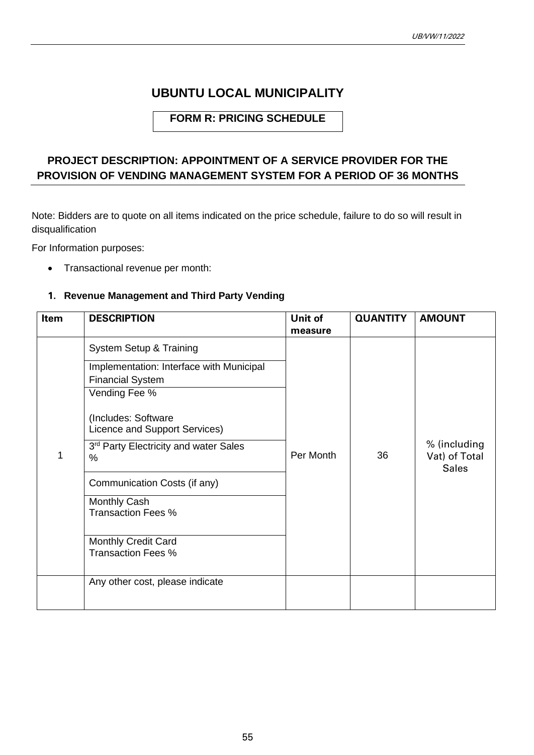# **UBUNTU LOCAL MUNICIPALITY**

## **FORM R: PRICING SCHEDULE**

## **PROJECT DESCRIPTION: APPOINTMENT OF A SERVICE PROVIDER FOR THE PROVISION OF VENDING MANAGEMENT SYSTEM FOR A PERIOD OF 36 MONTHS**

Note: Bidders are to quote on all items indicated on the price schedule, failure to do so will result in disqualification

For Information purposes:

• Transactional revenue per month:

## **1. Revenue Management and Third Party Vending**

| Item | <b>DESCRIPTION</b>                                                                             | Unit of   | <b>QUANTITY</b> | <b>AMOUNT</b>                                 |
|------|------------------------------------------------------------------------------------------------|-----------|-----------------|-----------------------------------------------|
|      |                                                                                                | measure   |                 |                                               |
|      | System Setup & Training<br>Implementation: Interface with Municipal<br><b>Financial System</b> |           |                 |                                               |
|      | Vending Fee %                                                                                  |           |                 |                                               |
|      | (Includes: Software<br>Licence and Support Services)                                           |           |                 |                                               |
|      | 3rd Party Electricity and water Sales<br>%                                                     | Per Month | 36              | % (including<br>Vat) of Total<br><b>Sales</b> |
|      | Communication Costs (if any)                                                                   |           |                 |                                               |
|      | Monthly Cash<br><b>Transaction Fees %</b>                                                      |           |                 |                                               |
|      | Monthly Credit Card<br><b>Transaction Fees %</b>                                               |           |                 |                                               |
|      | Any other cost, please indicate                                                                |           |                 |                                               |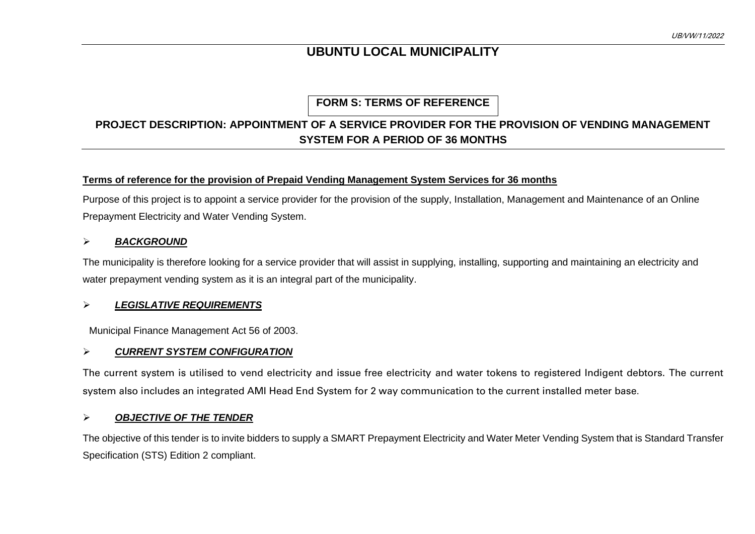# **UBUNTU LOCAL MUNICIPALITY**

## **FORM S: TERMS OF REFERENCE**

# **PROJECT DESCRIPTION: APPOINTMENT OF A SERVICE PROVIDER FOR THE PROVISION OF VENDING MANAGEMENT SYSTEM FOR A PERIOD OF 36 MONTHS**

## **Terms of reference for the provision of Prepaid Vending Management System Services for 36 months**

Purpose of this project is to appoint a service provider for the provision of the supply, Installation, Management and Maintenance of an Online Prepayment Electricity and Water Vending System.

#### ➢ *BACKGROUND*

The municipality is therefore looking for a service provider that will assist in supplying, installing, supporting and maintaining an electricity and water prepayment vending system as it is an integral part of the municipality.

#### ➢ *LEGISLATIVE REQUIREMENTS*

Municipal Finance Management Act 56 of 2003.

#### ➢ *CURRENT SYSTEM CONFIGURATION*

The current system is utilised to vend electricity and issue free electricity and water tokens to registered Indigent debtors. The current system also includes an integrated AMI Head End System for 2 way communication to the current installed meter base.

#### ➢ *OBJECTIVE OF THE TENDER*

The objective of this tender is to invite bidders to supply a SMART Prepayment Electricity and Water Meter Vending System that is Standard Transfer Specification (STS) Edition 2 compliant.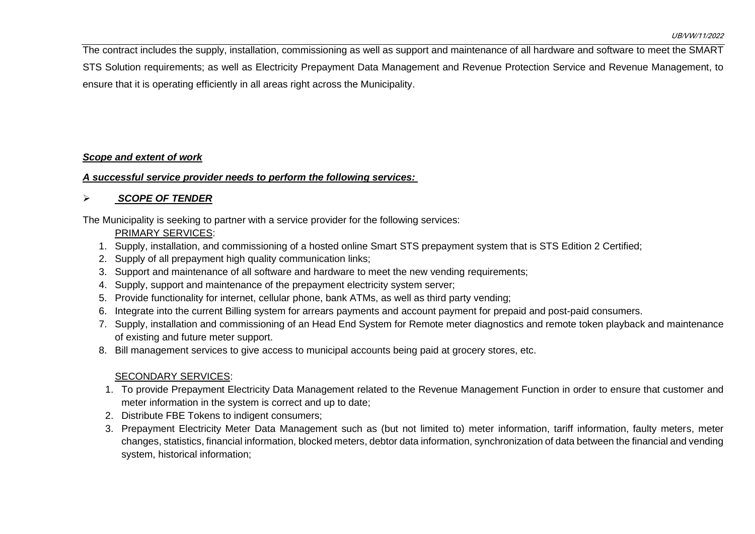UB/VW/11/2022

The contract includes the supply, installation, commissioning as well as support and maintenance of all hardware and software to meet the SMART STS Solution requirements; as well as Electricity Prepayment Data Management and Revenue Protection Service and Revenue Management, to ensure that it is operating efficiently in all areas right across the Municipality.

## *Scope and extent of work*

#### *A successful service provider needs to perform the following services:*

## ➢ *SCOPE OF TENDER*

The Municipality is seeking to partner with a service provider for the following services:

## PRIMARY SERVICES:

- 1. Supply, installation, and commissioning of a hosted online Smart STS prepayment system that is STS Edition 2 Certified;
- 2. Supply of all prepayment high quality communication links;
- 3. Support and maintenance of all software and hardware to meet the new vending requirements;
- 4. Supply, support and maintenance of the prepayment electricity system server;
- 5. Provide functionality for internet, cellular phone, bank ATMs, as well as third party vending;
- 6. Integrate into the current Billing system for arrears payments and account payment for prepaid and post-paid consumers.
- 7. Supply, installation and commissioning of an Head End System for Remote meter diagnostics and remote token playback and maintenance of existing and future meter support.
- 8. Bill management services to give access to municipal accounts being paid at grocery stores, etc.

## SECONDARY SERVICES:

- 1. To provide Prepayment Electricity Data Management related to the Revenue Management Function in order to ensure that customer and meter information in the system is correct and up to date;
- 2. Distribute FBE Tokens to indigent consumers;
- 3. Prepayment Electricity Meter Data Management such as (but not limited to) meter information, tariff information, faulty meters, meter changes, statistics, financial information, blocked meters, debtor data information, synchronization of data between the financial and vending system, historical information;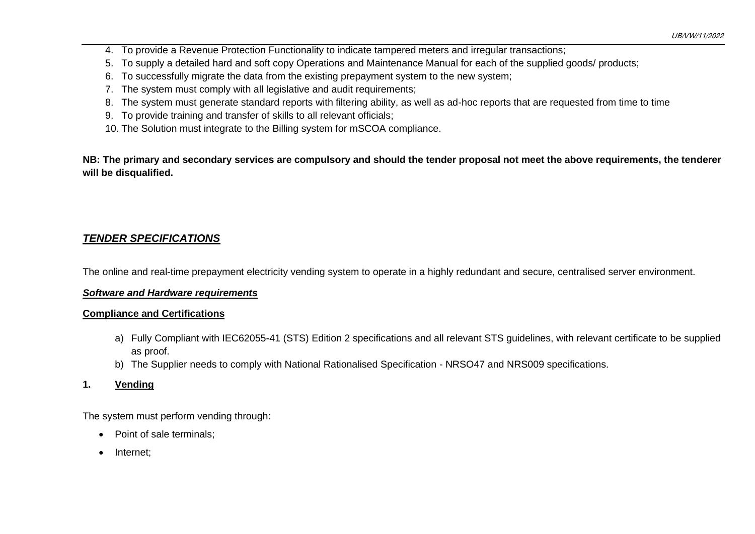- 4. To provide a Revenue Protection Functionality to indicate tampered meters and irregular transactions;
- 5. To supply a detailed hard and soft copy Operations and Maintenance Manual for each of the supplied goods/ products;
- 6. To successfully migrate the data from the existing prepayment system to the new system;
- 7. The system must comply with all legislative and audit requirements:
- 8. The system must generate standard reports with filtering ability, as well as ad-hoc reports that are requested from time to time
- 9. To provide training and transfer of skills to all relevant officials;
- 10. The Solution must integrate to the Billing system for mSCOA compliance.

**NB: The primary and secondary services are compulsory and should the tender proposal not meet the above requirements, the tenderer will be disqualified.**

## *TENDER SPECIFICATIONS*

The online and real-time prepayment electricity vending system to operate in a highly redundant and secure, centralised server environment.

## *Software and Hardware requirements*

## **Compliance and Certifications**

- a) Fully Compliant with IEC62055-41 (STS) Edition 2 specifications and all relevant STS guidelines, with relevant certificate to be supplied as proof.
- b) The Supplier needs to comply with National Rationalised Specification NRSO47 and NRS009 specifications.
- **1. Vending**

The system must perform vending through:

- Point of sale terminals:
- Internet;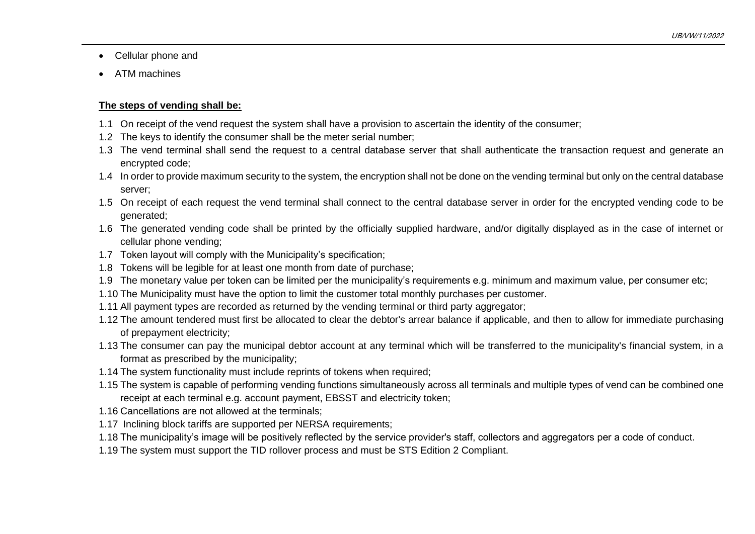- Cellular phone and
- ATM machines

## **The steps of vending shall be:**

- 1.1 On receipt of the vend request the system shall have a provision to ascertain the identity of the consumer;
- 1.2 The keys to identify the consumer shall be the meter serial number;
- 1.3 The vend terminal shall send the request to a central database server that shall authenticate the transaction request and generate an encrypted code;
- 1.4 In order to provide maximum security to the system, the encryption shall not be done on the vending terminal but only on the central database server;
- 1.5 On receipt of each request the vend terminal shall connect to the central database server in order for the encrypted vending code to be generated;
- 1.6 The generated vending code shall be printed by the officially supplied hardware, and/or digitally displayed as in the case of internet or cellular phone vending;
- 1.7 Token layout will comply with the Municipality's specification;
- 1.8 Tokens will be legible for at least one month from date of purchase;
- 1.9 The monetary value per token can be limited per the municipality's requirements e.g. minimum and maximum value, per consumer etc;
- 1.10 The Municipality must have the option to limit the customer total monthly purchases per customer.
- 1.11 All payment types are recorded as returned by the vending terminal or third party aggregator;
- 1.12 The amount tendered must first be allocated to clear the debtor's arrear balance if applicable, and then to allow for immediate purchasing of prepayment electricity;
- 1.13 The consumer can pay the municipal debtor account at any terminal which will be transferred to the municipality's financial system, in a format as prescribed by the municipality;
- 1.14 The system functionality must include reprints of tokens when required;
- 1.15 The system is capable of performing vending functions simultaneously across all terminals and multiple types of vend can be combined one receipt at each terminal e.g. account payment, EBSST and electricity token;
- 1.16 Cancellations are not allowed at the terminals;
- 1.17 Inclining block tariffs are supported per NERSA requirements;
- 1.18 The municipality's image will be positively reflected by the service provider's staff, collectors and aggregators per a code of conduct.
- 1.19 The system must support the TID rollover process and must be STS Edition 2 Compliant.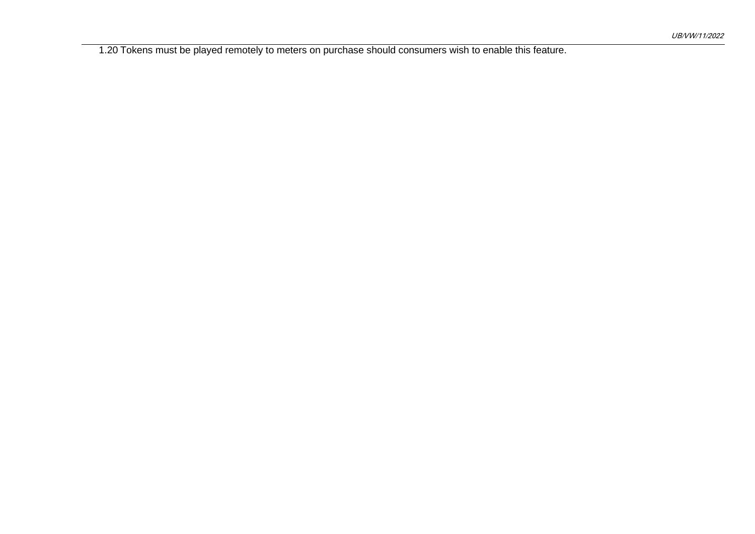1.20 Tokens must be played remotely to meters on purchase should consumers wish to enable this feature.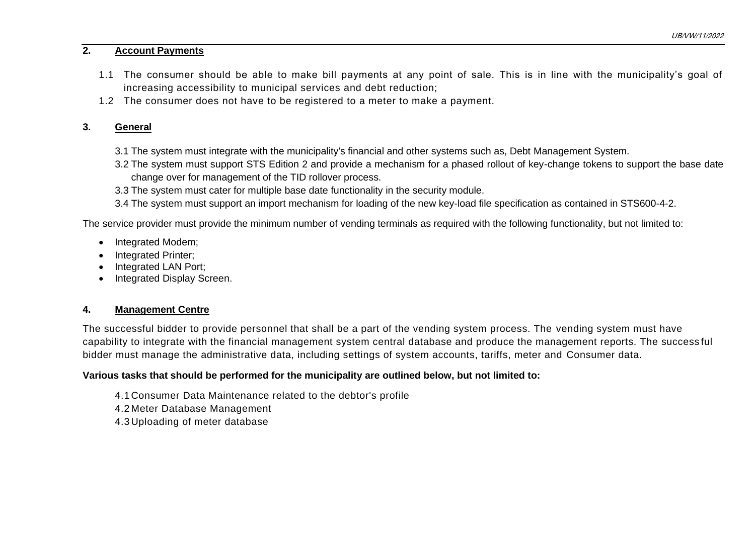## **2. Account Payments**

- 1.1 The consumer should be able to make bill payments at any point of sale. This is in line with the municipality's goal of increasing accessibility to municipal services and debt reduction;
- 1.2 The consumer does not have to be registered to a meter to make a payment.

## **3. General**

- 3.1 The system must integrate with the municipality's financial and other systems such as, Debt Management System.
- 3.2 The system must support STS Edition 2 and provide a mechanism for a phased rollout of key-change tokens to support the base date change over for management of the TID rollover process.
- 3.3 The system must cater for multiple base date functionality in the security module.
- 3.4 The system must support an import mechanism for loading of the new key-load file specification as contained in STS600-4-2.

The service provider must provide the minimum number of vending terminals as required with the following functionality, but not limited to:

- Integrated Modem;
- Integrated Printer;
- Integrated LAN Port;
- Integrated Display Screen.

## **4. Management Centre**

The successful bidder to provide personnel that shall be a part of the vending system process. The vending system must have capability to integrate with the financial management system central database and produce the management reports. The success ful bidder must manage the administrative data, including settings of system accounts, tariffs, meter and Consumer data.

#### **Various tasks that should be performed for the municipality are outlined below, but not limited to:**

- 4.1 Consumer Data Maintenance related to the debtor's profile
- 4.2 Meter Database Management
- 4.3 Uploading of meter database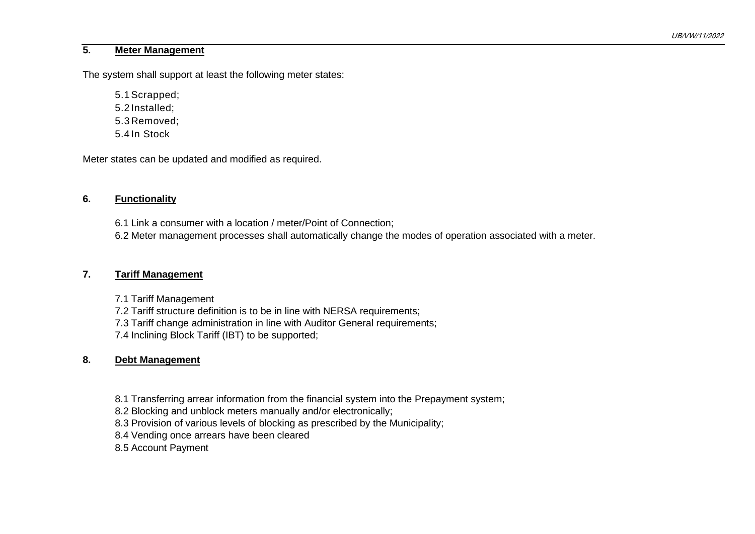## **5. Meter Management**

The system shall support at least the following meter states:

5.1Scrapped; 5.2 Installed; 5.3 Removed; 5.4 In Stock

Meter states can be updated and modified as required.

#### **6. Functionality**

6.1 Link a consumer with a location / meter/Point of Connection;

6.2 Meter management processes shall automatically change the modes of operation associated with a meter.

## **7. Tariff Management**

7.1 Tariff Management

7.2 Tariff structure definition is to be in line with NERSA requirements;

7.3 Tariff change administration in line with Auditor General requirements;

7.4 Inclining Block Tariff (IBT) to be supported;

#### **8. Debt Management**

8.1 Transferring arrear information from the financial system into the Prepayment system;

8.2 Blocking and unblock meters manually and/or electronically;

8.3 Provision of various levels of blocking as prescribed by the Municipality;

8.4 Vending once arrears have been cleared

8.5 Account Payment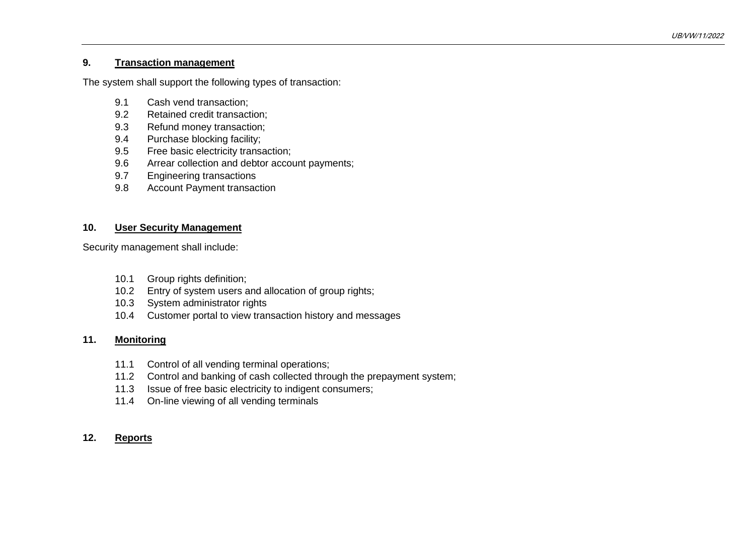#### **9. Transaction management**

The system shall support the following types of transaction:

- 9.1 Cash vend transaction;
- 9.2 Retained credit transaction;
- 9.3 Refund money transaction;
- 9.4 Purchase blocking facility;
- 9.5 Free basic electricity transaction;
- 9.6 Arrear collection and debtor account payments;
- 9.7 Engineering transactions
- 9.8 Account Payment transaction

#### **10. User Security Management**

Security management shall include:

- 10.1 Group rights definition;
- 10.2 Entry of system users and allocation of group rights;
- 10.3 System administrator rights
- 10.4 Customer portal to view transaction history and messages

## **11. Monitoring**

- 11.1 Control of all vending terminal operations;
- 11.2 Control and banking of cash collected through the prepayment system;
- 11.3 Issue of free basic electricity to indigent consumers;
- 11.4 On-line viewing of all vending terminals

#### **12. Reports**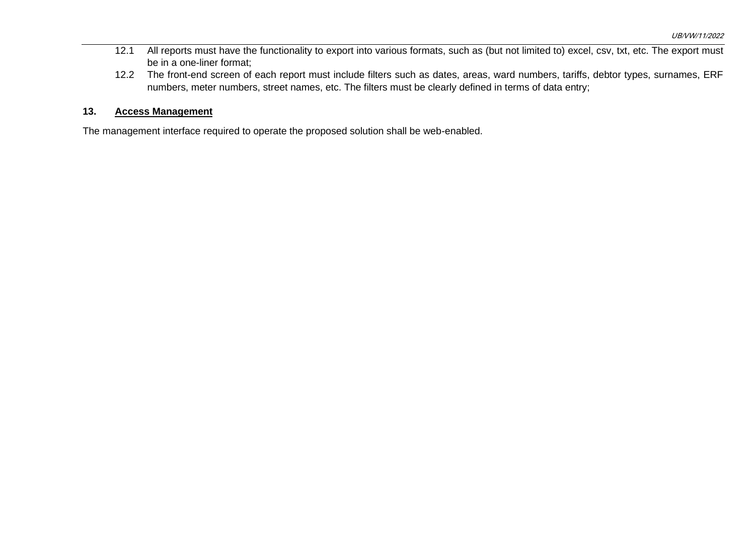- 12.1 All reports must have the functionality to export into various formats, such as (but not limited to) excel, csv, txt, etc. The export must be in a one-liner format;
- 12.2 The front-end screen of each report must include filters such as dates, areas, ward numbers, tariffs, debtor types, surnames, ERF numbers, meter numbers, street names, etc. The filters must be clearly defined in terms of data entry;

## **13. Access Management**

The management interface required to operate the proposed solution shall be web-enabled.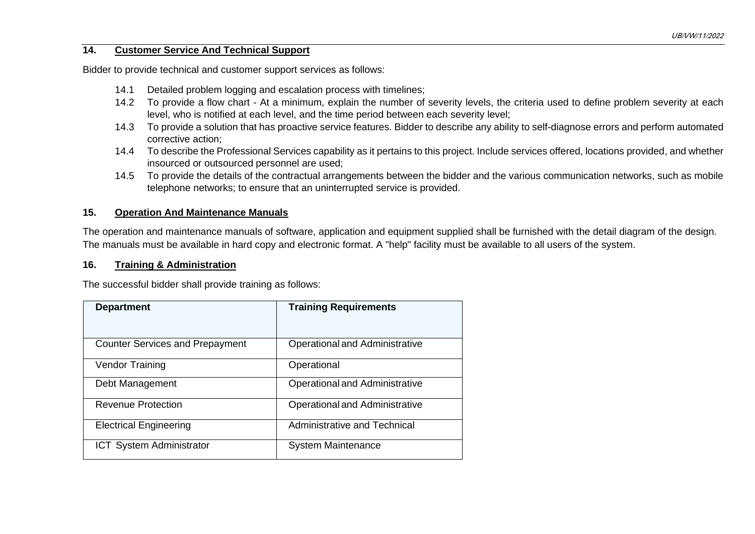#### **14. Customer Service And Technical Support**

Bidder to provide technical and customer support services as follows:

- 14.1 Detailed problem logging and escalation process with timelines;
- 14.2 To provide a flow chart At a minimum, explain the number of severity levels, the criteria used to define problem severity at each level, who is notified at each level, and the time period between each severity level;
- 14.3 To provide a solution that has proactive service features. Bidder to describe any ability to self-diagnose errors and perform automated corrective action;
- 14.4 To describe the Professional Services capability as it pertains to this project. Include services offered, locations provided, and whether insourced or outsourced personnel are used;
- 14.5 To provide the details of the contractual arrangements between the bidder and the various communication networks, such as mobile telephone networks; to ensure that an uninterrupted service is provided.

## **15. Operation And Maintenance Manuals**

The operation and maintenance manuals of software, application and equipment supplied shall be furnished with the detail diagram of the design. The manuals must be available in hard copy and electronic format. A "help" facility must be available to all users of the system.

#### **16. Training & Administration**

The successful bidder shall provide training as follows:

| <b>Department</b>                      | <b>Training Requirements</b>          |
|----------------------------------------|---------------------------------------|
| <b>Counter Services and Prepayment</b> | <b>Operational and Administrative</b> |
| <b>Vendor Training</b>                 | Operational                           |
| Debt Management                        | Operational and Administrative        |
| Revenue Protection                     | Operational and Administrative        |
| <b>Electrical Engineering</b>          | <b>Administrative and Technical</b>   |
| <b>ICT System Administrator</b>        | <b>System Maintenance</b>             |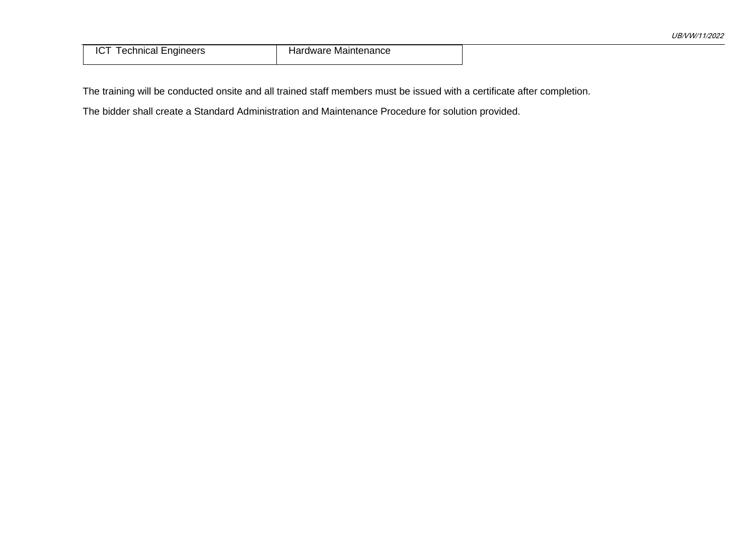| <b>ICT Technical Engineers</b> | <b>Hardware Maintenance</b> |
|--------------------------------|-----------------------------|
|                                |                             |

The training will be conducted onsite and all trained staff members must be issued with a certificate after completion.

The bidder shall create a Standard Administration and Maintenance Procedure for solution provided.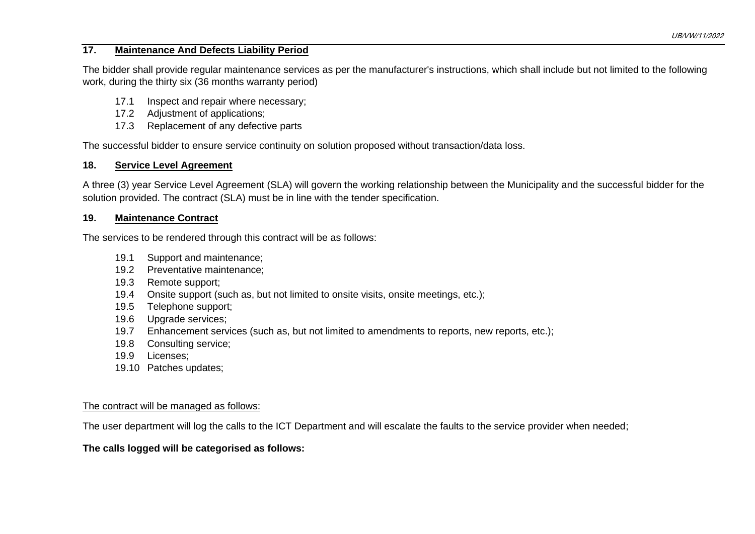## **17. Maintenance And Defects Liability Period**

The bidder shall provide regular maintenance services as per the manufacturer's instructions, which shall include but not limited to the following work, during the thirty six (36 months warranty period)

- 17.1 Inspect and repair where necessary;
- 17.2 Adjustment of applications;
- 17.3 Replacement of any defective parts

The successful bidder to ensure service continuity on solution proposed without transaction/data loss.

#### **18. Service Level Agreement**

A three (3) year Service Level Agreement (SLA) will govern the working relationship between the Municipality and the successful bidder for the solution provided. The contract (SLA) must be in line with the tender specification.

#### **19. Maintenance Contract**

The services to be rendered through this contract will be as follows:

- 19.1 Support and maintenance;
- 19.2 Preventative maintenance;
- 19.3 Remote support;
- 19.4 Onsite support (such as, but not limited to onsite visits, onsite meetings, etc.);
- 19.5 Telephone support;
- 19.6 Upgrade services;
- 19.7 Enhancement services (such as, but not limited to amendments to reports, new reports, etc.);
- 19.8 Consulting service;
- 19.9 Licenses;
- 19.10 Patches updates;

#### The contract will be managed as follows:

The user department will log the calls to the ICT Department and will escalate the faults to the service provider when needed;

#### **The calls logged will be categorised as follows:**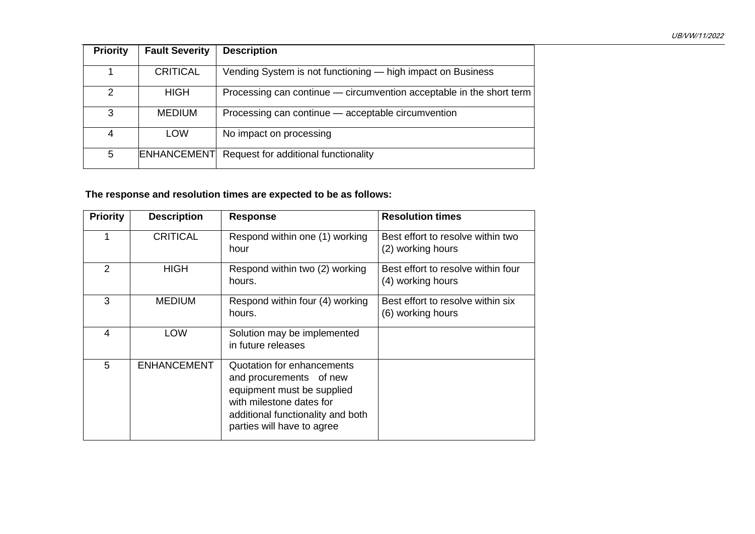| <b>Priority</b> | <b>Fault Severity</b> | <b>Description</b>                                                   |
|-----------------|-----------------------|----------------------------------------------------------------------|
|                 | <b>CRITICAL</b>       | Vending System is not functioning — high impact on Business          |
| 2               | <b>HIGH</b>           | Processing can continue — circumvention acceptable in the short term |
| 3               | <b>MEDIUM</b>         | Processing can continue - acceptable circumvention                   |
| 4               | <b>LOW</b>            | No impact on processing                                              |
| 5               | <b>ENHANCEMENT</b>    | Request for additional functionality                                 |

# **The response and resolution times are expected to be as follows:**

| <b>Priority</b> | <b>Description</b> | <b>Response</b>                                                                                                                                                                    | <b>Resolution times</b>                                 |
|-----------------|--------------------|------------------------------------------------------------------------------------------------------------------------------------------------------------------------------------|---------------------------------------------------------|
|                 | <b>CRITICAL</b>    | Respond within one (1) working<br>hour                                                                                                                                             | Best effort to resolve within two<br>(2) working hours  |
| $\overline{2}$  | <b>HIGH</b>        | Respond within two (2) working<br>hours.                                                                                                                                           | Best effort to resolve within four<br>(4) working hours |
| 3               | <b>MEDIUM</b>      | Respond within four (4) working<br>hours.                                                                                                                                          | Best effort to resolve within six<br>(6) working hours  |
| 4               | <b>LOW</b>         | Solution may be implemented<br>in future releases                                                                                                                                  |                                                         |
| 5               | <b>ENHANCEMENT</b> | Quotation for enhancements<br>and procurements of new<br>equipment must be supplied<br>with milestone dates for<br>additional functionality and both<br>parties will have to agree |                                                         |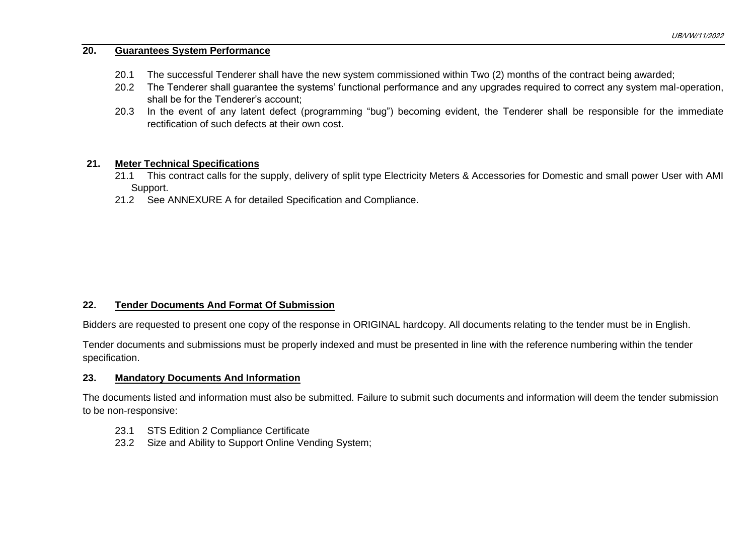## **20. Guarantees System Performance**

- 20.1 The successful Tenderer shall have the new system commissioned within Two (2) months of the contract being awarded;
- 20.2 The Tenderer shall guarantee the systems' functional performance and any upgrades required to correct any system mal-operation, shall be for the Tenderer's account;
- 20.3 In the event of any latent defect (programming "bug") becoming evident, the Tenderer shall be responsible for the immediate rectification of such defects at their own cost.

#### **21. Meter Technical Specifications**

- 21.1 This contract calls for the supply, delivery of split type Electricity Meters & Accessories for Domestic and small power User with AMI Support.
- 21.2 See ANNEXURE A for detailed Specification and Compliance.

#### **22. Tender Documents And Format Of Submission**

Bidders are requested to present one copy of the response in ORIGINAL hardcopy. All documents relating to the tender must be in English.

Tender documents and submissions must be properly indexed and must be presented in line with the reference numbering within the tender specification.

#### **23. Mandatory Documents And Information**

The documents listed and information must also be submitted. Failure to submit such documents and information will deem the tender submission to be non-responsive:

- 23.1 STS Edition 2 Compliance Certificate
- 23.2 Size and Ability to Support Online Vending System: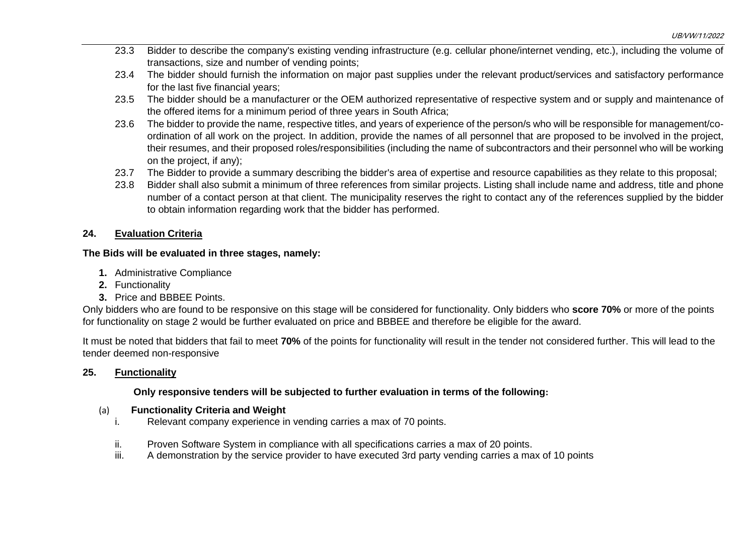- 23.3 Bidder to describe the company's existing vending infrastructure (e.g. cellular phone/internet vending, etc.), including the volume of transactions, size and number of vending points;
- 23.4 The bidder should furnish the information on major past supplies under the relevant product/services and satisfactory performance for the last five financial years;
- 23.5 The bidder should be a manufacturer or the OEM authorized representative of respective system and or supply and maintenance of the offered items for a minimum period of three years in South Africa;
- 23.6 The bidder to provide the name, respective titles, and years of experience of the person/s who will be responsible for management/coordination of all work on the project. In addition, provide the names of all personnel that are proposed to be involved in the project, their resumes, and their proposed roles/responsibilities (including the name of subcontractors and their personnel who will be working on the project, if any);
- 23.7 The Bidder to provide a summary describing the bidder's area of expertise and resource capabilities as they relate to this proposal;
- 23.8 Bidder shall also submit a minimum of three references from similar projects. Listing shall include name and address, title and phone number of a contact person at that client. The municipality reserves the right to contact any of the references supplied by the bidder to obtain information regarding work that the bidder has performed.

## **24. Evaluation Criteria**

#### **The Bids will be evaluated in three stages, namely:**

- **1.** Administrative Compliance
- **2.** Functionality
- **3.** Price and BBBEE Points.

Only bidders who are found to be responsive on this stage will be considered for functionality. Only bidders who **score 70%** or more of the points for functionality on stage 2 would be further evaluated on price and BBBEE and therefore be eligible for the award.

It must be noted that bidders that fail to meet **70%** of the points for functionality will result in the tender not considered further. This will lead to the tender deemed non-responsive

#### **25. Functionality**

## **Only responsive tenders will be subjected to further evaluation in terms of the following:**

## (a) **Functionality Criteria and Weight**

- i. Relevant company experience in vending carries a max of 70 points.
- ii. Proven Software System in compliance with all specifications carries a max of 20 points.
- iii. A demonstration by the service provider to have executed 3rd party vending carries a max of 10 points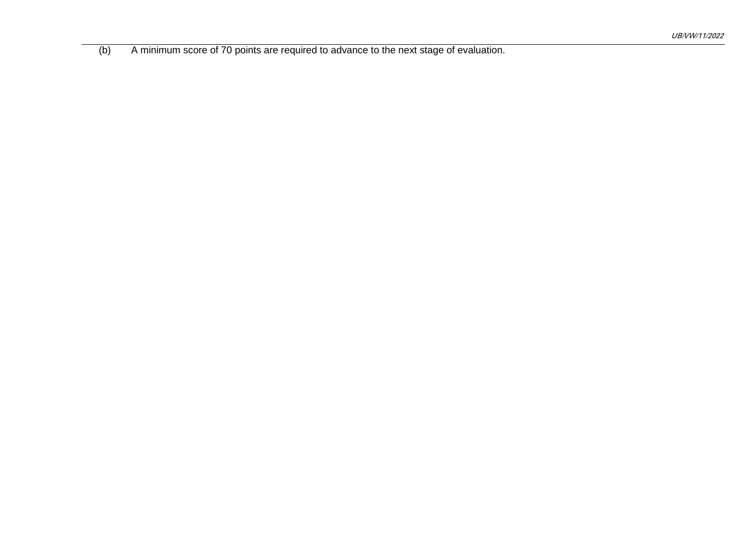(b) A minimum score of 70 points are required to advance to the next stage of evaluation.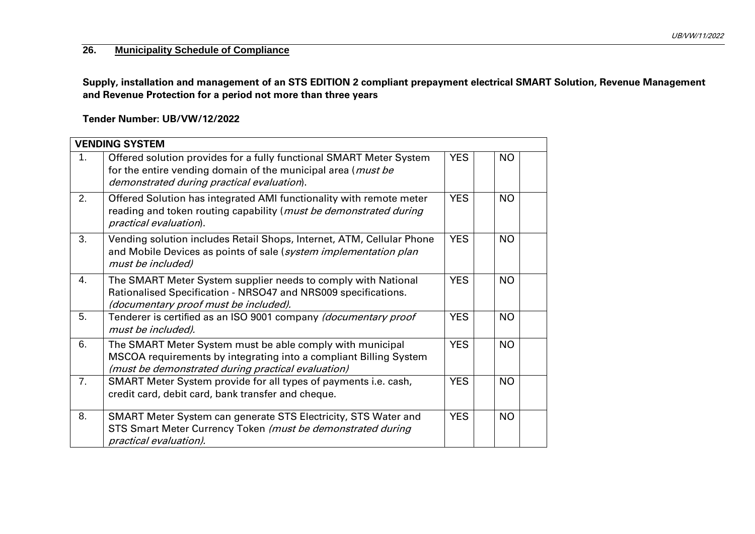## **26. Municipality Schedule of Compliance**

**Supply, installation and management of an STS EDITION 2 compliant prepayment electrical SMART Solution, Revenue Management and Revenue Protection for a period not more than three years**

**Tender Number: UB/VW/12/2022**

|    | <b>VENDING SYSTEM</b>                                                                                                                                                                     |            |           |  |
|----|-------------------------------------------------------------------------------------------------------------------------------------------------------------------------------------------|------------|-----------|--|
| 1. | Offered solution provides for a fully functional SMART Meter System<br>for the entire vending domain of the municipal area ( <i>must be</i><br>demonstrated during practical evaluation). | <b>YES</b> | <b>NO</b> |  |
| 2. | Offered Solution has integrated AMI functionality with remote meter<br>reading and token routing capability (must be demonstrated during<br>practical evaluation).                        | <b>YES</b> | <b>NO</b> |  |
| 3. | Vending solution includes Retail Shops, Internet, ATM, Cellular Phone<br>and Mobile Devices as points of sale (system implementation plan<br>must be included)                            | <b>YES</b> | <b>NO</b> |  |
| 4. | The SMART Meter System supplier needs to comply with National<br>Rationalised Specification - NRSO47 and NRS009 specifications.<br>(documentary proof must be included).                  | <b>YES</b> | NO.       |  |
| 5. | Tenderer is certified as an ISO 9001 company (documentary proof<br>must be included).                                                                                                     | <b>YES</b> | <b>NO</b> |  |
| 6. | The SMART Meter System must be able comply with municipal<br>MSCOA requirements by integrating into a compliant Billing System<br>(must be demonstrated during practical evaluation)      | <b>YES</b> | <b>NO</b> |  |
| 7. | SMART Meter System provide for all types of payments i.e. cash,<br>credit card, debit card, bank transfer and cheque.                                                                     | <b>YES</b> | <b>NO</b> |  |
| 8. | SMART Meter System can generate STS Electricity, STS Water and<br>STS Smart Meter Currency Token (must be demonstrated during<br>practical evaluation).                                   | <b>YES</b> | <b>NO</b> |  |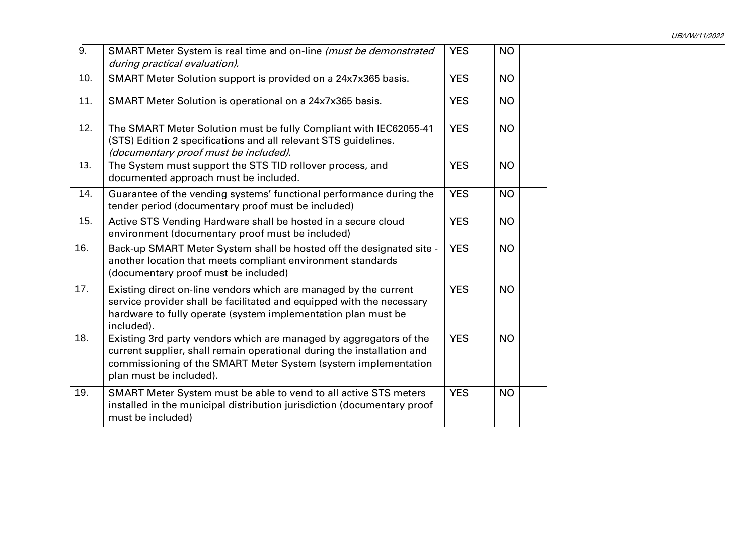| 9.  | SMART Meter System is real time and on-line (must be demonstrated<br>during practical evaluation).                                                                                                                                        | <b>YES</b> | <b>NO</b> |  |
|-----|-------------------------------------------------------------------------------------------------------------------------------------------------------------------------------------------------------------------------------------------|------------|-----------|--|
| 10. | SMART Meter Solution support is provided on a 24x7x365 basis.                                                                                                                                                                             | <b>YES</b> | <b>NO</b> |  |
| 11. | SMART Meter Solution is operational on a 24x7x365 basis.                                                                                                                                                                                  | <b>YES</b> | <b>NO</b> |  |
| 12. | The SMART Meter Solution must be fully Compliant with IEC62055-41<br>(STS) Edition 2 specifications and all relevant STS guidelines.<br>(documentary proof must be included).                                                             | <b>YES</b> | <b>NO</b> |  |
| 13. | The System must support the STS TID rollover process, and<br>documented approach must be included.                                                                                                                                        | <b>YES</b> | <b>NO</b> |  |
| 14. | Guarantee of the vending systems' functional performance during the<br>tender period (documentary proof must be included)                                                                                                                 | <b>YES</b> | <b>NO</b> |  |
| 15. | Active STS Vending Hardware shall be hosted in a secure cloud<br>environment (documentary proof must be included)                                                                                                                         | <b>YES</b> | <b>NO</b> |  |
| 16. | Back-up SMART Meter System shall be hosted off the designated site -<br>another location that meets compliant environment standards<br>(documentary proof must be included)                                                               | <b>YES</b> | <b>NO</b> |  |
| 17. | Existing direct on-line vendors which are managed by the current<br>service provider shall be facilitated and equipped with the necessary<br>hardware to fully operate (system implementation plan must be<br>included).                  | <b>YES</b> | <b>NO</b> |  |
| 18. | Existing 3rd party vendors which are managed by aggregators of the<br>current supplier, shall remain operational during the installation and<br>commissioning of the SMART Meter System (system implementation<br>plan must be included). | <b>YES</b> | <b>NO</b> |  |
| 19. | SMART Meter System must be able to vend to all active STS meters<br>installed in the municipal distribution jurisdiction (documentary proof<br>must be included)                                                                          | <b>YES</b> | <b>NO</b> |  |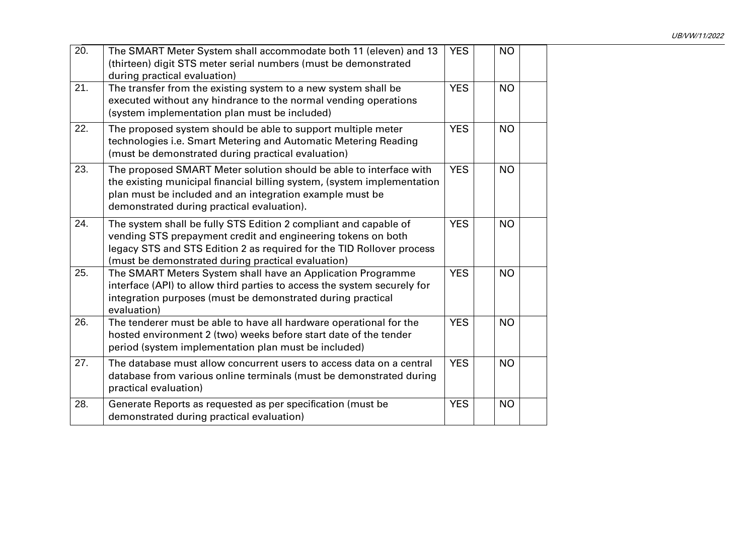| 20. | The SMART Meter System shall accommodate both 11 (eleven) and 13<br>(thirteen) digit STS meter serial numbers (must be demonstrated<br>during practical evaluation)                                                                                             | <b>YES</b> | <b>NO</b> |  |
|-----|-----------------------------------------------------------------------------------------------------------------------------------------------------------------------------------------------------------------------------------------------------------------|------------|-----------|--|
| 21. | The transfer from the existing system to a new system shall be<br>executed without any hindrance to the normal vending operations<br>(system implementation plan must be included)                                                                              | <b>YES</b> | <b>NO</b> |  |
| 22. | The proposed system should be able to support multiple meter<br>technologies i.e. Smart Metering and Automatic Metering Reading<br>(must be demonstrated during practical evaluation)                                                                           | <b>YES</b> | <b>NO</b> |  |
| 23. | The proposed SMART Meter solution should be able to interface with<br>the existing municipal financial billing system, (system implementation<br>plan must be included and an integration example must be<br>demonstrated during practical evaluation).         | <b>YES</b> | <b>NO</b> |  |
| 24. | The system shall be fully STS Edition 2 compliant and capable of<br>vending STS prepayment credit and engineering tokens on both<br>legacy STS and STS Edition 2 as required for the TID Rollover process<br>(must be demonstrated during practical evaluation) | <b>YES</b> | <b>NO</b> |  |
| 25. | The SMART Meters System shall have an Application Programme<br>interface (API) to allow third parties to access the system securely for<br>integration purposes (must be demonstrated during practical<br>evaluation)                                           | <b>YES</b> | <b>NO</b> |  |
| 26. | The tenderer must be able to have all hardware operational for the<br>hosted environment 2 (two) weeks before start date of the tender<br>period (system implementation plan must be included)                                                                  | <b>YES</b> | <b>NO</b> |  |
| 27. | The database must allow concurrent users to access data on a central<br>database from various online terminals (must be demonstrated during<br>practical evaluation)                                                                                            | <b>YES</b> | <b>NO</b> |  |
| 28. | Generate Reports as requested as per specification (must be<br>demonstrated during practical evaluation)                                                                                                                                                        | <b>YES</b> | <b>NO</b> |  |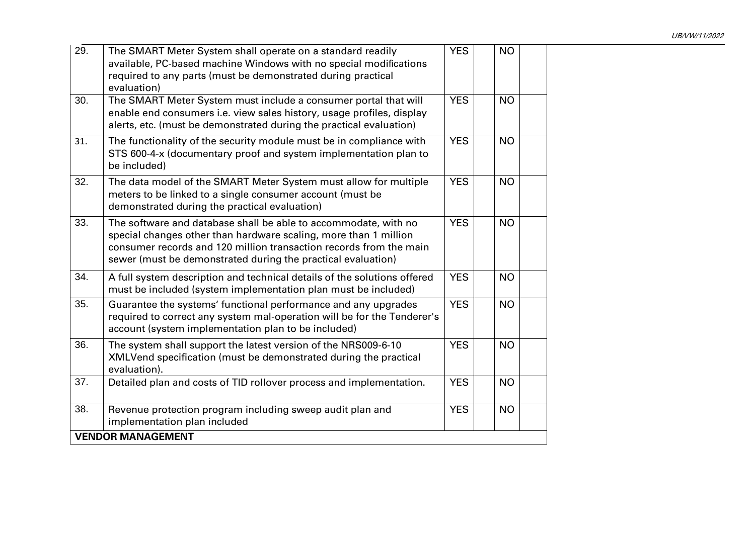| 29. | The SMART Meter System shall operate on a standard readily<br>available, PC-based machine Windows with no special modifications<br>required to any parts (must be demonstrated during practical<br>evaluation)                                                            | <b>YES</b> | <b>NO</b> |  |
|-----|---------------------------------------------------------------------------------------------------------------------------------------------------------------------------------------------------------------------------------------------------------------------------|------------|-----------|--|
| 30. | The SMART Meter System must include a consumer portal that will<br>enable end consumers i.e. view sales history, usage profiles, display<br>alerts, etc. (must be demonstrated during the practical evaluation)                                                           | <b>YES</b> | <b>NO</b> |  |
| 31. | The functionality of the security module must be in compliance with<br>STS 600-4-x (documentary proof and system implementation plan to<br>be included)                                                                                                                   | <b>YES</b> | <b>NO</b> |  |
| 32. | The data model of the SMART Meter System must allow for multiple<br>meters to be linked to a single consumer account (must be<br>demonstrated during the practical evaluation)                                                                                            | <b>YES</b> | <b>NO</b> |  |
| 33. | The software and database shall be able to accommodate, with no<br>special changes other than hardware scaling, more than 1 million<br>consumer records and 120 million transaction records from the main<br>sewer (must be demonstrated during the practical evaluation) | <b>YES</b> | <b>NO</b> |  |
| 34. | A full system description and technical details of the solutions offered<br>must be included (system implementation plan must be included)                                                                                                                                | <b>YES</b> | <b>NO</b> |  |
| 35. | Guarantee the systems' functional performance and any upgrades<br>required to correct any system mal-operation will be for the Tenderer's<br>account (system implementation plan to be included)                                                                          | <b>YES</b> | <b>NO</b> |  |
| 36. | The system shall support the latest version of the NRS009-6-10<br>XMLVend specification (must be demonstrated during the practical<br>evaluation).                                                                                                                        | <b>YES</b> | <b>NO</b> |  |
| 37. | Detailed plan and costs of TID rollover process and implementation.                                                                                                                                                                                                       | <b>YES</b> | <b>NO</b> |  |
| 38. | Revenue protection program including sweep audit plan and<br>implementation plan included                                                                                                                                                                                 | <b>YES</b> | <b>NO</b> |  |
|     | <b>VENDOR MANAGEMENT</b>                                                                                                                                                                                                                                                  |            |           |  |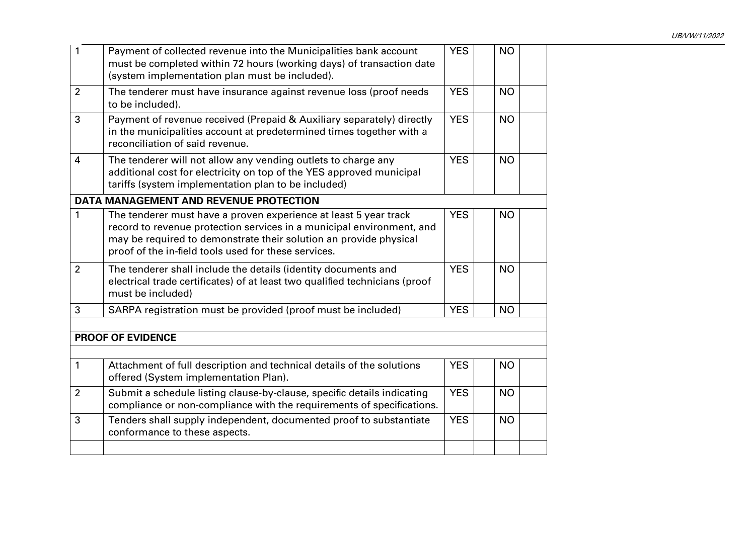| $\mathbf{1}$   | Payment of collected revenue into the Municipalities bank account<br>must be completed within 72 hours (working days) of transaction date<br>(system implementation plan must be included).                                                                            |            | <b>NO</b> |  |
|----------------|------------------------------------------------------------------------------------------------------------------------------------------------------------------------------------------------------------------------------------------------------------------------|------------|-----------|--|
| $\overline{2}$ | The tenderer must have insurance against revenue loss (proof needs<br>to be included).                                                                                                                                                                                 |            | <b>NO</b> |  |
| 3              | <b>YES</b><br>Payment of revenue received (Prepaid & Auxiliary separately) directly<br>in the municipalities account at predetermined times together with a<br>reconciliation of said revenue.                                                                         |            | <b>NO</b> |  |
| $\overline{4}$ | The tenderer will not allow any vending outlets to charge any<br>additional cost for electricity on top of the YES approved municipal<br>tariffs (system implementation plan to be included)                                                                           | <b>YES</b> | <b>NO</b> |  |
|                | <b>DATA MANAGEMENT AND REVENUE PROTECTION</b>                                                                                                                                                                                                                          |            |           |  |
| 1              | The tenderer must have a proven experience at least 5 year track<br>record to revenue protection services in a municipal environment, and<br>may be required to demonstrate their solution an provide physical<br>proof of the in-field tools used for these services. | <b>YES</b> | <b>NO</b> |  |
| 2              | The tenderer shall include the details (identity documents and<br>electrical trade certificates) of at least two qualified technicians (proof<br>must be included)                                                                                                     | <b>YES</b> | <b>NO</b> |  |
| 3              | SARPA registration must be provided (proof must be included)                                                                                                                                                                                                           | <b>YES</b> | <b>NO</b> |  |
|                |                                                                                                                                                                                                                                                                        |            |           |  |
|                | <b>PROOF OF EVIDENCE</b>                                                                                                                                                                                                                                               |            |           |  |
|                |                                                                                                                                                                                                                                                                        |            |           |  |
| $\mathbf{1}$   | Attachment of full description and technical details of the solutions<br>offered (System implementation Plan).                                                                                                                                                         | <b>YES</b> | <b>NO</b> |  |
| $\overline{2}$ | Submit a schedule listing clause-by-clause, specific details indicating<br>compliance or non-compliance with the requirements of specifications.                                                                                                                       | <b>YES</b> | <b>NO</b> |  |
| 3              | Tenders shall supply independent, documented proof to substantiate<br>conformance to these aspects.                                                                                                                                                                    | <b>YES</b> | <b>NO</b> |  |
|                |                                                                                                                                                                                                                                                                        |            |           |  |
|                |                                                                                                                                                                                                                                                                        |            |           |  |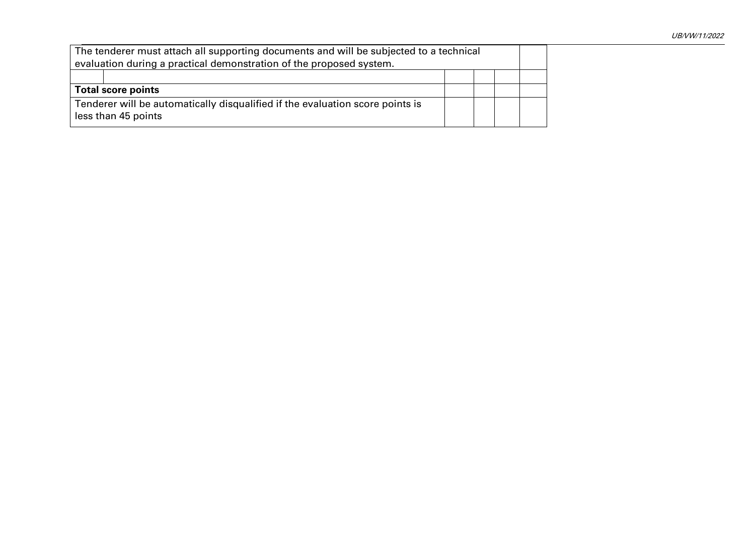| The tenderer must attach all supporting documents and will be subjected to a technical<br>evaluation during a practical demonstration of the proposed system. |  |  |  |  |
|---------------------------------------------------------------------------------------------------------------------------------------------------------------|--|--|--|--|
|                                                                                                                                                               |  |  |  |  |
| <b>Total score points</b>                                                                                                                                     |  |  |  |  |
| Tenderer will be automatically disqualified if the evaluation score points is                                                                                 |  |  |  |  |
| less than 45 points                                                                                                                                           |  |  |  |  |